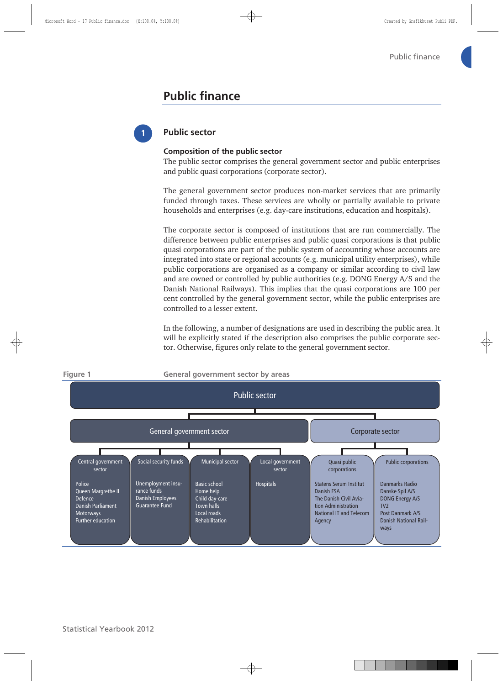## **Public finance**



### **Public sector**

#### **Composition of the public sector**

The public sector comprises the general government sector and public enterprises and public quasi corporations (corporate sector).

The general government sector produces non-market services that are primarily funded through taxes. These services are wholly or partially available to private households and enterprises (e.g. day-care institutions, education and hospitals).

The corporate sector is composed of institutions that are run commercially. The difference between public enterprises and public quasi corporations is that public quasi corporations are part of the public system of accounting whose accounts are integrated into state or regional accounts (e.g. municipal utility enterprises), while public corporations are organised as a company or similar according to civil law and are owned or controlled by public authorities (e.g. DONG Energy A/S and the Danish National Railways). This implies that the quasi corporations are 100 per cent controlled by the general government sector, while the public enterprises are controlled to a lesser extent.

In the following, a number of designations are used in describing the public area. It will be explicitly stated if the description also comprises the public corporate sector. Otherwise, figures only relate to the general government sector.

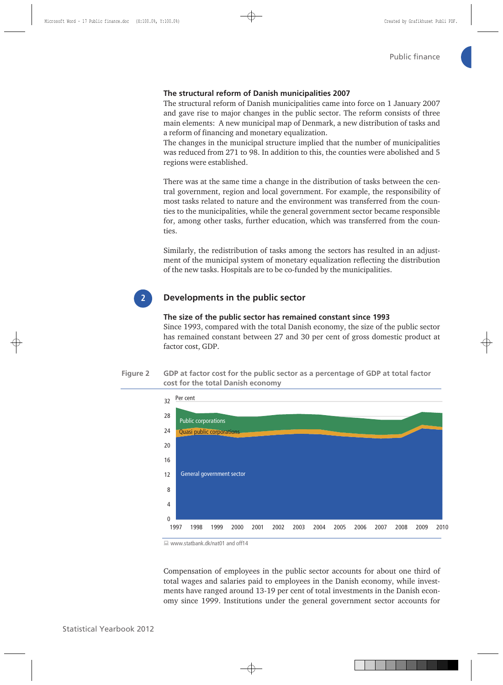#### **The structural reform of Danish municipalities 2007**

The structural reform of Danish municipalities came into force on 1 January 2007 and gave rise to major changes in the public sector. The reform consists of three main elements: A new municipal map of Denmark, a new distribution of tasks and a reform of financing and monetary equalization.

The changes in the municipal structure implied that the number of municipalities was reduced from 271 to 98. In addition to this, the counties were abolished and 5 regions were established.

There was at the same time a change in the distribution of tasks between the central government, region and local government. For example, the responsibility of most tasks related to nature and the environment was transferred from the counties to the municipalities, while the general government sector became responsible for, among other tasks, further education, which was transferred from the counties.

Similarly, the redistribution of tasks among the sectors has resulted in an adjustment of the municipal system of monetary equalization reflecting the distribution of the new tasks. Hospitals are to be co-funded by the municipalities.



#### **Developments in the public sector**

## **The size of the public sector has remained constant since 1993**  Since 1993, compared with the total Danish economy, the size of the public sector

has remained constant between 27 and 30 per cent of gross domestic product at factor cost, GDP.

#### **Figure 2 GDP at factor cost for the public sector as a percentage of GDP at total factor cost for the total Danish economy**



<sup>■</sup> www.statbank.dk/nat01 and off14

Compensation of employees in the public sector accounts for about one third of total wages and salaries paid to employees in the Danish economy, while investments have ranged around 13-19 per cent of total investments in the Danish economy since 1999. Institutions under the general government sector accounts for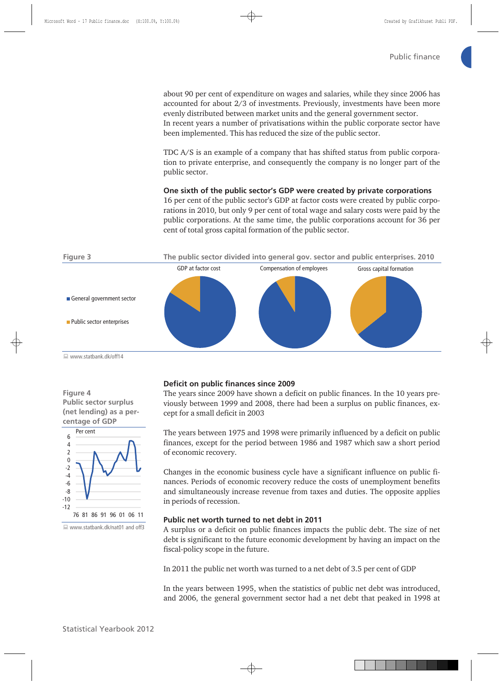about 90 per cent of expenditure on wages and salaries, while they since 2006 has accounted for about 2/3 of investments. Previously, investments have been more evenly distributed between market units and the general government sector. In recent years a number of privatisations within the public corporate sector have been implemented. This has reduced the size of the public sector.

TDC A/S is an example of a company that has shifted status from public corporation to private enterprise, and consequently the company is no longer part of the public sector.

**One sixth of the public sector's GDP were created by private corporations**  16 per cent of the public sector's GDP at factor costs were created by public corporations in 2010, but only 9 per cent of total wage and salary costs were paid by the public corporations. At the same time, the public corporations account for 36 per cent of total gross capital formation of the public sector.



■ www.statbank.dk/off14

**Figure 4 Public sector surplus (net lending) as a percentage of GDP** 



■ www.statbank.dk/nat01 and off3

#### **Deficit on public finances since 2009**

The years since 2009 have shown a deficit on public finances. In the 10 years previously between 1999 and 2008, there had been a surplus on public finances, except for a small deficit in 2003

The years between 1975 and 1998 were primarily influenced by a deficit on public finances, except for the period between 1986 and 1987 which saw a short period of economic recovery.

Changes in the economic business cycle have a significant influence on public finances. Periods of economic recovery reduce the costs of unemployment benefits and simultaneously increase revenue from taxes and duties. The opposite applies in periods of recession.

#### **Public net worth turned to net debt in 2011**

A surplus or a deficit on public finances impacts the public debt. The size of net debt is significant to the future economic development by having an impact on the fiscal-policy scope in the future.

In 2011 the public net worth was turned to a net debt of 3.5 per cent of GDP

In the years between 1995, when the statistics of public net debt was introduced, and 2006, the general government sector had a net debt that peaked in 1998 at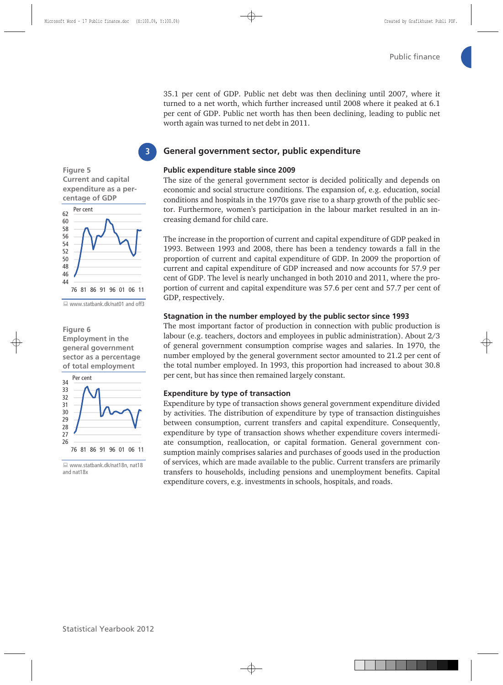35.1 per cent of GDP. Public net debt was then declining until 2007, where it turned to a net worth, which further increased until 2008 where it peaked at 6.1 per cent of GDP. Public net worth has then been declining, leading to public net worth again was turned to net debt in 2011.

### **General government sector, public expenditure**

#### **Public expenditure stable since 2009**

The size of the general government sector is decided politically and depends on economic and social structure conditions. The expansion of, e.g. education, social conditions and hospitals in the 1970s gave rise to a sharp growth of the public sector. Furthermore, women's participation in the labour market resulted in an increasing demand for child care.

The increase in the proportion of current and capital expenditure of GDP peaked in 1993. Between 1993 and 2008, there has been a tendency towards a fall in the proportion of current and capital expenditure of GDP. In 2009 the proportion of current and capital expenditure of GDP increased and now accounts for 57.9 per cent of GDP. The level is nearly unchanged in both 2010 and 2011, where the proportion of current and capital expenditure was 57.6 per cent and 57.7 per cent of GDP, respectively.

#### **Stagnation in the number employed by the public sector since 1993**

The most important factor of production in connection with public production is labour (e.g. teachers, doctors and employees in public administration). About 2/3 of general government consumption comprise wages and salaries. In 1970, the number employed by the general government sector amounted to 21.2 per cent of the total number employed. In 1993, this proportion had increased to about 30.8 per cent, but has since then remained largely constant.

#### **Expenditure by type of transaction**

Expenditure by type of transaction shows general government expenditure divided by activities. The distribution of expenditure by type of transaction distinguishes between consumption, current transfers and capital expenditure. Consequently, expenditure by type of transaction shows whether expenditure covers intermediate consumption, reallocation, or capital formation. General government consumption mainly comprises salaries and purchases of goods used in the production of services, which are made available to the public. Current transfers are primarily transfers to households, including pensions and unemployment benefits. Capital expenditure covers, e.g. investments in schools, hospitals, and roads.



**3**



www.statbank.dk/nat01 and off3

**Figure 6 Employment in the general government sector as a percentage of total employment** 



 www.statbank.dk/nat18n, nat18 and nat18x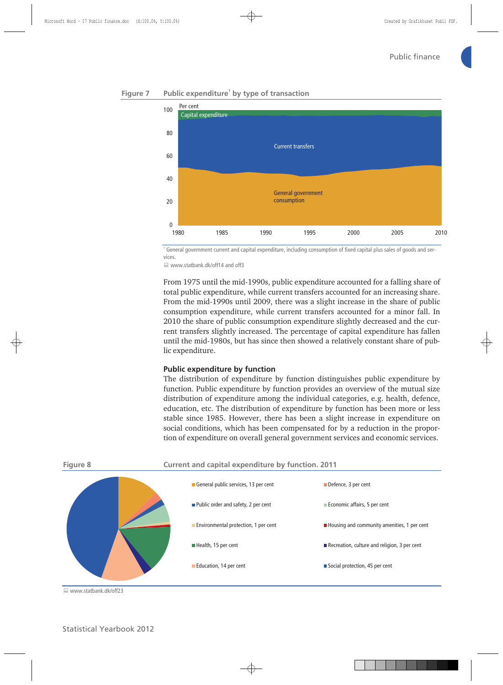

### **Figure 7 Public expenditure<sup>1</sup> by type of transaction**

1 General government current and capital expenditure, including consumption of fixed capital plus sales of goods and services.

■ www.statbank.dk/off14 and off3

From 1975 until the mid-1990s, public expenditure accounted for a falling share of total public expenditure, while current transfers accounted for an increasing share. From the mid-1990s until 2009, there was a slight increase in the share of public consumption expenditure, while current transfers accounted for a minor fall. In 2010 the share of public consumption expenditure slightly decreased and the current transfers slightly increased. The percentage of capital expenditure has fallen until the mid-1980s, but has since then showed a relatively constant share of public expenditure.

#### **Public expenditure by function**

The distribution of expenditure by function distinguishes public expenditure by function. Public expenditure by function provides an overview of the mutual size distribution of expenditure among the individual categories, e.g. health, defence, education, etc. The distribution of expenditure by function has been more or less stable since 1985. However, there has been a slight increase in expenditure on social conditions, which has been compensated for by a reduction in the proportion of expenditure on overall general government services and economic services.



■ www.statbank.dk/off23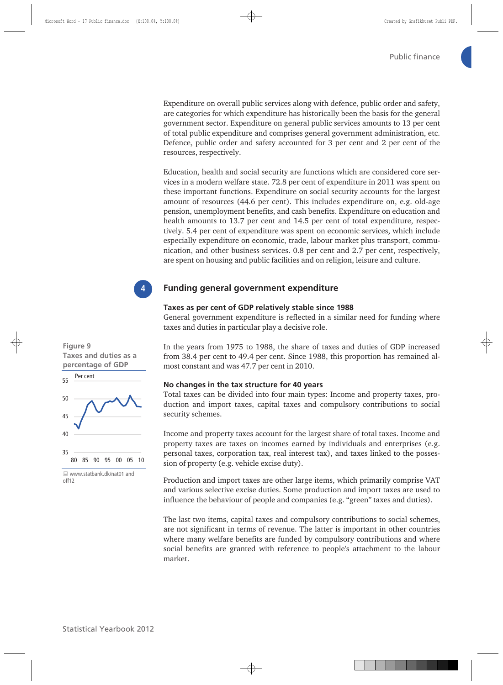Expenditure on overall public services along with defence, public order and safety, are categories for which expenditure has historically been the basis for the general government sector. Expenditure on general public services amounts to 13 per cent of total public expenditure and comprises general government administration, etc. Defence, public order and safety accounted for 3 per cent and 2 per cent of the resources, respectively.

Education, health and social security are functions which are considered core services in a modern welfare state. 72.8 per cent of expenditure in 2011 was spent on these important functions. Expenditure on social security accounts for the largest amount of resources (44.6 per cent). This includes expenditure on, e.g. old-age pension, unemployment benefits, and cash benefits. Expenditure on education and health amounts to 13.7 per cent and 14.5 per cent of total expenditure, respectively. 5.4 per cent of expenditure was spent on economic services, which include especially expenditure on economic, trade, labour market plus transport, communication, and other business services. 0.8 per cent and 2.7 per cent, respectively, are spent on housing and public facilities and on religion, leisure and culture.



### **Funding general government expenditure**

#### **Taxes as per cent of GDP relatively stable since 1988**

General government expenditure is reflected in a similar need for funding where taxes and duties in particular play a decisive role.

### **Figure 9 Taxes and duties as a percentage of GDP**



off12

In the years from 1975 to 1988, the share of taxes and duties of GDP increased from 38.4 per cent to 49.4 per cent. Since 1988, this proportion has remained almost constant and was 47.7 per cent in 2010.

#### **No changes in the tax structure for 40 years**

Total taxes can be divided into four main types: Income and property taxes, production and import taxes, capital taxes and compulsory contributions to social security schemes.

Income and property taxes account for the largest share of total taxes. Income and property taxes are taxes on incomes earned by individuals and enterprises (e.g. personal taxes, corporation tax, real interest tax), and taxes linked to the possession of property (e.g. vehicle excise duty).

Production and import taxes are other large items, which primarily comprise VAT and various selective excise duties. Some production and import taxes are used to influence the behaviour of people and companies (e.g. "green" taxes and duties).

The last two items, capital taxes and compulsory contributions to social schemes, are not significant in terms of revenue. The latter is important in other countries where many welfare benefits are funded by compulsory contributions and where social benefits are granted with reference to people's attachment to the labour market.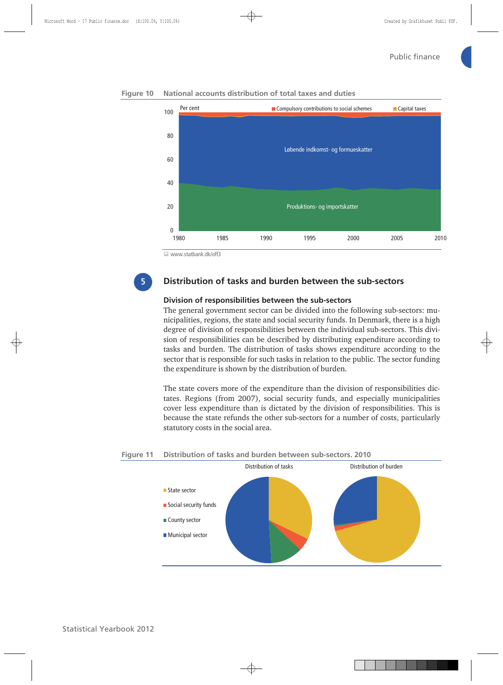

**Figure 10 National accounts distribution of total taxes and duties** 

www.statbank.dk/off3

**5**

## **Distribution of tasks and burden between the sub-sectors**

### **Division of responsibilities between the sub-sectors**

The general government sector can be divided into the following sub-sectors: municipalities, regions, the state and social security funds. In Denmark, there is a high degree of division of responsibilities between the individual sub-sectors. This division of responsibilities can be described by distributing expenditure according to tasks and burden. The distribution of tasks shows expenditure according to the sector that is responsible for such tasks in relation to the public. The sector funding the expenditure is shown by the distribution of burden.

The state covers more of the expenditure than the division of responsibilities dictates. Regions (from 2007), social security funds, and especially municipalities cover less expenditure than is dictated by the division of responsibilities. This is because the state refunds the other sub-sectors for a number of costs, particularly statutory costs in the social area.

## **Figure 11 Distribution of tasks and burden between sub-sectors. 2010**

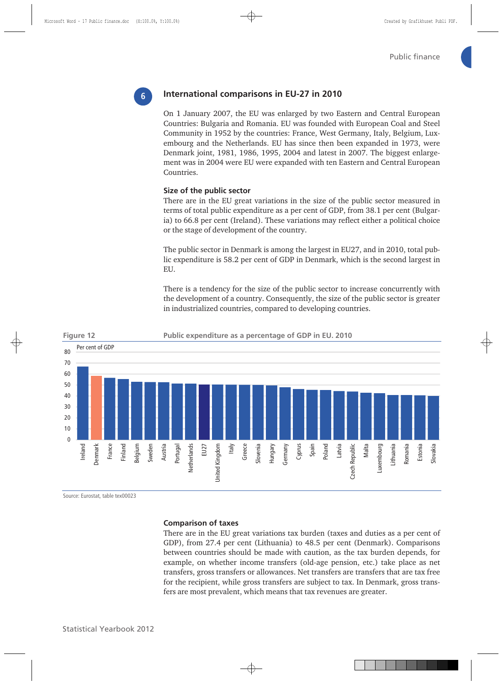# **6**

## **International comparisons in EU-27 in 2010**

On 1 January 2007, the EU was enlarged by two Eastern and Central European Countries: Bulgaria and Romania. EU was founded with European Coal and Steel Community in 1952 by the countries: France, West Germany, Italy, Belgium, Luxembourg and the Netherlands. EU has since then been expanded in 1973, were Denmark joint, 1981, 1986, 1995, 2004 and latest in 2007. The biggest enlargement was in 2004 were EU were expanded with ten Eastern and Central European Countries.

#### **Size of the public sector**

There are in the EU great variations in the size of the public sector measured in terms of total public expenditure as a per cent of GDP, from 38.1 per cent (Bulgaria) to 66.8 per cent (Ireland). These variations may reflect either a political choice or the stage of development of the country.

The public sector in Denmark is among the largest in EU27, and in 2010, total public expenditure is 58.2 per cent of GDP in Denmark, which is the second largest in EU.

There is a tendency for the size of the public sector to increase concurrently with the development of a country. Consequently, the size of the public sector is greater in industrialized countries, compared to developing countries.



Source: Eurostat, table tex00023

#### **Comparison of taxes**

There are in the EU great variations tax burden (taxes and duties as a per cent of GDP), from 27.4 per cent (Lithuania) to 48.5 per cent (Denmark). Comparisons between countries should be made with caution, as the tax burden depends, for example, on whether income transfers (old-age pension, etc.) take place as net transfers, gross transfers or allowances. Net transfers are transfers that are tax free for the recipient, while gross transfers are subject to tax. In Denmark, gross transfers are most prevalent, which means that tax revenues are greater.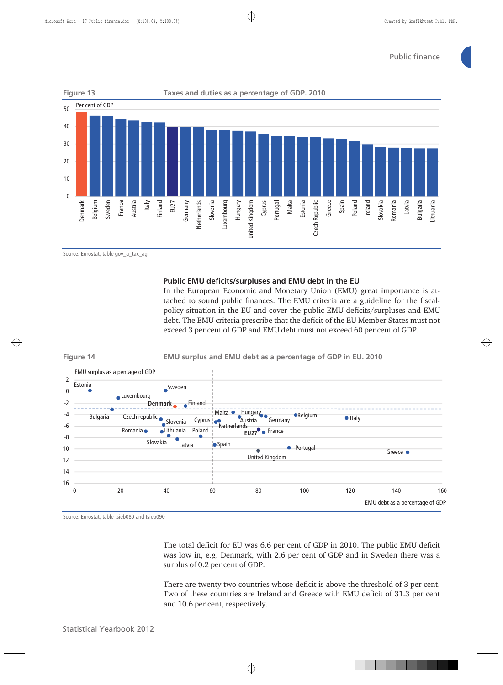

Source: Eurostat, table gov\_a\_tax\_ag

#### **Public EMU deficits/surpluses and EMU debt in the EU**

In the European Economic and Monetary Union (EMU) great importance is attached to sound public finances. The EMU criteria are a guideline for the fiscalpolicy situation in the EU and cover the public EMU deficits/surpluses and EMU debt. The EMU criteria prescribe that the deficit of the EU Member States must not exceed 3 per cent of GDP and EMU debt must not exceed 60 per cent of GDP.

#### **Figure 14 EMU surplus and EMU debt as a percentage of GDP in EU. 2010**



Source: Eurostat, table tsieb080 and tsieb090

The total deficit for EU was 6.6 per cent of GDP in 2010. The public EMU deficit was low in, e.g. Denmark, with 2.6 per cent of GDP and in Sweden there was a surplus of 0.2 per cent of GDP.

There are twenty two countries whose deficit is above the threshold of 3 per cent. Two of these countries are Ireland and Greece with EMU deficit of 31.3 per cent and 10.6 per cent, respectively.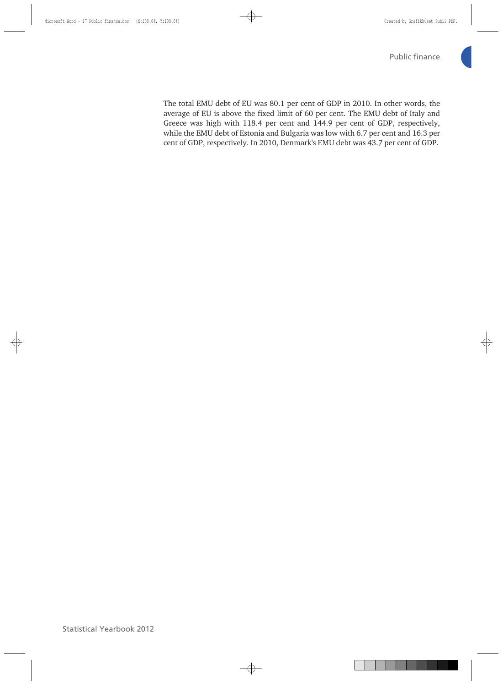The total EMU debt of EU was 80.1 per cent of GDP in 2010. In other words, the average of EU is above the fixed limit of 60 per cent. The EMU debt of Italy and Greece was high with 118.4 per cent and 144.9 per cent of GDP, respectively, while the EMU debt of Estonia and Bulgaria was low with 6.7 per cent and 16.3 per cent of GDP, respectively. In 2010, Denmark's EMU debt was 43.7 per cent of GDP.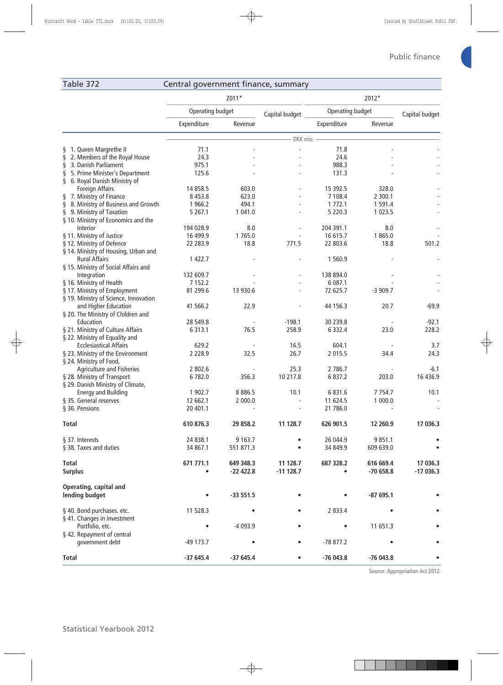## Table 372 Central government finance, summary

| Operating budget<br>Operating budget<br>Capital budget<br>Capital budget<br>Expenditure<br>Expenditure<br>Revenue<br>Revenue<br>DKK mio.<br>71.1<br>§ 1. Queen Margrethe II<br>71.8<br>2. Members of the Royal House<br>24.3<br>ş<br>24.6<br>3. Danish Parliament<br>975.1<br>988.3<br>ş<br>5. Prime Minister's Department<br>125.6<br>131.3<br>ş<br>§ 6. Royal Danish Ministry of<br><b>Foreign Affairs</b><br>14 8 58.5<br>603.0<br>15 392.5<br>328.0<br>§ 7. Ministry of Finance<br>8 4 5 3.8<br>623.0<br>7 108.4<br>2 300.1<br>§ 8. Ministry of Business and Growth<br>494.1<br>1 7 7 2 . 1<br>1 966.2<br>1 591.4<br>§ 9. Ministry of Taxation<br>1 041.0<br>5 2 2 0 . 3<br>5 2 6 7 .1<br>1 0 2 3 .5<br>§ 10. Ministry of Economics and the<br>194 028.9<br>204 391.1<br>8.0<br>Interior<br>8.0<br>§ 11. Ministry of Justice<br>16 499.9<br>1765.0<br>16 615.7<br>1865.0<br>§ 12. Ministry of Defence<br>501.2<br>771.5<br>22 283.9<br>18.8<br>22 803.6<br>18.8<br>§ 14. Ministry of Housing, Urban and<br><b>Rural Affairs</b><br>1 422.7<br>1 560.9<br>§ 15. Ministry of Social Affairs and<br>132 609.7<br>Integration<br>138 894.0<br>§ 16. Ministry of Health<br>7 1 5 2.2<br>6 087.1<br>81 299.6<br>13 930.6<br>72 625.7<br>§ 17. Ministry of Employment<br>$-3909.7$<br>§ 19. Ministry of Science, Innovation<br>and Higher Education<br>41 566.2<br>22.9<br>44 156.3<br>20.7<br>$-69.9$<br>§ 20. The Ministry of Children and<br>$-198.1$<br>Education<br>28 549.8<br>30 239.8<br>$-92.1$<br>§ 21. Ministry of Culture Affairs<br>76.5<br>258.9<br>6 3 1 3 . 1<br>6 3 3 2.4<br>23.0<br>228.2<br>§ 22. Ministry of Equality and<br>16.5<br><b>Ecclesiastical Affairs</b><br>629.2<br>604.1<br>3.7<br>26.7<br>§ 23. Ministry of the Environment<br>2 2 2 8 . 9<br>32.5<br>2 0 1 5 .5<br>34.4<br>24.3<br>§ 24. Ministry of Food,<br><b>Agriculture and Fisheries</b><br>2 802.6<br>2 786.7<br>25.3<br>$-6.1$<br>§ 28. Ministry of Transport<br>6782.0<br>356.3<br>10 217.8<br>6 8 3 7 . 2<br>203.0<br>16 43 6.9<br>§ 29. Danish Ministry of Climate,<br><b>Energy and Building</b><br>8 8 8 6.5<br>10.1<br>1 902.7<br>6 8 3 1 . 6<br>7 7 5 4 . 7<br>10.1<br>12 662.1<br>2 000.0<br>§ 35. General reserves<br>11 624.5<br>1 000.0<br>21 786.0<br>§ 36. Pensions<br>20 401.1<br>610 876.3<br>29 858.2<br>12 260.9<br>17 036.3<br><b>Total</b><br>11 128.7<br>626 901.5<br>24 838.1<br>9 1 6 3 . 7<br>26 044.9<br>9 8 5 1.1<br>§ 37. Interests<br>§ 38. Taxes and duties<br>34 867.1<br>551 871.3<br>34 849.9<br>609 639.0<br>17 036.3<br>Total<br>671 771.1<br>11 128.7<br>687 328.2<br>616 669.4<br>649 348.3<br><b>Surplus</b><br>$-11$ 128.7<br>$-70658.8$<br>$-17036.3$<br>$-22422.8$<br>$\bullet$<br>Operating, capital and<br>lending budget<br>$-33551.5$<br>$-87695.1$<br>§ 40. Bond purchases. etc.<br>11 528.3<br>2 8 3 3.4<br>§ 41. Changes in investment<br>Portfolio, etc.<br>-4 093.9<br>11 651.3<br>§ 42. Repayment of central<br>government debt<br>-49 173.7<br>-78 877.2<br>٠<br>$-37645.4$<br>$-37645.4$<br>$-76043.8$<br>$-76043.8$<br><b>Total</b><br>$\bullet$ |  | 2011* | 2012* |  |  |
|---------------------------------------------------------------------------------------------------------------------------------------------------------------------------------------------------------------------------------------------------------------------------------------------------------------------------------------------------------------------------------------------------------------------------------------------------------------------------------------------------------------------------------------------------------------------------------------------------------------------------------------------------------------------------------------------------------------------------------------------------------------------------------------------------------------------------------------------------------------------------------------------------------------------------------------------------------------------------------------------------------------------------------------------------------------------------------------------------------------------------------------------------------------------------------------------------------------------------------------------------------------------------------------------------------------------------------------------------------------------------------------------------------------------------------------------------------------------------------------------------------------------------------------------------------------------------------------------------------------------------------------------------------------------------------------------------------------------------------------------------------------------------------------------------------------------------------------------------------------------------------------------------------------------------------------------------------------------------------------------------------------------------------------------------------------------------------------------------------------------------------------------------------------------------------------------------------------------------------------------------------------------------------------------------------------------------------------------------------------------------------------------------------------------------------------------------------------------------------------------------------------------------------------------------------------------------------------------------------------------------------------------------------------------------------------------------------------------------------------------------------------------------------------------------------------------------------------------------------------------------------------------------------------------------------------------------------------------------------------------------------------------------------------------------------------------------------------------|--|-------|-------|--|--|
|                                                                                                                                                                                                                                                                                                                                                                                                                                                                                                                                                                                                                                                                                                                                                                                                                                                                                                                                                                                                                                                                                                                                                                                                                                                                                                                                                                                                                                                                                                                                                                                                                                                                                                                                                                                                                                                                                                                                                                                                                                                                                                                                                                                                                                                                                                                                                                                                                                                                                                                                                                                                                                                                                                                                                                                                                                                                                                                                                                                                                                                                                             |  |       |       |  |  |
|                                                                                                                                                                                                                                                                                                                                                                                                                                                                                                                                                                                                                                                                                                                                                                                                                                                                                                                                                                                                                                                                                                                                                                                                                                                                                                                                                                                                                                                                                                                                                                                                                                                                                                                                                                                                                                                                                                                                                                                                                                                                                                                                                                                                                                                                                                                                                                                                                                                                                                                                                                                                                                                                                                                                                                                                                                                                                                                                                                                                                                                                                             |  |       |       |  |  |
|                                                                                                                                                                                                                                                                                                                                                                                                                                                                                                                                                                                                                                                                                                                                                                                                                                                                                                                                                                                                                                                                                                                                                                                                                                                                                                                                                                                                                                                                                                                                                                                                                                                                                                                                                                                                                                                                                                                                                                                                                                                                                                                                                                                                                                                                                                                                                                                                                                                                                                                                                                                                                                                                                                                                                                                                                                                                                                                                                                                                                                                                                             |  |       |       |  |  |
|                                                                                                                                                                                                                                                                                                                                                                                                                                                                                                                                                                                                                                                                                                                                                                                                                                                                                                                                                                                                                                                                                                                                                                                                                                                                                                                                                                                                                                                                                                                                                                                                                                                                                                                                                                                                                                                                                                                                                                                                                                                                                                                                                                                                                                                                                                                                                                                                                                                                                                                                                                                                                                                                                                                                                                                                                                                                                                                                                                                                                                                                                             |  |       |       |  |  |
|                                                                                                                                                                                                                                                                                                                                                                                                                                                                                                                                                                                                                                                                                                                                                                                                                                                                                                                                                                                                                                                                                                                                                                                                                                                                                                                                                                                                                                                                                                                                                                                                                                                                                                                                                                                                                                                                                                                                                                                                                                                                                                                                                                                                                                                                                                                                                                                                                                                                                                                                                                                                                                                                                                                                                                                                                                                                                                                                                                                                                                                                                             |  |       |       |  |  |
|                                                                                                                                                                                                                                                                                                                                                                                                                                                                                                                                                                                                                                                                                                                                                                                                                                                                                                                                                                                                                                                                                                                                                                                                                                                                                                                                                                                                                                                                                                                                                                                                                                                                                                                                                                                                                                                                                                                                                                                                                                                                                                                                                                                                                                                                                                                                                                                                                                                                                                                                                                                                                                                                                                                                                                                                                                                                                                                                                                                                                                                                                             |  |       |       |  |  |
|                                                                                                                                                                                                                                                                                                                                                                                                                                                                                                                                                                                                                                                                                                                                                                                                                                                                                                                                                                                                                                                                                                                                                                                                                                                                                                                                                                                                                                                                                                                                                                                                                                                                                                                                                                                                                                                                                                                                                                                                                                                                                                                                                                                                                                                                                                                                                                                                                                                                                                                                                                                                                                                                                                                                                                                                                                                                                                                                                                                                                                                                                             |  |       |       |  |  |
|                                                                                                                                                                                                                                                                                                                                                                                                                                                                                                                                                                                                                                                                                                                                                                                                                                                                                                                                                                                                                                                                                                                                                                                                                                                                                                                                                                                                                                                                                                                                                                                                                                                                                                                                                                                                                                                                                                                                                                                                                                                                                                                                                                                                                                                                                                                                                                                                                                                                                                                                                                                                                                                                                                                                                                                                                                                                                                                                                                                                                                                                                             |  |       |       |  |  |
|                                                                                                                                                                                                                                                                                                                                                                                                                                                                                                                                                                                                                                                                                                                                                                                                                                                                                                                                                                                                                                                                                                                                                                                                                                                                                                                                                                                                                                                                                                                                                                                                                                                                                                                                                                                                                                                                                                                                                                                                                                                                                                                                                                                                                                                                                                                                                                                                                                                                                                                                                                                                                                                                                                                                                                                                                                                                                                                                                                                                                                                                                             |  |       |       |  |  |
|                                                                                                                                                                                                                                                                                                                                                                                                                                                                                                                                                                                                                                                                                                                                                                                                                                                                                                                                                                                                                                                                                                                                                                                                                                                                                                                                                                                                                                                                                                                                                                                                                                                                                                                                                                                                                                                                                                                                                                                                                                                                                                                                                                                                                                                                                                                                                                                                                                                                                                                                                                                                                                                                                                                                                                                                                                                                                                                                                                                                                                                                                             |  |       |       |  |  |
|                                                                                                                                                                                                                                                                                                                                                                                                                                                                                                                                                                                                                                                                                                                                                                                                                                                                                                                                                                                                                                                                                                                                                                                                                                                                                                                                                                                                                                                                                                                                                                                                                                                                                                                                                                                                                                                                                                                                                                                                                                                                                                                                                                                                                                                                                                                                                                                                                                                                                                                                                                                                                                                                                                                                                                                                                                                                                                                                                                                                                                                                                             |  |       |       |  |  |
|                                                                                                                                                                                                                                                                                                                                                                                                                                                                                                                                                                                                                                                                                                                                                                                                                                                                                                                                                                                                                                                                                                                                                                                                                                                                                                                                                                                                                                                                                                                                                                                                                                                                                                                                                                                                                                                                                                                                                                                                                                                                                                                                                                                                                                                                                                                                                                                                                                                                                                                                                                                                                                                                                                                                                                                                                                                                                                                                                                                                                                                                                             |  |       |       |  |  |
|                                                                                                                                                                                                                                                                                                                                                                                                                                                                                                                                                                                                                                                                                                                                                                                                                                                                                                                                                                                                                                                                                                                                                                                                                                                                                                                                                                                                                                                                                                                                                                                                                                                                                                                                                                                                                                                                                                                                                                                                                                                                                                                                                                                                                                                                                                                                                                                                                                                                                                                                                                                                                                                                                                                                                                                                                                                                                                                                                                                                                                                                                             |  |       |       |  |  |
|                                                                                                                                                                                                                                                                                                                                                                                                                                                                                                                                                                                                                                                                                                                                                                                                                                                                                                                                                                                                                                                                                                                                                                                                                                                                                                                                                                                                                                                                                                                                                                                                                                                                                                                                                                                                                                                                                                                                                                                                                                                                                                                                                                                                                                                                                                                                                                                                                                                                                                                                                                                                                                                                                                                                                                                                                                                                                                                                                                                                                                                                                             |  |       |       |  |  |
|                                                                                                                                                                                                                                                                                                                                                                                                                                                                                                                                                                                                                                                                                                                                                                                                                                                                                                                                                                                                                                                                                                                                                                                                                                                                                                                                                                                                                                                                                                                                                                                                                                                                                                                                                                                                                                                                                                                                                                                                                                                                                                                                                                                                                                                                                                                                                                                                                                                                                                                                                                                                                                                                                                                                                                                                                                                                                                                                                                                                                                                                                             |  |       |       |  |  |
|                                                                                                                                                                                                                                                                                                                                                                                                                                                                                                                                                                                                                                                                                                                                                                                                                                                                                                                                                                                                                                                                                                                                                                                                                                                                                                                                                                                                                                                                                                                                                                                                                                                                                                                                                                                                                                                                                                                                                                                                                                                                                                                                                                                                                                                                                                                                                                                                                                                                                                                                                                                                                                                                                                                                                                                                                                                                                                                                                                                                                                                                                             |  |       |       |  |  |
|                                                                                                                                                                                                                                                                                                                                                                                                                                                                                                                                                                                                                                                                                                                                                                                                                                                                                                                                                                                                                                                                                                                                                                                                                                                                                                                                                                                                                                                                                                                                                                                                                                                                                                                                                                                                                                                                                                                                                                                                                                                                                                                                                                                                                                                                                                                                                                                                                                                                                                                                                                                                                                                                                                                                                                                                                                                                                                                                                                                                                                                                                             |  |       |       |  |  |
|                                                                                                                                                                                                                                                                                                                                                                                                                                                                                                                                                                                                                                                                                                                                                                                                                                                                                                                                                                                                                                                                                                                                                                                                                                                                                                                                                                                                                                                                                                                                                                                                                                                                                                                                                                                                                                                                                                                                                                                                                                                                                                                                                                                                                                                                                                                                                                                                                                                                                                                                                                                                                                                                                                                                                                                                                                                                                                                                                                                                                                                                                             |  |       |       |  |  |
|                                                                                                                                                                                                                                                                                                                                                                                                                                                                                                                                                                                                                                                                                                                                                                                                                                                                                                                                                                                                                                                                                                                                                                                                                                                                                                                                                                                                                                                                                                                                                                                                                                                                                                                                                                                                                                                                                                                                                                                                                                                                                                                                                                                                                                                                                                                                                                                                                                                                                                                                                                                                                                                                                                                                                                                                                                                                                                                                                                                                                                                                                             |  |       |       |  |  |
|                                                                                                                                                                                                                                                                                                                                                                                                                                                                                                                                                                                                                                                                                                                                                                                                                                                                                                                                                                                                                                                                                                                                                                                                                                                                                                                                                                                                                                                                                                                                                                                                                                                                                                                                                                                                                                                                                                                                                                                                                                                                                                                                                                                                                                                                                                                                                                                                                                                                                                                                                                                                                                                                                                                                                                                                                                                                                                                                                                                                                                                                                             |  |       |       |  |  |
|                                                                                                                                                                                                                                                                                                                                                                                                                                                                                                                                                                                                                                                                                                                                                                                                                                                                                                                                                                                                                                                                                                                                                                                                                                                                                                                                                                                                                                                                                                                                                                                                                                                                                                                                                                                                                                                                                                                                                                                                                                                                                                                                                                                                                                                                                                                                                                                                                                                                                                                                                                                                                                                                                                                                                                                                                                                                                                                                                                                                                                                                                             |  |       |       |  |  |
|                                                                                                                                                                                                                                                                                                                                                                                                                                                                                                                                                                                                                                                                                                                                                                                                                                                                                                                                                                                                                                                                                                                                                                                                                                                                                                                                                                                                                                                                                                                                                                                                                                                                                                                                                                                                                                                                                                                                                                                                                                                                                                                                                                                                                                                                                                                                                                                                                                                                                                                                                                                                                                                                                                                                                                                                                                                                                                                                                                                                                                                                                             |  |       |       |  |  |
|                                                                                                                                                                                                                                                                                                                                                                                                                                                                                                                                                                                                                                                                                                                                                                                                                                                                                                                                                                                                                                                                                                                                                                                                                                                                                                                                                                                                                                                                                                                                                                                                                                                                                                                                                                                                                                                                                                                                                                                                                                                                                                                                                                                                                                                                                                                                                                                                                                                                                                                                                                                                                                                                                                                                                                                                                                                                                                                                                                                                                                                                                             |  |       |       |  |  |
|                                                                                                                                                                                                                                                                                                                                                                                                                                                                                                                                                                                                                                                                                                                                                                                                                                                                                                                                                                                                                                                                                                                                                                                                                                                                                                                                                                                                                                                                                                                                                                                                                                                                                                                                                                                                                                                                                                                                                                                                                                                                                                                                                                                                                                                                                                                                                                                                                                                                                                                                                                                                                                                                                                                                                                                                                                                                                                                                                                                                                                                                                             |  |       |       |  |  |
|                                                                                                                                                                                                                                                                                                                                                                                                                                                                                                                                                                                                                                                                                                                                                                                                                                                                                                                                                                                                                                                                                                                                                                                                                                                                                                                                                                                                                                                                                                                                                                                                                                                                                                                                                                                                                                                                                                                                                                                                                                                                                                                                                                                                                                                                                                                                                                                                                                                                                                                                                                                                                                                                                                                                                                                                                                                                                                                                                                                                                                                                                             |  |       |       |  |  |
|                                                                                                                                                                                                                                                                                                                                                                                                                                                                                                                                                                                                                                                                                                                                                                                                                                                                                                                                                                                                                                                                                                                                                                                                                                                                                                                                                                                                                                                                                                                                                                                                                                                                                                                                                                                                                                                                                                                                                                                                                                                                                                                                                                                                                                                                                                                                                                                                                                                                                                                                                                                                                                                                                                                                                                                                                                                                                                                                                                                                                                                                                             |  |       |       |  |  |
|                                                                                                                                                                                                                                                                                                                                                                                                                                                                                                                                                                                                                                                                                                                                                                                                                                                                                                                                                                                                                                                                                                                                                                                                                                                                                                                                                                                                                                                                                                                                                                                                                                                                                                                                                                                                                                                                                                                                                                                                                                                                                                                                                                                                                                                                                                                                                                                                                                                                                                                                                                                                                                                                                                                                                                                                                                                                                                                                                                                                                                                                                             |  |       |       |  |  |
|                                                                                                                                                                                                                                                                                                                                                                                                                                                                                                                                                                                                                                                                                                                                                                                                                                                                                                                                                                                                                                                                                                                                                                                                                                                                                                                                                                                                                                                                                                                                                                                                                                                                                                                                                                                                                                                                                                                                                                                                                                                                                                                                                                                                                                                                                                                                                                                                                                                                                                                                                                                                                                                                                                                                                                                                                                                                                                                                                                                                                                                                                             |  |       |       |  |  |
|                                                                                                                                                                                                                                                                                                                                                                                                                                                                                                                                                                                                                                                                                                                                                                                                                                                                                                                                                                                                                                                                                                                                                                                                                                                                                                                                                                                                                                                                                                                                                                                                                                                                                                                                                                                                                                                                                                                                                                                                                                                                                                                                                                                                                                                                                                                                                                                                                                                                                                                                                                                                                                                                                                                                                                                                                                                                                                                                                                                                                                                                                             |  |       |       |  |  |
|                                                                                                                                                                                                                                                                                                                                                                                                                                                                                                                                                                                                                                                                                                                                                                                                                                                                                                                                                                                                                                                                                                                                                                                                                                                                                                                                                                                                                                                                                                                                                                                                                                                                                                                                                                                                                                                                                                                                                                                                                                                                                                                                                                                                                                                                                                                                                                                                                                                                                                                                                                                                                                                                                                                                                                                                                                                                                                                                                                                                                                                                                             |  |       |       |  |  |
|                                                                                                                                                                                                                                                                                                                                                                                                                                                                                                                                                                                                                                                                                                                                                                                                                                                                                                                                                                                                                                                                                                                                                                                                                                                                                                                                                                                                                                                                                                                                                                                                                                                                                                                                                                                                                                                                                                                                                                                                                                                                                                                                                                                                                                                                                                                                                                                                                                                                                                                                                                                                                                                                                                                                                                                                                                                                                                                                                                                                                                                                                             |  |       |       |  |  |
|                                                                                                                                                                                                                                                                                                                                                                                                                                                                                                                                                                                                                                                                                                                                                                                                                                                                                                                                                                                                                                                                                                                                                                                                                                                                                                                                                                                                                                                                                                                                                                                                                                                                                                                                                                                                                                                                                                                                                                                                                                                                                                                                                                                                                                                                                                                                                                                                                                                                                                                                                                                                                                                                                                                                                                                                                                                                                                                                                                                                                                                                                             |  |       |       |  |  |
|                                                                                                                                                                                                                                                                                                                                                                                                                                                                                                                                                                                                                                                                                                                                                                                                                                                                                                                                                                                                                                                                                                                                                                                                                                                                                                                                                                                                                                                                                                                                                                                                                                                                                                                                                                                                                                                                                                                                                                                                                                                                                                                                                                                                                                                                                                                                                                                                                                                                                                                                                                                                                                                                                                                                                                                                                                                                                                                                                                                                                                                                                             |  |       |       |  |  |
|                                                                                                                                                                                                                                                                                                                                                                                                                                                                                                                                                                                                                                                                                                                                                                                                                                                                                                                                                                                                                                                                                                                                                                                                                                                                                                                                                                                                                                                                                                                                                                                                                                                                                                                                                                                                                                                                                                                                                                                                                                                                                                                                                                                                                                                                                                                                                                                                                                                                                                                                                                                                                                                                                                                                                                                                                                                                                                                                                                                                                                                                                             |  |       |       |  |  |
|                                                                                                                                                                                                                                                                                                                                                                                                                                                                                                                                                                                                                                                                                                                                                                                                                                                                                                                                                                                                                                                                                                                                                                                                                                                                                                                                                                                                                                                                                                                                                                                                                                                                                                                                                                                                                                                                                                                                                                                                                                                                                                                                                                                                                                                                                                                                                                                                                                                                                                                                                                                                                                                                                                                                                                                                                                                                                                                                                                                                                                                                                             |  |       |       |  |  |
|                                                                                                                                                                                                                                                                                                                                                                                                                                                                                                                                                                                                                                                                                                                                                                                                                                                                                                                                                                                                                                                                                                                                                                                                                                                                                                                                                                                                                                                                                                                                                                                                                                                                                                                                                                                                                                                                                                                                                                                                                                                                                                                                                                                                                                                                                                                                                                                                                                                                                                                                                                                                                                                                                                                                                                                                                                                                                                                                                                                                                                                                                             |  |       |       |  |  |
|                                                                                                                                                                                                                                                                                                                                                                                                                                                                                                                                                                                                                                                                                                                                                                                                                                                                                                                                                                                                                                                                                                                                                                                                                                                                                                                                                                                                                                                                                                                                                                                                                                                                                                                                                                                                                                                                                                                                                                                                                                                                                                                                                                                                                                                                                                                                                                                                                                                                                                                                                                                                                                                                                                                                                                                                                                                                                                                                                                                                                                                                                             |  |       |       |  |  |
|                                                                                                                                                                                                                                                                                                                                                                                                                                                                                                                                                                                                                                                                                                                                                                                                                                                                                                                                                                                                                                                                                                                                                                                                                                                                                                                                                                                                                                                                                                                                                                                                                                                                                                                                                                                                                                                                                                                                                                                                                                                                                                                                                                                                                                                                                                                                                                                                                                                                                                                                                                                                                                                                                                                                                                                                                                                                                                                                                                                                                                                                                             |  |       |       |  |  |
|                                                                                                                                                                                                                                                                                                                                                                                                                                                                                                                                                                                                                                                                                                                                                                                                                                                                                                                                                                                                                                                                                                                                                                                                                                                                                                                                                                                                                                                                                                                                                                                                                                                                                                                                                                                                                                                                                                                                                                                                                                                                                                                                                                                                                                                                                                                                                                                                                                                                                                                                                                                                                                                                                                                                                                                                                                                                                                                                                                                                                                                                                             |  |       |       |  |  |
|                                                                                                                                                                                                                                                                                                                                                                                                                                                                                                                                                                                                                                                                                                                                                                                                                                                                                                                                                                                                                                                                                                                                                                                                                                                                                                                                                                                                                                                                                                                                                                                                                                                                                                                                                                                                                                                                                                                                                                                                                                                                                                                                                                                                                                                                                                                                                                                                                                                                                                                                                                                                                                                                                                                                                                                                                                                                                                                                                                                                                                                                                             |  |       |       |  |  |
|                                                                                                                                                                                                                                                                                                                                                                                                                                                                                                                                                                                                                                                                                                                                                                                                                                                                                                                                                                                                                                                                                                                                                                                                                                                                                                                                                                                                                                                                                                                                                                                                                                                                                                                                                                                                                                                                                                                                                                                                                                                                                                                                                                                                                                                                                                                                                                                                                                                                                                                                                                                                                                                                                                                                                                                                                                                                                                                                                                                                                                                                                             |  |       |       |  |  |
|                                                                                                                                                                                                                                                                                                                                                                                                                                                                                                                                                                                                                                                                                                                                                                                                                                                                                                                                                                                                                                                                                                                                                                                                                                                                                                                                                                                                                                                                                                                                                                                                                                                                                                                                                                                                                                                                                                                                                                                                                                                                                                                                                                                                                                                                                                                                                                                                                                                                                                                                                                                                                                                                                                                                                                                                                                                                                                                                                                                                                                                                                             |  |       |       |  |  |
|                                                                                                                                                                                                                                                                                                                                                                                                                                                                                                                                                                                                                                                                                                                                                                                                                                                                                                                                                                                                                                                                                                                                                                                                                                                                                                                                                                                                                                                                                                                                                                                                                                                                                                                                                                                                                                                                                                                                                                                                                                                                                                                                                                                                                                                                                                                                                                                                                                                                                                                                                                                                                                                                                                                                                                                                                                                                                                                                                                                                                                                                                             |  |       |       |  |  |
|                                                                                                                                                                                                                                                                                                                                                                                                                                                                                                                                                                                                                                                                                                                                                                                                                                                                                                                                                                                                                                                                                                                                                                                                                                                                                                                                                                                                                                                                                                                                                                                                                                                                                                                                                                                                                                                                                                                                                                                                                                                                                                                                                                                                                                                                                                                                                                                                                                                                                                                                                                                                                                                                                                                                                                                                                                                                                                                                                                                                                                                                                             |  |       |       |  |  |
|                                                                                                                                                                                                                                                                                                                                                                                                                                                                                                                                                                                                                                                                                                                                                                                                                                                                                                                                                                                                                                                                                                                                                                                                                                                                                                                                                                                                                                                                                                                                                                                                                                                                                                                                                                                                                                                                                                                                                                                                                                                                                                                                                                                                                                                                                                                                                                                                                                                                                                                                                                                                                                                                                                                                                                                                                                                                                                                                                                                                                                                                                             |  |       |       |  |  |
|                                                                                                                                                                                                                                                                                                                                                                                                                                                                                                                                                                                                                                                                                                                                                                                                                                                                                                                                                                                                                                                                                                                                                                                                                                                                                                                                                                                                                                                                                                                                                                                                                                                                                                                                                                                                                                                                                                                                                                                                                                                                                                                                                                                                                                                                                                                                                                                                                                                                                                                                                                                                                                                                                                                                                                                                                                                                                                                                                                                                                                                                                             |  |       |       |  |  |
|                                                                                                                                                                                                                                                                                                                                                                                                                                                                                                                                                                                                                                                                                                                                                                                                                                                                                                                                                                                                                                                                                                                                                                                                                                                                                                                                                                                                                                                                                                                                                                                                                                                                                                                                                                                                                                                                                                                                                                                                                                                                                                                                                                                                                                                                                                                                                                                                                                                                                                                                                                                                                                                                                                                                                                                                                                                                                                                                                                                                                                                                                             |  |       |       |  |  |
|                                                                                                                                                                                                                                                                                                                                                                                                                                                                                                                                                                                                                                                                                                                                                                                                                                                                                                                                                                                                                                                                                                                                                                                                                                                                                                                                                                                                                                                                                                                                                                                                                                                                                                                                                                                                                                                                                                                                                                                                                                                                                                                                                                                                                                                                                                                                                                                                                                                                                                                                                                                                                                                                                                                                                                                                                                                                                                                                                                                                                                                                                             |  |       |       |  |  |
|                                                                                                                                                                                                                                                                                                                                                                                                                                                                                                                                                                                                                                                                                                                                                                                                                                                                                                                                                                                                                                                                                                                                                                                                                                                                                                                                                                                                                                                                                                                                                                                                                                                                                                                                                                                                                                                                                                                                                                                                                                                                                                                                                                                                                                                                                                                                                                                                                                                                                                                                                                                                                                                                                                                                                                                                                                                                                                                                                                                                                                                                                             |  |       |       |  |  |
|                                                                                                                                                                                                                                                                                                                                                                                                                                                                                                                                                                                                                                                                                                                                                                                                                                                                                                                                                                                                                                                                                                                                                                                                                                                                                                                                                                                                                                                                                                                                                                                                                                                                                                                                                                                                                                                                                                                                                                                                                                                                                                                                                                                                                                                                                                                                                                                                                                                                                                                                                                                                                                                                                                                                                                                                                                                                                                                                                                                                                                                                                             |  |       |       |  |  |
|                                                                                                                                                                                                                                                                                                                                                                                                                                                                                                                                                                                                                                                                                                                                                                                                                                                                                                                                                                                                                                                                                                                                                                                                                                                                                                                                                                                                                                                                                                                                                                                                                                                                                                                                                                                                                                                                                                                                                                                                                                                                                                                                                                                                                                                                                                                                                                                                                                                                                                                                                                                                                                                                                                                                                                                                                                                                                                                                                                                                                                                                                             |  |       |       |  |  |
|                                                                                                                                                                                                                                                                                                                                                                                                                                                                                                                                                                                                                                                                                                                                                                                                                                                                                                                                                                                                                                                                                                                                                                                                                                                                                                                                                                                                                                                                                                                                                                                                                                                                                                                                                                                                                                                                                                                                                                                                                                                                                                                                                                                                                                                                                                                                                                                                                                                                                                                                                                                                                                                                                                                                                                                                                                                                                                                                                                                                                                                                                             |  |       |       |  |  |
|                                                                                                                                                                                                                                                                                                                                                                                                                                                                                                                                                                                                                                                                                                                                                                                                                                                                                                                                                                                                                                                                                                                                                                                                                                                                                                                                                                                                                                                                                                                                                                                                                                                                                                                                                                                                                                                                                                                                                                                                                                                                                                                                                                                                                                                                                                                                                                                                                                                                                                                                                                                                                                                                                                                                                                                                                                                                                                                                                                                                                                                                                             |  |       |       |  |  |
|                                                                                                                                                                                                                                                                                                                                                                                                                                                                                                                                                                                                                                                                                                                                                                                                                                                                                                                                                                                                                                                                                                                                                                                                                                                                                                                                                                                                                                                                                                                                                                                                                                                                                                                                                                                                                                                                                                                                                                                                                                                                                                                                                                                                                                                                                                                                                                                                                                                                                                                                                                                                                                                                                                                                                                                                                                                                                                                                                                                                                                                                                             |  |       |       |  |  |
|                                                                                                                                                                                                                                                                                                                                                                                                                                                                                                                                                                                                                                                                                                                                                                                                                                                                                                                                                                                                                                                                                                                                                                                                                                                                                                                                                                                                                                                                                                                                                                                                                                                                                                                                                                                                                                                                                                                                                                                                                                                                                                                                                                                                                                                                                                                                                                                                                                                                                                                                                                                                                                                                                                                                                                                                                                                                                                                                                                                                                                                                                             |  |       |       |  |  |
|                                                                                                                                                                                                                                                                                                                                                                                                                                                                                                                                                                                                                                                                                                                                                                                                                                                                                                                                                                                                                                                                                                                                                                                                                                                                                                                                                                                                                                                                                                                                                                                                                                                                                                                                                                                                                                                                                                                                                                                                                                                                                                                                                                                                                                                                                                                                                                                                                                                                                                                                                                                                                                                                                                                                                                                                                                                                                                                                                                                                                                                                                             |  |       |       |  |  |
|                                                                                                                                                                                                                                                                                                                                                                                                                                                                                                                                                                                                                                                                                                                                                                                                                                                                                                                                                                                                                                                                                                                                                                                                                                                                                                                                                                                                                                                                                                                                                                                                                                                                                                                                                                                                                                                                                                                                                                                                                                                                                                                                                                                                                                                                                                                                                                                                                                                                                                                                                                                                                                                                                                                                                                                                                                                                                                                                                                                                                                                                                             |  |       |       |  |  |
|                                                                                                                                                                                                                                                                                                                                                                                                                                                                                                                                                                                                                                                                                                                                                                                                                                                                                                                                                                                                                                                                                                                                                                                                                                                                                                                                                                                                                                                                                                                                                                                                                                                                                                                                                                                                                                                                                                                                                                                                                                                                                                                                                                                                                                                                                                                                                                                                                                                                                                                                                                                                                                                                                                                                                                                                                                                                                                                                                                                                                                                                                             |  |       |       |  |  |

Source: Appropriation Act 2012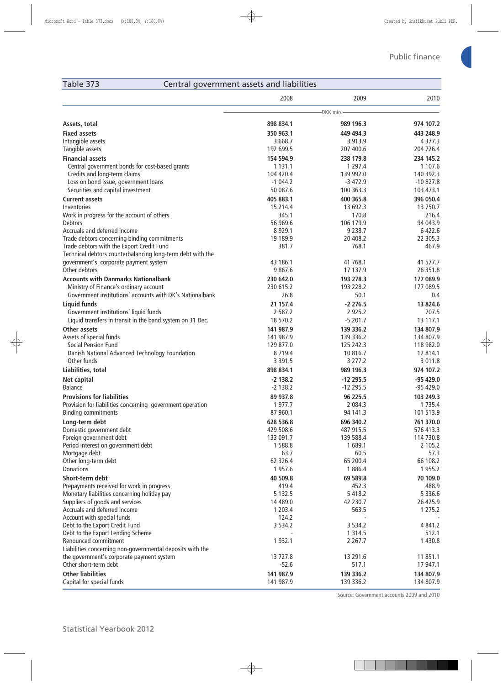## Table 373 Central government assets and liabilities

|                                                            | 2008        | 2009        | 2010        |
|------------------------------------------------------------|-------------|-------------|-------------|
|                                                            |             | -DKK mio.   |             |
| Assets, total                                              | 898 834.1   | 989 196.3   | 974 107.2   |
| <b>Fixed assets</b>                                        | 350 963.1   | 449 494.3   | 443 248.9   |
| Intangible assets                                          | 3 668.7     | 3 9 1 3 . 9 | 4 3 7 7 . 3 |
| Tangible assets                                            | 192 699.5   | 207 400.6   | 204 726.4   |
| <b>Financial assets</b>                                    | 154 594.9   | 238 179.8   | 234 145.2   |
| Central government bonds for cost-based grants             | 1 1 3 1 . 1 | 1 2 9 7 . 4 | 1 1 0 7 .6  |
| Credits and long-term claims                               | 104 420.4   | 139 992.0   | 140 392.3   |
| Loss on bond issue, government loans                       | $-1044.2$   | $-3472.9$   | $-10827.8$  |
| Securities and capital investment                          | 50 087.6    | 100 363.3   | 103 473.1   |
| <b>Current assets</b>                                      | 405 883.1   | 400 365.8   | 396 050.4   |
| Inventories                                                | 15 214.4    | 13 692.3    | 13 750.7    |
| Work in progress for the account of others                 | 345.1       | 170.8       | 216.4       |
| <b>Debtors</b>                                             | 56 969.6    | 106 179.9   | 94 043.9    |
| Accruals and deferred income                               | 8 9 2 9 . 1 | 9 2 3 8.7   | 6422.6      |
| Trade debtors concerning binding commitments               | 19 189.9    | 20 408.2    | 22 305.3    |
| Trade debtors with the Export Credit Fund                  | 381.7       | 768.1       | 467.9       |
| Technical debtors counterbalancing long-term debt with the |             |             |             |
| government's corporate payment system                      | 43 186.1    | 41 768.1    | 41 577.7    |
| Other debtors                                              | 9867.6      | 17 137.9    | 26 351.8    |
| <b>Accounts with Danmarks Nationalbank</b>                 | 230 642.0   | 193 278.3   | 177 089.9   |
| Ministry of Finance's ordinary account                     | 230 615.2   | 193 228.2   | 177 089.5   |
| Government institutions' accounts with DK's Nationalbank   | 26.8        | 50.1        | 0.4         |
| <b>Liquid funds</b>                                        | 21 157.4    | $-2276.5$   | 13 824.6    |
| Government institutions' liquid funds                      | 2 5 8 7 .2  | 2 9 2 5.2   | 707.5       |
| Liquid transfers in transit in the band system on 31 Dec.  | 18 570.2    | $-5201.7$   | 13 117.1    |
| Other assets                                               | 141 987.9   | 139 336.2   | 134 807.9   |
| Assets of special funds                                    | 141 987.9   | 139 336.2   | 134 807.9   |
| <b>Social Pension Fund</b>                                 | 129 877.0   | 125 242.3   | 118 982.0   |
| Danish National Advanced Technology Foundation             | 8719.4      | 10 816.7    | 12 814.1    |
| Other funds                                                | 3 3 9 1 .5  | 3 2 7 7 . 2 | 3 0 1 1.8   |
| Liabilities, total                                         | 898 834.1   | 989 196.3   | 974 107.2   |
| Net capital                                                | $-2$ 138.2  | $-12295.5$  | -95 429.0   |
| <b>Balance</b>                                             | $-2$ 138.2  | $-12295.5$  | -95 429.0   |
| <b>Provisions for liabilities</b>                          | 89 937.8    | 96 225.5    | 103 249.3   |
| Provision for liabilities concerning government operation  | 1977.7      | 2 0 8 4 .3  | 1 7 3 5.4   |
| <b>Binding commitments</b>                                 | 87 960.1    | 94 141.3    | 101 513.9   |
| Long-term debt                                             | 628 536.8   | 696 340.2   | 761 370.0   |
| Domestic government debt                                   | 429 508.6   | 487 915.5   | 576 413.3   |
| Foreign government debt                                    | 133 091.7   | 139 588.4   | 114 730.8   |
| Period interest on government debt                         | 1588.8      | 1689.1      | 2 105.2     |
| Mortgage debt                                              | 63.7        | 60.5        | 57.3        |
| Other long-term debt                                       | 62 326.4    | 65 200.4    | 66 108.2    |
| <b>Donations</b>                                           | 1957.6      | 1886.4      | 1 955.2     |
| Short-term debt                                            | 40 509.8    | 69 589.8    | 70 109.0    |
| Prepayments received for work in progress                  | 419.4       | 452.3       | 488.9       |
| Monetary liabilities concerning holiday pay                | 5 1 3 2 . 5 | 5 4 18.2    | 5 3 3 6 . 6 |
| Suppliers of goods and services                            | 14 489.0    | 42 230.7    | 26 425.9    |
| Accruals and deferred income                               | 1 203.4     | 563.5       | 1 275.2     |
| Account with special funds                                 | 124.2       |             |             |
| Debt to the Export Credit Fund                             | 3 5 3 4 . 2 | 3 5 3 4 . 2 | 4 841.2     |
| Debt to the Export Lending Scheme                          |             | 1 3 1 4 .5  | 512.1       |
| Renounced commitment                                       | 1 9 3 2.1   | 2 2 6 7 . 7 | 1 430.8     |
| Liabilities concerning non-governmental deposits with the  |             |             |             |
| the government's corporate payment system                  | 13 727.8    | 13 291.6    | 11 851.1    |
| Other short-term debt                                      | $-52.6$     | 517.1       | 17 947.1    |
| <b>Other liabilities</b>                                   | 141 987.9   | 139 336.2   | 134 807.9   |
| Capital for special funds                                  | 141 987.9   | 139 336.2   | 134 807.9   |

Source: Government accounts 2009 and 2010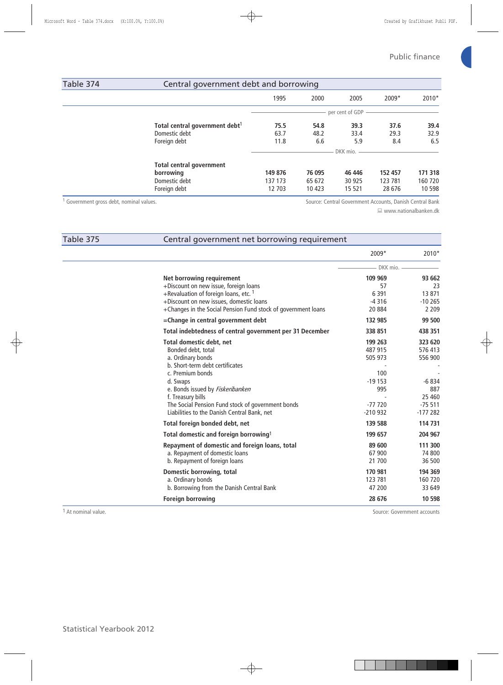| Table 374 | Central government debt and borrowing      |         |        |                 |         |         |
|-----------|--------------------------------------------|---------|--------|-----------------|---------|---------|
|           |                                            | 1995    | 2000   | 2005            | $2009*$ | 2010*   |
|           |                                            |         |        | per cent of GDP |         |         |
|           | Total central government debt <sup>1</sup> | 75.5    | 54.8   | 39.3            | 37.6    | 39.4    |
|           | Domestic debt                              | 63.7    | 48.2   | 33.4            | 29.3    | 32.9    |
|           | Foreign debt                               | 11.8    | 6.6    | 5.9             | 8.4     | 6.5     |
|           |                                            |         |        | DKK mio. -      |         |         |
|           | <b>Total central government</b>            |         |        |                 |         |         |
|           | borrowing                                  | 149 876 | 76 095 | 46 44 6         | 152 457 | 171 318 |
|           | Domestic debt                              | 137 173 | 65 672 | 30 925          | 123 781 | 160 720 |
|           | Foreign debt                               | 12 703  | 10 423 | 15 5 21         | 28 676  | 10 5 98 |

<sup>1</sup> Government gross debt, nominal values.

Source: Central Government Accounts, Danish Central Bank

www.nationalbanken.dk

| Table 375 | Central government net borrowing requirement                  |            |           |
|-----------|---------------------------------------------------------------|------------|-----------|
|           |                                                               | 2009*      | 2010*     |
|           |                                                               | DKK mio. - |           |
|           | Net borrowing requirement                                     | 109 969    | 93 662    |
|           | +Discount on new issue, foreign loans                         | 57         | 23        |
|           | +Revaluation of foreign loans, etc. 1                         | 6 3 9 1    | 13 871    |
|           | +Discount on new issues, domestic loans                       | $-4316$    | $-10265$  |
|           | +Changes in the Social Pension Fund stock of government loans | 20884      | 2 2 0 9   |
|           | =Change in central government debt                            | 132 985    | 99 500    |
|           | Total indebtedness of central government per 31 December      | 338 851    | 438 351   |
|           | Total domestic debt, net                                      | 199 263    | 323 620   |
|           | Bonded debt, total                                            | 487 915    | 576 413   |
|           | a. Ordinary bonds                                             | 505 973    | 556 900   |
|           | b. Short-term debt certificates                               |            |           |
|           | c. Premium bonds                                              | 100        |           |
|           | d. Swaps                                                      | $-19153$   | $-6834$   |
|           | e. Bonds issued by Fiskeribanken                              | 995        | 887       |
|           | f. Treasury bills                                             |            | 25 4 60   |
|           | The Social Pension Fund stock of government bonds             | $-77720$   | $-75511$  |
|           | Liabilities to the Danish Central Bank, net                   | $-210932$  | $-177282$ |
|           | Total foreign bonded debt, net                                | 139 588    | 114 731   |
|           | Total domestic and foreign borrowing <sup>1</sup>             | 199 657    | 204 967   |
|           | Repayment of domestic and foreign loans, total                | 89 600     | 111 300   |
|           | a. Repayment of domestic loans                                | 67 900     | 74 800    |
|           | b. Repayment of foreign loans                                 | 21 700     | 36 500    |
|           | Domestic borrowing, total                                     | 170 981    | 194 369   |
|           | a. Ordinary bonds                                             | 123 781    | 160 720   |
|           | b. Borrowing from the Danish Central Bank                     | 47 200     | 33 649    |
|           | <b>Foreign borrowing</b>                                      | 28 676     | 10 598    |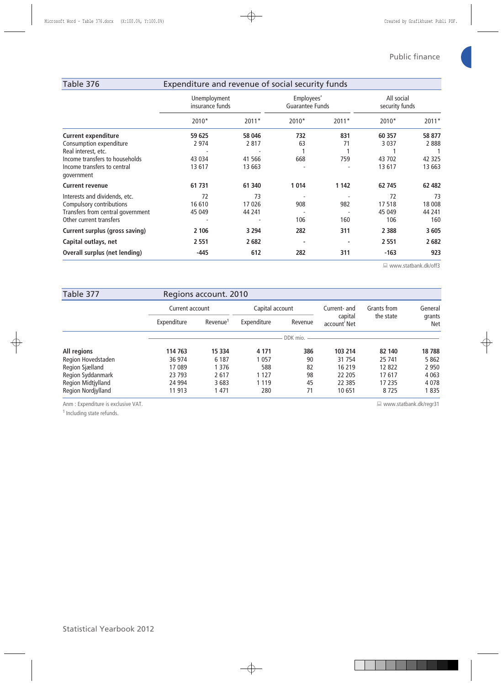| Table 376                                                                                                                                                   | Expenditure and revenue of social security funds |                                    |                  |                                      |                                       |                                      |  |  |
|-------------------------------------------------------------------------------------------------------------------------------------------------------------|--------------------------------------------------|------------------------------------|------------------|--------------------------------------|---------------------------------------|--------------------------------------|--|--|
|                                                                                                                                                             | Unemployment<br>insurance funds                  |                                    |                  | Employees'<br><b>Guarantee Funds</b> |                                       | All social<br>security funds         |  |  |
|                                                                                                                                                             | 2010*                                            | $2011*$                            | 2010*            | $2011*$                              | 2010*                                 | $2011*$                              |  |  |
| <b>Current expenditure</b><br>Consumption expenditure<br>Real interest, etc.<br>Income transfers to households<br>Income transfers to central<br>qovernment | 59 625<br>2 9 7 4<br>43 0 34<br>13 617           | 58 046<br>2817<br>41 566<br>13 663 | 732<br>63<br>668 | 831<br>71<br>759                     | 60 357<br>3 0 3 7<br>43 702<br>13 617 | 58 877<br>2888<br>42 3 2 5<br>13 663 |  |  |
| <b>Current revenue</b>                                                                                                                                      | 61 731                                           | 61 340                             | 1014             | 1 1 4 2                              | 62 745                                | 62 482                               |  |  |
| Interests and dividends, etc.<br>Compulsory contributions<br>Transfers from central government<br>Other current transfers                                   | 72<br>16 610<br>45 049                           | 73<br>17026<br>44 241              | 908<br>106       | 982<br>160                           | 72<br>17518<br>45 049<br>106          | 73<br>18 008<br>44 241<br>160        |  |  |
| <b>Current surplus (gross saving)</b>                                                                                                                       | 2 106                                            | 3 2 9 4                            | 282              | 311                                  | 2 3 8 8                               | 3 6 0 5                              |  |  |
| Capital outlays, net                                                                                                                                        | 2 5 5 1                                          | 2682                               |                  |                                      | 2 5 5 1                               | 2682                                 |  |  |
| Overall surplus (net lending)                                                                                                                               | $-445$                                           | 612                                | 282              | 311                                  | $-163$                                | 923                                  |  |  |

www.statbank.dk/off3

| Table 377          |             | Regions account. 2010 |             |                 |                                     |             |                      |
|--------------------|-------------|-----------------------|-------------|-----------------|-------------------------------------|-------------|----------------------|
|                    |             | Current account       |             | Capital account |                                     | Grants from | General              |
|                    | Expenditure | Revenue <sup>1</sup>  | Expenditure | Revenue         | capital<br>account <sup>'</sup> Net | the state   | grants<br><b>Net</b> |
|                    |             |                       |             | DDK mio.        |                                     |             |                      |
| All regions        | 114 763     | 15 3 34               | 4 1 7 1     | 386             | 103 214                             | 82 140      | 18 788               |
| Region Hovedstaden | 36 974      | 6 1 8 7               | 057         | 90              | 31 7 54                             | 25 741      | 5 8 6 2              |
| Region Sjælland    | 17 089      | 1 3 7 6               | 588         | 82              | 16 219                              | 12822       | 2 9 5 0              |
| Region Syddanmark  | 23 7 93     | 2617                  | 1 127       | 98              | 22 205                              | 17617       | 4 0 6 3              |
| Region Midtjylland | 24 9 94     | 3683                  | 1119        | 45              | 22 3 8 5                            | 17 235      | 4078                 |
| Region Nordjylland | 11 913      | 1 4 7 1               | 280         | 71              | 10651                               | 8725        | 1835                 |

Anm : Expenditure is exclusive VAT.

 $1$  Including state refunds.

www.statbank.dk/regr31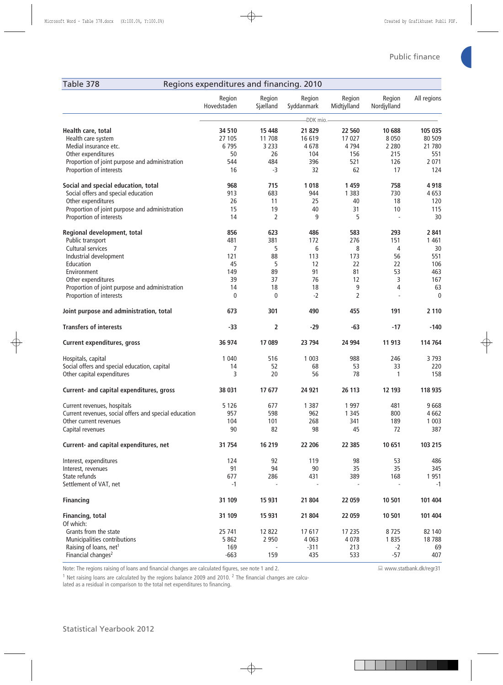www.statbank.dk/regr31

| Table 378<br>Regions expenditures and financing. 2010                      |                       |                    |                      |                       |                          |                   |
|----------------------------------------------------------------------------|-----------------------|--------------------|----------------------|-----------------------|--------------------------|-------------------|
|                                                                            | Region<br>Hovedstaden | Region<br>Sjælland | Region<br>Syddanmark | Region<br>Midtjylland | Region<br>Nordjylland    | All regions       |
|                                                                            |                       |                    | -DDK mio.-           |                       |                          |                   |
| Health care, total<br>Health care system                                   | 34 510<br>27 105      | 15 4 48<br>11 708  | 21829<br>16 619      | 22 560<br>17 027      | 10 688<br>8 0 5 0        | 105 035<br>80 509 |
| Medial insurance etc.<br>Other expenditures                                | 6795<br>50            | 3 2 3 3<br>26      | 4678<br>104          | 4794<br>156           | 2 2 8 0<br>215           | 21 780<br>551     |
| Proportion of joint purpose and administration<br>Proportion of interests  | 544<br>16             | 484<br>-3          | 396<br>32            | 521<br>62             | 126<br>17                | 2 0 7 1<br>124    |
| Social and special education, total<br>Social offers and special education | 968<br>913            | 715<br>683         | 1018<br>944          | 1 4 5 9<br>1 3 8 3    | 758<br>730               | 4918<br>4653      |
| Other expenditures                                                         | 26                    | 11                 | 25                   | 40                    | 18                       | 120               |
| Proportion of joint purpose and administration                             | 15                    | 19                 | 40                   | 31                    | 10                       | 115               |
| Proportion of interests                                                    | 14                    | $\overline{2}$     | 9                    | 5                     | $\overline{\phantom{a}}$ | 30                |
| Regional development, total<br>Public transport                            | 856<br>481            | 623<br>381         | 486<br>172           | 583<br>276            | 293<br>151               | 2841<br>1 4 6 1   |
| Cultural services                                                          | $\overline{7}$        | 5                  | 6                    | 8                     | 4                        | 30                |
| Industrial development                                                     | 121                   | 88                 | 113                  | 173                   | 56                       | 551               |
| Education                                                                  | 45                    | 5                  | 12                   | 22                    | 22                       | 106               |
| Environment                                                                | 149                   | 89                 | 91                   | 81                    | 53                       | 463               |
| Other expenditures                                                         | 39                    | 37                 | 76                   | 12                    | 3                        | 167               |
| Proportion of joint purpose and administration                             | 14                    | 18                 | 18                   | 9                     | 4                        | 63                |
| Proportion of interests                                                    | 0                     | 0                  | $-2$                 | 2                     |                          | 0                 |
| Joint purpose and administration, total                                    | 673                   | 301                | 490                  | 455                   | 191                      | 2 1 1 0           |
| <b>Transfers of interests</b>                                              | -33                   | 2                  | $-29$                | $-63$                 | $-17$                    | $-140$            |
| <b>Current expenditures, gross</b>                                         | 36 974                | 17 089             | 23 794               | 24 994                | 11 913                   | 114 764           |
| Hospitals, capital                                                         | 1 0 4 0               | 516                | 1 0 0 3              | 988                   | 246                      | 3793              |
| Social offers and special education, capital                               | 14                    | 52                 | 68                   | 53                    | 33                       | 220               |
| Other capital expenditures                                                 | 3                     | 20                 | 56                   | 78                    | 1                        | 158               |
| Current- and capital expenditures, gross                                   | 38 031                | 17 677             | 24 9 21              | 26 113                | 12 193                   | 118 935           |
| Current revenues, hospitals                                                | 5 1 2 6               | 677                | 1 3 8 7              | 1 9 9 7               | 481                      | 9668              |
| Current revenues, social offers and special education                      | 957                   | 598                | 962                  | 1 3 4 5               | 800                      | 4 662             |
| Other current revenues                                                     | 104                   | 101                | 268                  | 341                   | 189                      | 1 0 0 3           |
| Capital revenues                                                           | 90                    | 82                 | 98                   | 45                    | 72                       | 387               |
| Current- and capital expenditures, net                                     | 31 754                | 16 219             | 22 206               | 22 385                | 10 651                   | 103 215           |
| Interest, expenditures                                                     | 124                   | 92                 | 119                  | 98                    | 53                       | 486               |
| Interest, revenues                                                         | 91                    | 94                 | 90                   | 35                    | 35                       | 345               |
| State refunds                                                              | 677                   | 286                | 431                  | 389                   | 168                      | 1951              |
| Settlement of VAT, net                                                     | $-1$                  |                    |                      |                       |                          | $-1$              |
| <b>Financing</b>                                                           | 31 109                | 15 931             | 21 804               | 22 059                | 10 501                   | 101 404           |
| <b>Financing, total</b><br>Of which:                                       | 31 109                | 15 931             | 21 804               | 22 059                | 10 501                   | 101 404           |
| Grants from the state                                                      | 25 741                | 12 822             | 17617                | 17 235                | 8725                     | 82 140            |
| Municipalities contributions                                               | 5 8 6 2               | 2 9 5 0            | 4 0 6 3              | 4 0 7 8               | 1835                     | 18788             |
| Raising of loans, net <sup>1</sup>                                         | 169                   |                    | $-311$               | 213                   | $-2$                     | 69                |
| Financial changes <sup>2</sup>                                             | $-663$                | 159                | 435                  | 533                   | $-57$                    | 407               |

Note: The regions raising of loans and financial changes are calculated figures, see note 1 and 2.

 $^1$  Net raising loans are calculated by the regions balance 2009 and 2010.  $^2$  The financial changes are calcu-

lated as a residual in comparison to the total net expenditures to financing.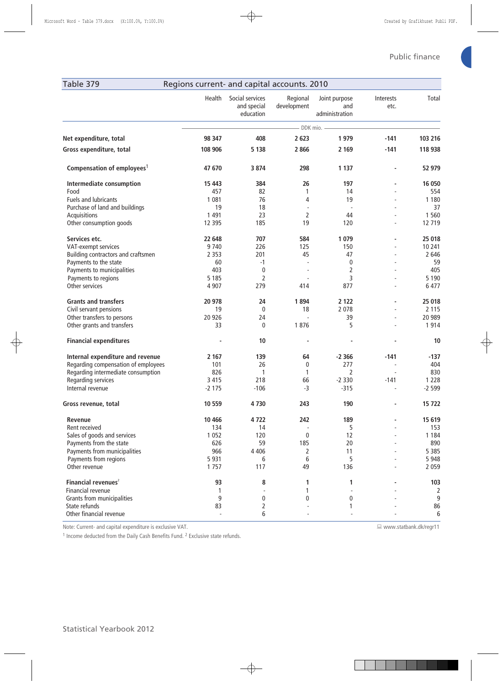$\equiv$  www.statbank.dk/regr11

| Table 379                              | Regions current- and capital accounts. 2010 |                                             |                         |                                        |                   |         |  |  |
|----------------------------------------|---------------------------------------------|---------------------------------------------|-------------------------|----------------------------------------|-------------------|---------|--|--|
|                                        | Health                                      | Social services<br>and special<br>education | Regional<br>development | Joint purpose<br>and<br>administration | Interests<br>etc. | Total   |  |  |
|                                        |                                             |                                             |                         | - DDK mio. -                           |                   |         |  |  |
| Net expenditure, total                 | 98 347                                      | 408                                         | 2 6 23                  | 1979                                   | $-141$            | 103 216 |  |  |
| Gross expenditure, total               | 108 906                                     | 5 1 3 8                                     | 2866                    | 2 1 6 9                                | $-141$            | 118 938 |  |  |
| Compensation of employees <sup>1</sup> | 47 670                                      | 3 8 7 4                                     | 298                     | 1 1 3 7                                |                   | 52 979  |  |  |
| Intermediate consumption               | 15 4 43                                     | 384                                         | 26                      | 197                                    | ä,                | 16 050  |  |  |
| Food                                   | 457                                         | 82                                          | 1                       | 14                                     |                   | 554     |  |  |
| Fuels and lubricants                   | 1 0 8 1                                     | 76                                          | $\overline{4}$          | 19                                     |                   | 1 1 8 0 |  |  |
| Purchase of land and buildings         | 19                                          | 18                                          | ÷,                      | $\overline{\phantom{a}}$               |                   | 37      |  |  |
| Acquisitions                           | 1 4 9 1                                     | 23                                          | $\overline{2}$          | 44                                     |                   | 1 5 6 0 |  |  |
| Other consumption goods                | 12 3 9 5                                    | 185                                         | 19                      | 120                                    |                   | 12 719  |  |  |
| Services etc.                          | 22 648                                      | 707                                         | 584                     | 1079                                   |                   | 25 018  |  |  |
| VAT-exempt services                    | 9740                                        | 226                                         | 125                     | 150                                    |                   | 10 241  |  |  |
| Building contractors and craftsmen     | 2 3 5 3                                     | 201                                         | 45                      | 47                                     |                   | 2 6 4 6 |  |  |
| Payments to the state                  | 60                                          | $-1$                                        |                         | 0                                      |                   | 59      |  |  |
| Payments to municipalities             | 403                                         | 0                                           |                         | 2                                      |                   | 405     |  |  |
| Payments to regions                    | 5 1 8 5                                     | 2                                           |                         | 3                                      |                   | 5 1 9 0 |  |  |
| Other services                         | 4 9 0 7                                     | 279                                         | 414                     | 877                                    |                   | 6 477   |  |  |
| <b>Grants and transfers</b>            | 20 978                                      | 24                                          | 1894                    | 2 1 2 2                                |                   | 25 018  |  |  |
| Civil servant pensions                 | 19                                          | $\mathbf{0}$                                | 18                      | 2 0 7 8                                |                   | 2 1 1 5 |  |  |
| Other transfers to persons             | 20 9 26                                     | 24                                          |                         | 39                                     |                   | 20 989  |  |  |
| Other grants and transfers             | 33                                          | $\mathbf{0}$                                | 1876                    | 5                                      |                   | 1914    |  |  |
| <b>Financial expenditures</b>          |                                             | 10                                          |                         |                                        |                   | 10      |  |  |
| Internal expenditure and revenue       | 2 1 6 7                                     | 139                                         | 64                      | $-2366$                                | $-141$            | $-137$  |  |  |
| Regarding compensation of employees    | 101                                         | 26                                          | 0                       | 277                                    | L,                | 404     |  |  |
| Regarding intermediate consumption     | 826                                         | $\mathbf{1}$                                | 1                       | 2                                      | $\sim$            | 830     |  |  |
| Regarding services                     | 3 4 1 5                                     | 218                                         | 66                      | $-2330$                                | $-141$            | 1 2 2 8 |  |  |
| Internal revenue                       | $-2175$                                     | $-106$                                      | $-3$                    | $-315$                                 |                   | $-2599$ |  |  |
| Gross revenue, total                   | 10 559                                      | 4730                                        | 243                     | 190                                    |                   | 15722   |  |  |
| Revenue                                | 10 4 66                                     | 4722                                        | 242                     | 189                                    |                   | 15 619  |  |  |
| Rent received                          | 134                                         | 14                                          |                         | 5                                      |                   | 153     |  |  |
| Sales of goods and services            | 1 0 5 2                                     | 120                                         | 0                       | 12                                     |                   | 1 1 8 4 |  |  |
| Payments from the state                | 626                                         | 59                                          | 185                     | 20                                     |                   | 890     |  |  |
| Payments from municipalities           | 966                                         | 4 4 0 6                                     | $\overline{2}$          | 11                                     |                   | 5 3 8 5 |  |  |
| Payments from regions                  | 5 9 3 1                                     | 6                                           | 6                       | 5                                      |                   | 5 9 4 8 |  |  |
| Other revenue                          | 1757                                        | 117                                         | 49                      | 136                                    |                   | 2 0 5 9 |  |  |
| Financial revenues $2$                 | 93                                          | 8                                           | 1                       | 1                                      |                   | 103     |  |  |
| <b>Financial revenue</b>               | 1                                           |                                             | 1                       |                                        |                   | 2       |  |  |
| Grants from municipalities             | 9                                           | 0                                           | $\mathbf{0}$            | 0                                      |                   | 9       |  |  |
| State refunds                          | 83                                          | 2                                           |                         | 1                                      |                   | 86      |  |  |
| Other financial revenue                | $\overline{a}$                              | 6                                           |                         |                                        |                   | 6       |  |  |

Note: Current- and capital expenditure is exclusive VAT.

<sup>1</sup> Income deducted from the Daily Cash Benefits Fund. <sup>2</sup> Exclusive state refunds.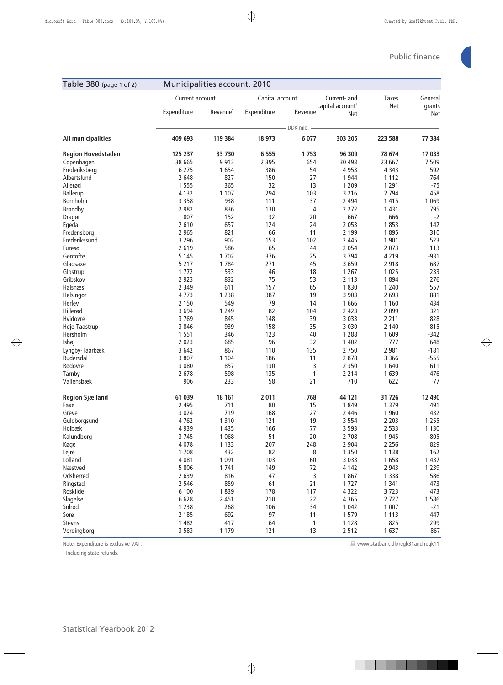| Table 380 (page 1 of 2)   |                 | Municipalities account. 2010 |                 |              |                                            |                     |                      |
|---------------------------|-----------------|------------------------------|-----------------|--------------|--------------------------------------------|---------------------|----------------------|
|                           | Current account |                              | Capital account |              | Current- and                               | <b>Taxes</b><br>Net | General              |
|                           | Expenditure     | Revenue <sup>1</sup>         | Expenditure     | Revenue      | capital account <sup>1</sup><br><b>Net</b> |                     | grants<br><b>Net</b> |
|                           |                 |                              |                 | DDK mio. -   |                                            |                     |                      |
| All municipalities        | 409 693         | 119 384                      | 18 973          | 6 0 7 7      | 303 205                                    | 223 588             | 77 384               |
| <b>Region Hovedstaden</b> | 125 237         | 33 730                       | 6 5 5 5         | 1753         | 96 309                                     | 78 674              | 17 033               |
| Copenhagen                | 38 665          | 9913                         | 2 3 9 5         | 654          | 30 4 93                                    | 23 667              | 7 5 0 9              |
| Frederiksberg             | 6 2 7 5         | 1654                         | 386             | 54           | 4 9 5 3                                    | 4 3 4 3             | 592                  |
| Albertslund               | 2 6 4 8         | 827                          | 150             | 27           | 1 9 4 4                                    | 1 1 1 2             | 764                  |
| Allerød                   | 1 5 5 5         | 365                          | 32              | 13           | 1 2 0 9                                    | 1 2 9 1             | $-75$                |
| <b>Ballerup</b>           | 4 1 3 2         | 1 1 0 7                      | 294             | 103          | 3 2 1 6                                    | 2 7 9 4             | 458                  |
| Bornholm                  | 3 3 5 8         | 938                          | 111             | 37           | 2 4 9 4                                    | 1 4 1 5             | 1 0 6 9              |
| <b>Brøndby</b>            | 2 9 8 2         | 836                          | 130             | 4            | 2 2 7 2                                    | 1 4 3 1             | 795                  |
| Dragør                    | 807             | 152                          | 32              | 20           | 667                                        | 666                 | $-2$                 |
| Egedal                    | 2610            | 657                          | 124             | 24           | 2 0 5 3                                    | 1853                | 142                  |
| Fredensborg               | 2 9 6 5         | 821                          | 66              | 11           | 2 1 9 9                                    | 1895                | 310                  |
| Frederikssund             | 3 2 9 6         | 902                          | 153             | 102          | 2 4 4 5                                    | 1 901               | 523                  |
| Furesø                    | 2 6 1 9         | 586                          | 65              | 44           | 2 0 5 4                                    | 2 0 7 3             | 113                  |
| Gentofte                  | 5 1 4 5         | 1 7 0 2                      | 376             | 25           | 3 7 9 4                                    | 4 2 1 9             | $-931$               |
| Gladsaxe                  | 5 2 1 7         | 1784                         | 271             | 45           | 3659                                       | 2 9 1 8             | 687                  |
| Glostrup                  | 1 7 7 2         | 533                          | 46              | 18           | 1 2 6 7                                    | 1 0 2 5             | 233                  |
| Gribskov                  | 2 9 2 3         | 832                          | 75              | 53           | 2 1 1 3                                    | 1894                | 276                  |
| Halsnæs                   | 2 3 4 9         | 611                          | 157             | 65           | 1830                                       | 1 2 4 0             | 557                  |
| Helsingør                 | 4773            | 1 2 3 8                      | 387             | 19           | 3 9 0 3                                    | 2 6 9 3             | 881                  |
| Herlev                    | 2 1 5 0         | 549                          | 79              | 14           | 1666                                       | 1 1 6 0             | 434                  |
| Hillerød                  | 3694            | 1 2 4 9                      | 82              | 104          | 2 4 2 3                                    | 2 0 9 9             | 321                  |
| Hvidovre                  | 3769            | 845                          | 148             | 39           | 3 0 3 3                                    | 2 2 1 1             | 828                  |
| Høje-Taastrup             | 3 8 4 6         | 939                          | 158             | 35           | 3 0 3 0                                    | 2 1 4 0             | 815                  |
| Hørsholm                  | 1 5 5 1         | 346                          | 123             | 40           | 1 2 8 8                                    | 1609                | $-342$               |
| Ishøj                     | 2 0 2 3         | 685                          | 96              | 32           | 1 4 0 2                                    | 777                 | 648                  |
| Lyngby-Taarbæk            | 3 6 4 2         | 867                          | 110             | 135          | 2 7 5 0                                    | 2 9 8 1             | $-181$               |
| Rudersdal                 | 3 8 0 7         | 1 1 0 4                      | 186             | 11           | 2 8 7 8                                    | 3 3 6 6             | $-555$               |
| Rødovre                   | 3 0 8 0         | 857                          | 130             | 3            | 2 3 5 0                                    | 1 640               | 611                  |
| Tårnby                    | 2678            | 598                          | 135             | $\mathbf{1}$ | 2 2 1 4                                    | 1639                | 476                  |
| Vallensbæk                | 906             | 233                          | 58              | 21           | 710                                        | 622                 | 77                   |
|                           |                 |                              |                 |              |                                            |                     |                      |
| <b>Region Sjælland</b>    | 61 039          | 18 161                       | 2011            | 768          | 44 121                                     | 31 726              | 12 490               |
| Faxe                      | 2 4 9 5         | 711                          | 80              | 15           | 1849                                       | 1 3 7 9             | 491                  |
| Greve                     | 3 0 2 4         | 719                          | 168             | 27           | 2 4 4 6                                    | 1 9 6 0             | 432                  |
| Guldborgsund              | 4762            | 1 3 1 0                      | 121             | 19           | 3 5 5 4                                    | 2 2 0 3             | 1 2 5 5              |
| Holbæk                    | 4 9 3 9         | 1 4 3 5                      | 166             | 77           | 3 5 9 3                                    | 2 5 3 3             | 1 1 3 0              |
| Kalundborg                | 3745            | 1 0 6 8                      | 51              | 20           | 2 7 0 8                                    | 1 9 4 5             | 805                  |
| Køge                      | 4 0 7 8         | 1 1 3 3                      | 207             | 248          | 2 9 0 4                                    | 2 2 5 6             | 829                  |
| Lejre                     | 1 7 0 8         | 432                          | 82              | 8            | 1 3 5 0                                    | 1 1 3 8             | 162                  |
| Lolland                   | 4 0 8 1         | 1 0 9 1                      | 103             | 60           | 3 0 3 3                                    | 1658                | 1 4 3 7              |
| Næstved                   | 5 8 0 6         | 1 7 4 1                      | 149             | 72           | 4 1 4 2                                    | 2 9 4 3             | 1 2 3 9              |
| Odsherred                 | 2 6 3 9         | 816                          | 47              | 3            | 1867                                       | 1 3 3 8             | 586                  |
| Ringsted                  | 2 5 4 6         | 859                          | 61              | 21           | 1727                                       | 1 3 4 1             | 473                  |
| Roskilde                  | 6 100           | 1839                         | 178             | 117          | 4 3 2 2                                    | 3723                | 473                  |
| Slagelse                  | 6628            | 2 4 5 1                      | 210             | 22           | 4 3 6 5                                    | 2 7 2 7             | 1586                 |
| Solrød                    | 1 2 3 8         | 268                          | 106             | 34           | 1 0 4 2                                    | 1 0 0 7             | $-21$                |
| Sorø                      | 2 1 8 5         | 692                          | 97              | 11           | 1579                                       | 1 1 1 3             | 447                  |
| Stevns                    | 1 4 8 2         | 417                          | 64              | $\mathbf{1}$ | 1 1 2 8                                    | 825                 | 299                  |
| Vordingborg               | 3 5 8 3         | 1 1 7 9                      | 121             | 13           | 2 5 1 2                                    | 1637                | 867                  |

Note: Expenditure is exclusive VAT.

<sup>1</sup> Including state refunds.

www.statbank.dk/regk31and regk11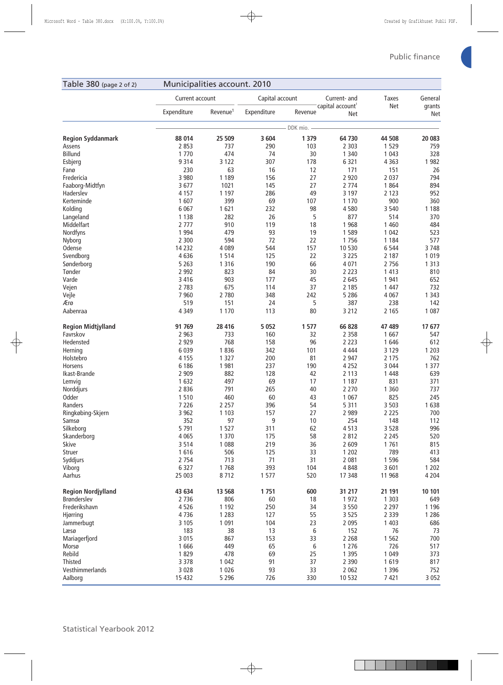| Table 380 (page 2 of 2)   |                 | Municipalities account. 2010 |                 |            |                                     |              |                      |
|---------------------------|-----------------|------------------------------|-----------------|------------|-------------------------------------|--------------|----------------------|
|                           | Current account |                              | Capital account |            | Current- and                        | <b>Taxes</b> | General              |
|                           | Expenditure     | Revenue <sup>1</sup>         | Expenditure     | Revenue    | capital account <sup>1</sup><br>Net | Net          | grants<br><b>Net</b> |
|                           |                 |                              |                 | DDK mio. - |                                     |              |                      |
| <b>Region Syddanmark</b>  | 88 014          | 25 509                       | 3 6 0 4         | 1 3 7 9    | 64 730                              | 44 508       | 20 083               |
| Assens                    | 2 8 5 3         | 737                          | 290             | 103        | 2 3 0 3                             | 1 5 2 9      | 759                  |
| Billund                   | 1 7 7 0         | 474                          | 74              | 30         | 1 3 4 0                             | 1 0 4 3      | 328                  |
| Esbjerg                   | 9 3 1 4         | 3 1 2 2                      | 307             | 178        | 6 3 2 1                             | 4 3 6 3      | 1 9 8 2              |
| Fanø                      | 230             | 63                           | 16              | 12         | 171                                 | 151          | 26                   |
| Fredericia                | 3 9 8 0         | 1 1 8 9                      | 156             | 27         | 2 9 2 0                             | 2 0 3 7      | 794                  |
| Faaborg-Midtfyn           | 3677            | 1021                         | 145             | 27         | 2 7 7 4                             | 1864         | 894                  |
| Haderslev                 | 4 1 5 7         | 1 1 9 7                      | 286             | 49         | 3 1 9 7                             | 2 1 2 3      | 952                  |
| Kerteminde                | 1607            | 399                          | 69              | 107        | 1 1 7 0                             | 900          | 360                  |
| Kolding                   | 6 0 67          | 1621                         | 232             | 98         | 4580                                | 3 5 4 0      | 1 1 8 8              |
| Langeland                 | 1 1 3 8         | 282                          | 26              | 5          | 877                                 | 514          | 370                  |
| Middelfart                | 2 7 7 7         | 910                          | 119             | 18         | 1 9 6 8                             | 1 4 6 0      | 484                  |
| Nordfyns                  | 1 9 9 4         | 479                          | 93              | 19         | 1589                                | 1 0 4 2      | 523                  |
| Nyborg                    | 2 3 0 0         | 594                          | 72              | 22         | 1756                                | 1 1 8 4      | 577                  |
| Odense                    | 14 2 32         | 4 0 8 9                      | 544             | 157        | 10 530                              | 6 5 4 4      | 3748                 |
| Svendborg                 | 4636            | 1514                         | 125             | 22         | 3 2 2 5                             | 2 1 8 7      | 1 0 1 9              |
| Sønderborg                | 5 2 6 3         | 1 3 1 6                      | 190             | 66         | 4 0 7 1                             | 2 7 5 6      | 1 3 1 3              |
| Tønder                    | 2 9 9 2         | 823                          | 84              | 30         | 2 2 2 3                             | 1 4 1 3      | 810                  |
| Varde                     | 3 4 1 6         | 903                          | 177             | 45         | 2 6 4 5                             | 1 941        | 652                  |
| Vejen                     | 2 7 8 3         | 675                          | 114             | 37         | 2 1 8 5                             | 1 4 4 7      | 732                  |
| Vejle                     | 7 9 6 0         | 2 7 8 0                      | 348             | 242        | 5 2 8 6                             | 4 0 6 7      | 1 3 4 3              |
| Ærø                       | 519             | 151                          | 24              | 5          | 387                                 | 238          | 142                  |
| Aabenraa                  | 4 3 4 9         | 1 1 7 0                      | 113             | 80         | 3 2 1 2                             | 2 1 6 5      | 1 0 8 7              |
| <b>Region Midtjylland</b> | 91 769          | 28 4 16                      | 5 0 5 2         | 1577       | 66 828                              | 47 489       | 17 677               |
| Favrskov                  | 2 9 6 3         | 733                          | 160             | 32         | 2 3 5 8                             | 1667         | 547                  |
| Hedensted                 | 2 9 2 9         | 768                          | 158             | 96         | 2 2 2 3                             | 1646         | 612                  |
| Herning                   | 6 0 3 9         | 1836                         | 342             | 101        | 4 4 4 4                             | 3 1 2 9      | 1 2 0 3              |
| Holstebro                 | 4 1 5 5         | 1 3 2 7                      | 200             | 81         | 2 9 4 7                             | 2 1 7 5      | 762                  |
| <b>Horsens</b>            | 6 18 6          | 1981                         | 237             | 190        | 4 2 5 2                             | 3 0 4 4      | 1 3 7 7              |
| Ikast-Brande              | 2 9 0 9         | 882                          | 128             | 42         | 2 1 1 3                             | 1 4 4 8      | 639                  |
| Lemvig                    | 1 6 3 2         | 497                          | 69              | 17         | 1 1 8 7                             | 831          | 371                  |
| Norddjurs                 | 2836            | 791                          | 265             | 40         | 2 2 7 0                             | 1 3 6 0      | 737                  |
| Odder                     | 1510            | 460                          | 60              | 43         | 1 0 6 7                             | 825          | 245                  |
| Randers                   | 7 2 2 6         | 2 2 5 7                      | 396             | 54         | 5 3 1 1                             | 3 5 0 3      | 1638                 |
| Ringkøbing-Skjern         | 3 9 6 2         | 1 1 0 3                      | 157             | 27         | 2 9 8 9                             | 2 2 2 5      | 700                  |
| Samsø                     | 352             | 97                           | 9               | 10         | 254                                 | 148          | 112                  |
| Silkeborg                 | 5 7 9 1         | 1527                         | 311             | 62         | 4513                                | 3 5 2 8      | 996                  |
| Skanderborg               | 4 0 6 5         | 1 3 7 0                      | 175             | 58         | 2 8 1 2                             | 2 2 4 5      | 520                  |
| <b>Skive</b>              | 3514            | 1 0 8 8                      | 219             | 36         | 2 6 0 9                             | 1761         | 815                  |
| Struer                    | 1616            | 506                          | 125             | 33         | 1 2 0 2                             | 789          | 413                  |
| Syddjurs                  | 2 7 5 4         | 713                          | 71              | 31         | 2 0 8 1                             | 1 5 9 6      | 584                  |
| Viborg                    | 6 3 2 7         | 1768                         | 393             | 104        | 4848                                | 3601         | 1 2 0 2              |
| Aarhus                    | 25 003          | 8712                         | 1577            | 520        | 17 348                              | 11 968       | 4 2 0 4              |
| <b>Region Nordjylland</b> | 43 634          | 13 5 68                      | 1751            | 600        | 31 217                              | 21 191       | 10 101               |
| <b>Brønderslev</b>        | 2 7 3 6         | 806                          | 60              | 18         | 1972                                | 1 3 0 3      | 649                  |
| Frederikshavn             | 4526            | 1 1 9 2                      | 250             | 34         | 3 5 5 0                             | 2 2 9 7      | 1 1 9 6              |
| Hjørring                  | 4736            | 1 2 8 3                      | 127             | 55         | 3 5 2 5                             | 2 3 3 9      | 1 2 8 6              |
| Jammerbugt                | 3 1 0 5         | 1 0 9 1                      | 104             | 23         | 2 0 9 5                             | 1 4 0 3      | 686                  |
| Læsø                      | 183             | 38                           | 13              | 6          | 152                                 | 76           | 73                   |
| Mariagerfjord             | 3 0 1 5         | 867                          | 153             | 33         | 2 2 6 8                             | 1 5 6 2      | 700                  |
| Morsø                     | 1666            | 449                          | 65              | 6          | 1 2 7 6                             | 726          | 517                  |
| Rebild                    | 1829            | 478                          | 69              | 25         | 1 3 9 5                             | 1 0 4 9      | 373                  |
| Thisted                   | 3 3 7 8         | 1 0 4 2                      | 91              | 37         | 2 3 9 0                             | 1619         | 817                  |
| Vesthimmerlands           | 3 0 2 8         | 1 0 2 6                      | 93              | 33         | 2 0 6 2                             | 1 3 9 6      | 752                  |
| Aalborg                   | 15 4 32         | 5 2 9 6                      | 726             | 330        | 10 532                              | 7 4 21       | 3 0 5 2              |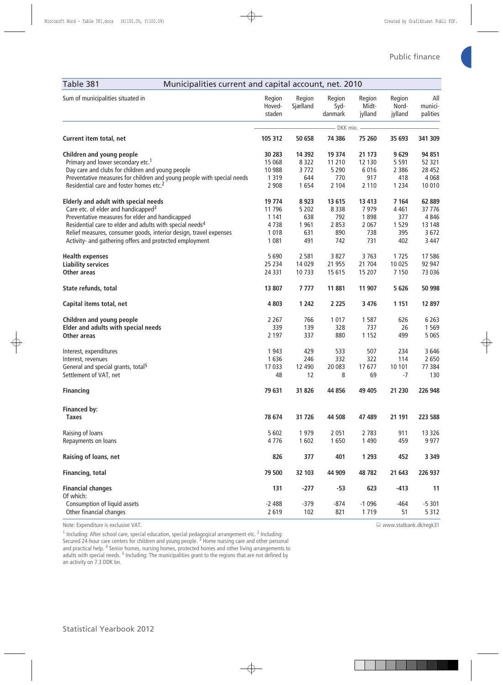| Table 381<br>Municipalities current and capital account, net. 2010     |                            |                    |                           |                            |                            |                            |
|------------------------------------------------------------------------|----------------------------|--------------------|---------------------------|----------------------------|----------------------------|----------------------------|
| Sum of municipalities situated in                                      | Region<br>Hoved-<br>staden | Region<br>Sjælland | Region<br>Syd-<br>danmark | Region<br>Midt-<br>jylland | Region<br>Nord-<br>jylland | All<br>munici-<br>palities |
|                                                                        |                            |                    | - DKK mio.                |                            |                            |                            |
| Current item total, net                                                | 105 312                    | 50 658             | 74 386                    | 75 260                     | 35 693                     | 341 309                    |
| Children and young people                                              | 30 283                     | 14 3 92            | 19 374                    | 21 173                     | 9629                       | 94 851                     |
| Primary and lower secondary etc. <sup>1</sup>                          | 15 068                     | 8 3 2 2            | 11 210                    | 12 130                     | 5 5 9 1                    | 52 321                     |
| Day care and clubs for children and young people                       | 10 988                     | 3772               | 5 2 9 0                   | 6016                       | 2 3 8 6                    | 28 452                     |
| Preventative measures for children and young people with special needs | 1 3 1 9                    | 644                | 770                       | 917                        | 418                        | 4 0 6 8                    |
| Residential care and foster homes etc. <sup>2</sup>                    | 2 9 0 8                    | 1654               | 2 1 0 4                   | 2 1 1 0                    | 1 2 3 4                    | 10 010                     |
| <b>Elderly and adult with special needs</b>                            | 19 774                     | 8923               | 13 615                    | 13 4 13                    | 7 1 64                     | 62 889                     |
| Care etc. of elder and handicapped <sup>3</sup>                        | 11 796                     | 5 2 0 2            | 8 3 3 8                   | 7979                       | 4 4 6 1                    | 37 776                     |
| Preventative measures for elder and handicapped                        | 1 1 4 1                    | 638                | 792                       | 1898                       | 377                        | 4 8 4 6                    |
| Residential care to elder and adults with special needs <sup>4</sup>   | 4738                       | 1 9 61             | 2 8 5 3                   | 2 0 6 7                    | 1529                       | 13 148                     |
| Relief measures, consumer goods, interior design, travel expenses      | 1 0 1 8                    | 631                | 890                       | 738                        | 395                        | 3 6 7 2                    |
| Activity- and gathering offers and protected employment                | 1 0 8 1                    | 491                | 742                       | 731                        | 402                        | 3 4 4 7                    |
| <b>Health expenses</b>                                                 | 5 6 9 0                    | 2 5 8 1            | 3827                      | 3763                       | 1725                       | 17586                      |
| <b>Liability services</b>                                              | 25 2 34                    | 14 0 29            | 21 955                    | 21 704                     | 10 0 25                    | 92 947                     |
| <b>Other areas</b>                                                     | 24 3 31                    | 10733              | 15 615                    | 15 207                     | 7 1 5 0                    | 73 036                     |
| State refunds, total                                                   | 13 807                     | 7777               | 11 881                    | 11 907                     | 5 6 2 6                    | 50 998                     |
| Capital items total, net                                               | 4 8 0 3                    | 1 2 4 2            | 2 2 2 5                   | 3 4 7 6                    | 1 1 5 1                    | 12 897                     |
| Children and young people                                              | 2 2 6 7                    | 766                | 1 0 1 7                   | 1587                       | 626                        | 6 2 6 3                    |
| Elder and adults with special needs                                    | 339                        | 139                | 328                       | 737                        | 26                         | 1 5 6 9                    |
| Other areas                                                            | 2 1 9 7                    | 337                | 880                       | 1 1 5 2                    | 499                        | 5 0 6 5                    |
| Interest, expenditures                                                 | 1 9 4 3                    | 429                | 533                       | 507                        | 234                        | 3646                       |
| Interest, revenues                                                     | 1636                       | 246                | 332                       | 322                        | 114                        | 2 6 5 0                    |
| General and special grants, total <sup>5</sup>                         | 17 033                     | 12 490             | 20 083                    | 17677                      | 10 101                     | 77 384                     |
| Settlement of VAT, net                                                 | 48                         | 12                 | 8                         | 69                         | $-7$                       | 130                        |
| <b>Financing</b>                                                       | 79 631                     | 31 826             | 44 856                    | 49 40 5                    | 21 230                     | 226 948                    |
|                                                                        |                            |                    |                           |                            |                            |                            |
| <b>Financed by:</b><br><b>Taxes</b>                                    | 78 674                     | 31 726             | 44 508                    | 47 489                     | 21 191                     | 223 588                    |
| Raising of loans                                                       | 5 6 0 2                    | 1979               | 2 0 5 1                   | 2 7 8 3                    | 911                        | 13 3 26                    |
| Repayments on loans                                                    | 4776                       | 1 602              | 1650                      | 1 4 9 0                    | 459                        | 9 9 7 7                    |
| Raising of loans, net                                                  | 826                        | 377                | 401                       | 1 2 9 3                    | 452                        | 3 3 4 9                    |
| Financing, total                                                       | 79 500                     | 32 103             | 44 909                    | 48782                      | 21 643                     | 226 937                    |
| <b>Financial changes</b>                                               | 131                        | $-277$             | $-53$                     | 623                        | -413                       | 11                         |
| Of which:                                                              |                            |                    |                           |                            |                            |                            |
| Consumption of liquid assets                                           | $-2488$                    | $-379$             | $-874$                    | $-1096$                    | $-464$                     | $-5301$                    |
| Other financial changes                                                | 2 6 1 9                    | 102                | 821                       | 1719                       | 51                         | 5 3 1 2                    |

Note: Expenditure is exclusive VAT.

<sup>1</sup> Including: After school care, special education, special pedagogical arrangement etc. <sup>2</sup> Including:<br>Secured 24-hour care centers for children and young people. <sup>3</sup> Home nursing care and other personal<br>and practical he adults with special needs. <sup>5</sup> Including: The municipalities grant to the regions that are not defined by an activity on 7.3 DDK bn.

www.statbank.dk/regk31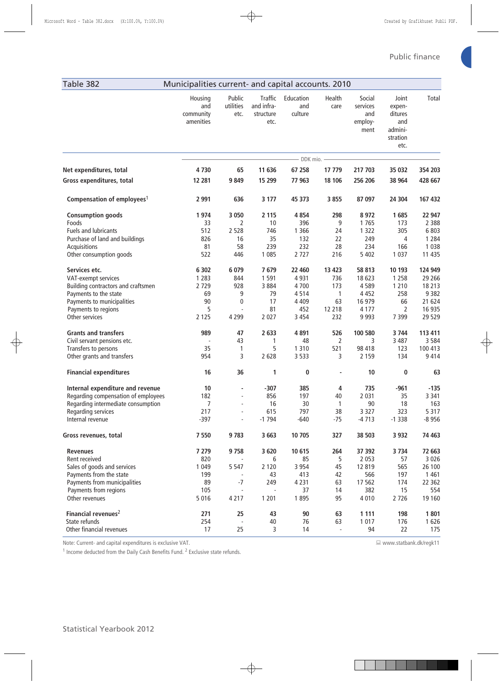| <sup>1</sup> Income deducted from the Daily Cash Benefits Fund. <sup>2</sup> Exclusiv |
|---------------------------------------------------------------------------------------|
|                                                                                       |
|                                                                                       |
|                                                                                       |
|                                                                                       |
|                                                                                       |
|                                                                                       |
| <b>Statistical Yearbook 2012</b>                                                      |
|                                                                                       |

|                                        | Housing<br>and<br>community<br>amenities | Public<br>utilities<br>etc. | <b>Traffic</b><br>and infra-<br>structure<br>etc. | Education<br>and<br>culture | Health<br>care           | Social<br>services<br>and<br>employ-<br>ment | Joint<br>expen-<br>ditures<br>and<br>admini-<br>stration<br>etc. | Total   |
|----------------------------------------|------------------------------------------|-----------------------------|---------------------------------------------------|-----------------------------|--------------------------|----------------------------------------------|------------------------------------------------------------------|---------|
|                                        |                                          |                             |                                                   | - DDK mio. -                |                          |                                              |                                                                  |         |
| Net expenditures, total                | 4730                                     | 65                          | 11 636                                            | 67 258                      | 17 779                   | 217 703                                      | 35 032                                                           | 354 203 |
| Gross expenditures, total              | 12 281                                   | 9849                        | 15 299                                            | 77 963                      | 18 10 6                  | 256 206                                      | 38 964                                                           | 428 667 |
| Compensation of employees <sup>1</sup> | 2 9 9 1                                  | 636                         | 3 1 7 7                                           | 45 373                      | 3855                     | 87 097                                       | 24 304                                                           | 167 432 |
| <b>Consumption goods</b>               | 1974                                     | 3 0 5 0                     | 2 1 1 5                                           | 4 8 5 4                     | 298                      | 8972                                         | 1685                                                             | 22 947  |
| Foods                                  | 33                                       | 2                           | 10                                                | 396                         | 9                        | 1765                                         | 173                                                              | 2 3 8 8 |
| Fuels and lubricants                   | 512                                      | 2 5 2 8                     | 746                                               | 1 3 6 6                     | 24                       | 1 3 2 2                                      | 305                                                              | 6803    |
| Purchase of land and buildings         | 826                                      | 16                          | 35                                                | 132                         | 22                       | 249                                          | 4                                                                | 1 2 8 4 |
| Acquisitions                           | 81                                       | 58                          | 239                                               | 232                         | 28                       | 234                                          | 166                                                              | 1 0 3 8 |
| Other consumption goods                | 522                                      | 446                         | 1 0 8 5                                           | 2727                        | 216                      | 5 4 0 2                                      | 1 0 3 7                                                          | 11 4 35 |
| Services etc.                          | 6 3 0 2                                  | 6 0 7 9                     | 7679                                              | 22 460                      | 13 4 23                  | 58 813                                       | 10 193                                                           | 124 949 |
| VAT-exempt services                    | 1 2 8 3                                  | 844                         | 1 5 9 1                                           | 4 9 31                      | 736                      | 18 623                                       | 1 2 5 8                                                          | 29 2 66 |
| Building contractors and craftsmen     | 2729                                     | 928                         | 3884                                              | 4700                        | 173                      | 4589                                         | 1 2 1 0                                                          | 18 213  |
| Payments to the state                  | 69                                       | 9                           | 79                                                | 4514                        | $\mathbf{1}$             | 4 4 5 2                                      | 258                                                              | 9382    |
| Payments to municipalities             | 90                                       | 0                           | 17                                                | 4 4 0 9                     | 63                       | 16 979                                       | 66                                                               | 21 624  |
| Payments to regions                    | 5                                        |                             | 81                                                | 452                         | 12 218                   | 4 1 7 7                                      | 2                                                                | 16 935  |
| Other services                         | 2 1 2 5                                  | 4 2 9 9                     | 2 0 2 7                                           | 3 4 5 4                     | 232                      | 9 9 9 3                                      | 7 3 9 9                                                          | 29 5 29 |
| <b>Grants and transfers</b>            | 989                                      | 47                          | 2 6 3 3                                           | 4891                        | 526                      | 100 580                                      | 3744                                                             | 113 411 |
| Civil servant pensions etc.            |                                          | 43                          | 1                                                 | 48                          | $\overline{2}$           | 3                                            | 3 4 8 7                                                          | 3584    |
| Transfers to persons                   | 35                                       | $\mathbf{1}$                | 5                                                 | 1 3 1 0                     | 521                      | 98 418                                       | 123                                                              | 100 413 |
| Other grants and transfers             | 954                                      | 3                           | 2 6 2 8                                           | 3 5 3 3                     | 3                        | 2 1 5 9                                      | 134                                                              | 9414    |
| <b>Financial expenditures</b>          | 16                                       | 36                          | 1                                                 | 0                           | $\overline{\phantom{a}}$ | 10                                           | 0                                                                | 63      |
| Internal expenditure and revenue       | 10                                       | $\overline{\phantom{m}}$    | $-307$                                            | 385                         | 4                        | 735                                          | $-961$                                                           | $-135$  |
| Regarding compensation of employees    | 182                                      | $\overline{\phantom{a}}$    | 856                                               | 197                         | 40                       | 2 0 3 1                                      | 35                                                               | 3 3 4 1 |
| Regarding intermediate consumption     | 7                                        | $\overline{\phantom{a}}$    | 16                                                | 30                          | 1                        | 90                                           | 18                                                               | 163     |
| Regarding services                     | 217                                      | $\overline{a}$              | 615                                               | 797                         | 38                       | 3 3 2 7                                      | 323                                                              | 5 3 1 7 |
| Internal revenue                       | $-397$                                   | ä,                          | $-1794$                                           | $-640$                      | $-75$                    | $-4713$                                      | $-1338$                                                          | $-8956$ |
| Gross revenues, total                  | 7 5 5 0                                  | 9783                        | 3 6 6 3                                           | 10 705                      | 327                      | 38 503                                       | 3 9 3 2                                                          | 74 463  |
| <b>Revenues</b>                        | 7 2 7 9                                  | 9758                        | 3 6 20                                            | 10 615                      | 264                      | 37 392                                       | 3 7 3 4                                                          | 72 663  |
| Rent received                          | 820                                      |                             | 6                                                 | 85                          | 5                        | 2 0 5 3                                      | 57                                                               | 3 0 2 6 |
| Sales of goods and services            | 1 0 4 9                                  | 5 5 4 7                     | 2 1 2 0                                           | 3 9 5 4                     | 45                       | 12 819                                       | 565                                                              | 26 100  |
| Payments from the state                | 199                                      | $\overline{\phantom{a}}$    | 43                                                | 413                         | 42                       | 566                                          | 197                                                              | 1 4 6 1 |
| Payments from municipalities           | 89                                       | $-7$                        | 249                                               | 4 2 3 1                     | 63                       | 17 5 62                                      | 174                                                              | 22 3 62 |
| Payments from regions                  | 105                                      |                             |                                                   | 37                          | 14                       | 382                                          | 15                                                               | 554     |
| Other revenues                         | 5 0 1 6                                  | 4 2 1 7                     | 1 2 0 1                                           | 1895                        | 95                       | 4 0 1 0                                      | 2 7 2 6                                                          | 19 160  |
| Financial revenues <sup>2</sup>        | 271                                      | 25                          | 43                                                | 90                          | 63                       | 1 1 1 1                                      | 198                                                              | 1801    |
| State refunds                          | 254                                      |                             | 40                                                | 76                          | 63                       | 1 0 1 7                                      | 176                                                              | 1626    |
| Other financial revenues               | 17                                       | 25                          | 3                                                 | 14                          | $\sim$                   | 94                                           | 22                                                               | 175     |

Table 382 Municipalities current- and capital accounts. 2010

Note: Current- and capital expenditures is exclusive VAT.

 $1 \ln$  Income deducted from the Daily Cash Benefits Fund. <sup>2</sup> ve state refunds. www.statbank.dk/regk11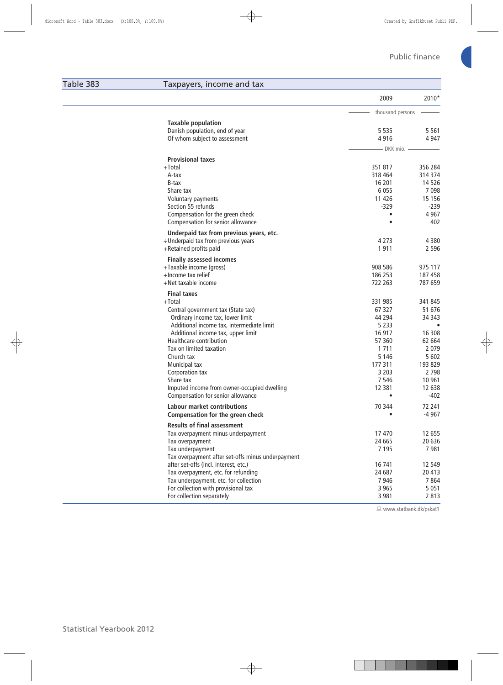## Table 383 Taxpayers, income and tax

|                                                   | 2009             | 2010*    |
|---------------------------------------------------|------------------|----------|
|                                                   | thousand persons |          |
| <b>Taxable population</b>                         |                  |          |
| Danish population, end of year                    | 5 5 3 5          | 5 5 6 1  |
| Of whom subject to assessment                     | 4916             | 4947     |
|                                                   | - DKK mio.       |          |
| <b>Provisional taxes</b>                          |                  |          |
| +Total                                            | 351 817          | 356 284  |
| A-tax                                             | 318 464          | 314 374  |
| B-tax                                             | 16 201           | 14526    |
| Share tax                                         | 6 0 5 5          | 7098     |
| Voluntary payments                                | 11 4 26          | 15 1 5 6 |
| Section 55 refunds                                | $-329$           | $-239$   |
| Compensation for the green check                  |                  | 4 9 6 7  |
| Compensation for senior allowance                 |                  | 402      |
| Underpaid tax from previous years, etc.           |                  |          |
| ÷Underpaid tax from previous years                | 4 2 7 3          | 4380     |
| +Retained profits paid                            | 1911             | 2 5 9 6  |
| <b>Finally assessed incomes</b>                   |                  |          |
| +Taxable income (gross)                           | 908 586          | 975 117  |
| +Income tax relief                                | 186 253          | 187458   |
| +Net taxable income                               | 722 263          | 787 659  |
| <b>Final taxes</b>                                |                  |          |
| +Total                                            | 331 985          | 341 845  |
| Central government tax (State tax)                | 67 327           | 51 676   |
| Ordinary income tax, lower limit                  | 44 294           | 34 34 3  |
| Additional income tax, intermediate limit         | 5 2 3 3          | ٠        |
| Additional income tax, upper limit                | 16 917           | 16 308   |
| Healthcare contribution                           | 57 360           | 62 664   |
| Tax on limited taxation                           | 1 7 1 1          | 2079     |
| Church tax                                        | 5 1 4 6          | 5 6 0 2  |
| Municipal tax                                     | 177 311          | 193 829  |
| Corporation tax                                   | 3 2 0 3          | 2 7 9 8  |
| Share tax                                         | 7 5 4 6          | 10 961   |
| Imputed income from owner-occupied dwelling       | 12 3 8 1         | 12 638   |
| Compensation for senior allowance                 |                  | $-402$   |
| <b>Labour market contributions</b>                | 70 344           | 72 241   |
| <b>Compensation for the green check</b>           |                  | $-4967$  |
| <b>Results of final assessment</b>                |                  |          |
| Tax overpayment minus underpayment                | 17 470           | 12 655   |
| Tax overpayment                                   | 24 665           | 20 636   |
| Tax underpayment                                  | 7 1 9 5          | 7981     |
| Tax overpayment after set-offs minus underpayment |                  |          |
| after set-offs (incl. interest, etc.)             | 16 741           | 12 549   |
| Tax overpayment, etc. for refunding               | 24 687           | 20 413   |
| Tax underpayment, etc. for collection             | 7946             | 7864     |
| For collection with provisional tax               | 3 9 6 5          | 5 0 5 1  |
| For collection separately                         | 3 9 8 1          | 2813     |

www.statbank.dk/pskat1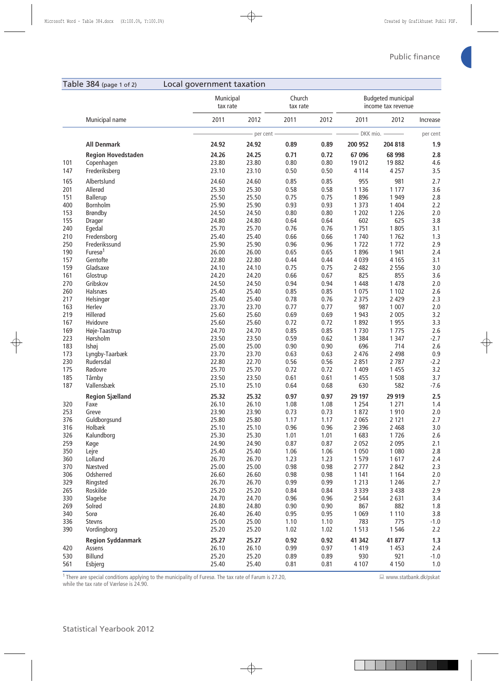|            | Table 384 (page 1 of 2)              | Local government taxation |                                             |                |                                                 |              |                 |                                                  |            |
|------------|--------------------------------------|---------------------------|---------------------------------------------|----------------|-------------------------------------------------|--------------|-----------------|--------------------------------------------------|------------|
|            |                                      |                           | Municipal<br>Church<br>tax rate<br>tax rate |                | <b>Budgeted municipal</b><br>income tax revenue |              |                 |                                                  |            |
|            | Municipal name                       |                           | 2011                                        | 2012           | 2011                                            | 2012         | 2011            | 2012                                             | Increase   |
|            |                                      |                           |                                             | - per cent     |                                                 |              |                 | $- DKK$ mio. $\overline{\phantom{iiiiiiiiiiii}}$ | per cent   |
|            | <b>All Denmark</b>                   |                           | 24.92                                       | 24.92          | 0.89                                            | 0.89         | 200 952         | 204 818                                          | 1.9        |
|            | <b>Region Hovedstaden</b>            |                           | 24.26                                       | 24.25          | 0.71                                            | 0.72         | 67 096          | 68 998                                           | 2.8        |
| 101        | Copenhagen                           |                           | 23.80                                       | 23.80          | 0.80                                            | 0.80         | 19 012          | 19882                                            | 4.6        |
| 147        | Frederiksberg                        |                           | 23.10                                       | 23.10          | 0.50                                            | 0.50         | 4 1 1 4         | 4 2 5 7                                          | 3.5        |
| 165        | Albertslund                          |                           | 24.60                                       | 24.60          | 0.85                                            | 0.85         | 955             | 981                                              | 2.7        |
| 201        | Allerød                              |                           | 25.30                                       | 25.30          | 0.58                                            | 0.58         | 1 1 3 6         | 1 1 7 7                                          | 3.6        |
| 151        | Ballerup                             |                           | 25.50                                       | 25.50          | 0.75                                            | 0.75         | 1896            | 1 9 4 9                                          | 2.8        |
| 400        | Bornholm                             |                           | 25.90                                       | 25.90          | 0.93                                            | 0.93         | 1 3 7 3         | 1 4 0 4                                          | 2.2        |
| 153        | Brøndby                              |                           | 24.50                                       | 24.50          | 0.80                                            | 0.80         | 1 2 0 2         | 1 2 2 6                                          | 2.0        |
| 155        | Dragør                               |                           | 24.80                                       | 24.80          | 0.64                                            | 0.64         | 602             | 625                                              | 3.8        |
| 240        | Egedal                               |                           | 25.70                                       | 25.70          | 0.76                                            | 0.76         | 1751            | 1805                                             | 3.1        |
| 210        | Fredensborg                          |                           | 25.40                                       | 25.40          | 0.66                                            | 0.66         | 1 740           | 1762                                             | 1.3        |
| 250<br>190 | Frederikssund<br>Furesø <sup>1</sup> |                           | 25.90<br>26.00                              | 25.90<br>26.00 | 0.96<br>0.65                                    | 0.96<br>0.65 | 1722<br>1896    | 1 7 7 2<br>1 9 4 1                               | 2.9<br>2.4 |
| 157        | Gentofte                             |                           | 22.80                                       | 22.80          | 0.44                                            | 0.44         | 4 0 3 9         | 4 1 6 5                                          | 3.1        |
| 159        | Gladsaxe                             |                           | 24.10                                       | 24.10          | 0.75                                            | 0.75         | 2 4 8 2         | 2 5 5 6                                          | 3.0        |
| 161        | Glostrup                             |                           | 24.20                                       | 24.20          | 0.66                                            | 0.67         | 825             | 855                                              | 3.6        |
| 270        | Gribskov                             |                           | 24.50                                       | 24.50          | 0.94                                            | 0.94         | 1 4 4 8         | 1 4 7 8                                          | 2.0        |
| 260        | Halsnæs                              |                           | 25.40                                       | 25.40          | 0.85                                            | 0.85         | 1 0 7 5         | 1 1 0 2                                          | 2.6        |
| 217        | Helsingør                            |                           | 25.40                                       | 25.40          | 0.78                                            | 0.76         | 2 3 7 5         | 2 4 2 9                                          | 2.3        |
| 163        | Herlev                               |                           | 23.70                                       | 23.70          | 0.77                                            | 0.77         | 987             | 1 0 0 7                                          | 2.0        |
| 219        | Hillerød                             |                           | 25.60                                       | 25.60          | 0.69                                            | 0.69         | 1 9 4 3         | 2 0 0 5                                          | 3.2        |
| 167        | Hvidovre                             |                           | 25.60                                       | 25.60          | 0.72                                            | 0.72         | 1892            | 1955                                             | 3.3        |
| 169        | Høje-Taastrup                        |                           | 24.70                                       | 24.70          | 0.85                                            | 0.85         | 1730            | 1 7 7 5                                          | 2.6        |
| 223        | Hørsholm                             |                           | 23.50                                       | 23.50          | 0.59                                            | 0.62         | 1 3 8 4         | 1 3 4 7                                          | $-2.7$     |
| 183        | Ishøj                                |                           | 25.00                                       | 25.00          | 0.90                                            | 0.90         | 696             | 714                                              | 2.6        |
| 173        | Lyngby-Taarbæk                       |                           | 23.70                                       | 23.70          | 0.63                                            | 0.63         | 2 4 7 6         | 2 4 9 8                                          | 0.9        |
| 230        | Rudersdal                            |                           | 22.80                                       | 22.70          | 0.56                                            | 0.56         | 2 8 5 1         | 2 7 8 7                                          | $-2.2$     |
| 175        | Rødovre                              |                           | 25.70                                       | 25.70          | 0.72                                            | 0.72         | 1 4 0 9         | 1 4 5 5                                          | 3.2        |
| 185        | Tårnby                               |                           | 23.50                                       | 23.50          | 0.61                                            | 0.61         | 1 4 5 5         | 1 5 0 8                                          | 3.7        |
| 187        | Vallensbæk                           |                           | 25.10                                       | 25.10          | 0.64                                            | 0.68         | 630             | 582                                              | $-7.6$     |
|            | <b>Region Sjælland</b>               |                           | 25.32                                       | 25.32          | 0.97                                            | 0.97         | 29 197          | 29 919                                           | 2.5        |
| 320        | Faxe                                 |                           | 26.10                                       | 26.10          | 1.08                                            | 1.08         | 1 2 5 4         | 1 2 7 1                                          | 1.4        |
| 253        | Greve                                |                           | 23.90                                       | 23.90          | 0.73                                            | 0.73         | 1872            | 1910                                             | 2.0        |
| 376        | Guldborgsund                         |                           | 25.80                                       | 25.80          | 1.17                                            | 1.17         | 2 0 6 5         | 2 1 2 1                                          | 2.7        |
| 316<br>326 | Holbæk<br>Kalundborg                 |                           | 25.10<br>25.30                              | 25.10<br>25.30 | 0.96<br>1.01                                    | 0.96<br>1.01 | 2 3 9 6<br>1683 | 2 4 6 8<br>1726                                  | 3.0<br>2.6 |
| 259        | Køge                                 |                           | 24.90                                       | 24.90          | 0.87                                            | 0.87         | 2 0 5 2         | 2 0 9 5                                          | 2.1        |
| 350        | Lejre                                |                           | 25.40                                       | 25.40          | 1.06                                            | 1.06         | 1 0 5 0         | 1 0 8 0                                          | 2.8        |
| 360        | Lolland                              |                           | 26.70                                       | 26.70          | 1.23                                            | 1.23         | 1 579           | 1617                                             | 2.4        |
| 370        | Næstved                              |                           | 25.00                                       | 25.00          | 0.98                                            | 0.98         | 2 7 7 7         | 2 8 4 2                                          | 2.3        |
| 306        | Odsherred                            |                           | 26.60                                       | 26.60          | 0.98                                            | 0.98         | 1 1 4 1         | 1 1 6 4                                          | 2.0        |
| 329        | Ringsted                             |                           | 26.70                                       | 26.70          | 0.99                                            | 0.99         | 1 2 1 3         | 1 2 4 6                                          | 2.7        |
| 265        | Roskilde                             |                           | 25.20                                       | 25.20          | 0.84                                            | 0.84         | 3 3 3 9         | 3 4 3 8                                          | 2.9        |
| 330        | Slagelse                             |                           | 24.70                                       | 24.70          | 0.96                                            | 0.96         | 2 5 4 4         | 2 6 3 1                                          | 3.4        |
| 269        | Solrød                               |                           | 24.80                                       | 24.80          | 0.90                                            | 0.90         | 867             | 882                                              | 1.8        |
| 340        | Sorø                                 |                           | 26.40                                       | 26.40          | 0.95                                            | 0.95         | 1 0 6 9         | 1 1 1 0                                          | 3.8        |
| 336        | Stevns                               |                           | 25.00                                       | 25.00          | 1.10                                            | 1.10         | 783             | 775                                              | $-1.0$     |
| 390        | Vordingborg                          |                           | 25.20                                       | 25.20          | 1.02                                            | 1.02         | 1 5 1 3         | 1 5 4 6                                          | 2.2        |
|            | <b>Region Syddanmark</b>             |                           | 25.27                                       | 25.27          | 0.92                                            | 0.92         | 41 342          | 41877                                            | 1.3        |
| 420        | Assens                               |                           | 26.10                                       | 26.10          | 0.99                                            | 0.97         | 1 4 1 9         | 1 4 5 3                                          | 2.4        |
| 530        | Billund                              |                           | 25.20                                       | 25.20          | 0.89                                            | 0.89         | 930             | 921                                              | $-1.0$     |
| 561        | Esbjerg                              |                           | 25.40                                       | 25.40          | 0.81                                            | 0.81         | 4 1 0 7         | 4 1 5 0                                          | 1.0        |

<sup>1</sup> There are special conditions applying to the municipality of Furesø. The tax rate of Farum is 27.20, while the tax rate of Værløse is 24.90.

www.statbank.dk/pskat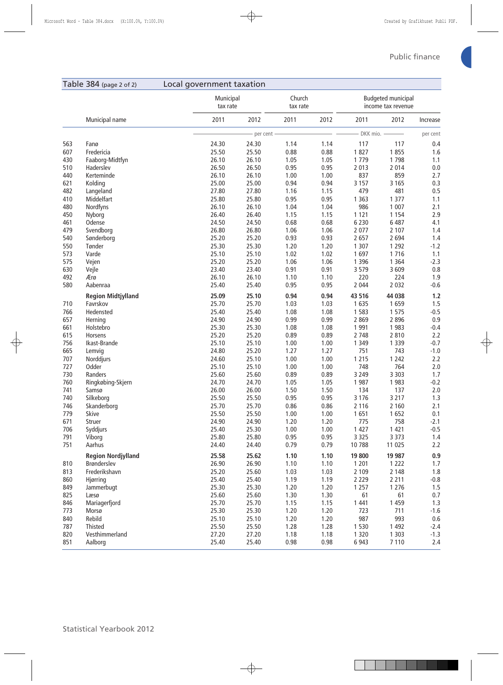#### Table 384 (page 2 of 2) Local government taxation Municipal tax rate Church tax rate Budgeted municipal income tax revenue Municipal name 2011 2012 2011 2012 2011 2012 Increase **b per cent a per cent c per cent c per cent per cent per cent per cent**  Fanø 24.30 24.30 1.14 1.14 117 117 0.4 Fredericia 25.50 25.50 0.88 0.88 1 827 1 855 1.6 Faaborg-Midtfyn 26.10 26.10 1.05 1.05 1 779 1 798 1.1 Haderslev 26.50 26.50 0.95 0.95 2 013 2 014 0.0 Kerteminde 26.10 26.10 1.00 1.00 837 859 2.7 Kolding 25.00 25.00 0.94 0.94 3 157 3 165 0.3 Langeland 27.80 27.80 1.16 1.15 479 481 0.5 Middelfart 25.80 25.80 0.95 0.95 1 363 1 377 1.1 Nordfyns 26.10 26.10 1.04 1.04 986 1 007 2.1 Nyborg 26.40 26.40 1.15 1.15 1 121 1 154 2.9 Odense 24.50 24.50 0.68 0.68 6 230 6 487 4.1 Svendborg 26.80 26.80 1.06 1.06 2 077 2 107 1.4 Sønderborg 25.20 25.20 0.93 0.93 2 657 2 694 1.4 Tønder 25.30 25.30 1.20 1.20 1 307 1 292 -1.2 Varde 25.10 25.10 1.02 1.02 1 697 1 716 1.1 Vejen 25.20 25.20 1.06 1.06 1 396 1 364 -2.3 Vejle 23.40 23.40 0.91 0.91 3 579 3 609 0.8 Ærø 26.10 26.10 1.10 1.10 220 224 1.9 Aabenraa 25.40 25.40 0.95 0.95 2 044 2 032 -0.6  **Region Midtjylland 25.09 25.10 0.94 0.94 43 516 44 038 1.2** Favrskov 25.70 25.70 1.03 1.03 1 635 1 659 1.5 Hedensted 25.40 25.40 1.08 1.08 1 583 1 575 -0.5 Herning 24.90 24.90 0.99 0.99 2 869 2 896 0.9 Holstebro 25.30 25.30 1.08 1.08 1 991 1 983 -0.4 Horsens 25.20 25.20 0.89 0.89 2 748 2 810 2.2 Ikast-Brande 25.10 25.10 1.00 1.00 1 349 1 339 -0.7 Lemvig 24.80 25.20 1.27 1.27 751 743 -1.0 Norddjurs 24.60 25.10 1.00 1.00 1 215 1 242 2.2 Odder 25.10 25.10 1.00 1.00 748 764 2.0 Randers 25.60 25.60 0.89 0.89 3 249 3 303 1.7 Ringkøbing-Skjern 24.70 24.70 1.05 1.05 1 987 1 983 -0.2 Samsø 26.00 26.00 1.50 1.50 134 137 2.0 Silkeborg 25.50 25.50 0.95 0.95 3 176 3 217 1.3 Skanderborg 25.70 25.70 0.86 0.86 2 116 2 160 2.1 Skive 25.50 25.50 1.00 1.00 1 651 1 652 0.1 Struer 24.90 24.90 1.20 1.20 775 758 -2.1 Syddjurs 25.40 25.30 1.00 1.00 1 427 1 421 -0.5 Viborg 25.80 25.80 0.95 0.95 3 325 3 373 1.4 Aarhus 24.40 24.40 0.79 0.79 10 788 11 025 2.2  **Region Nordjylland 25.58 25.62 1.10 1.10 19 800 19 987 0.9** Brønderslev 26.90 26.90 1.10 1.10 1 201 1 222 1.7 Frederikshavn 25.20 25.60 1.03 1.03 2 109 2 148 1.8 Hjørring 25.40 25.40 1.19 1.19 2 229 2 211 -0.8 Jammerbugt 25.30 25.30 1.20 1.20 1 257 1 276 1.5 Læsø 25.60 25.60 1.30 1.30 61 61 0.7 Mariagerfjord 25.70 25.70 1.15 1.15 1 441 1 459 1.3 Morsø 25.30 25.30 1.20 1.20 723 711 -1.6 Rebild 25.10 25.10 1.20 1.20 987 993 0.6 Thisted 25.50 25.50 1.28 1.28 1 530 1 492 -2.4 Vesthimmerland 27.20 27.20 1.18 1.18 1 320 1 303 -1.3 Aalborg 25.40 25.40 0.98 0.98 6 943 7 110 2.4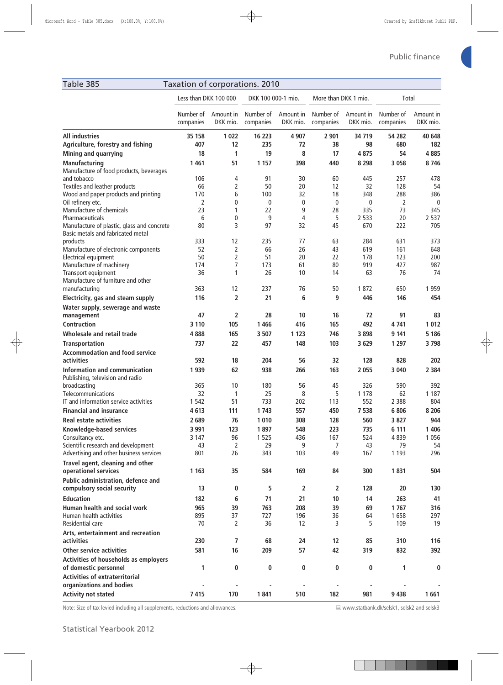| Table 385                                                                       | Taxation of corporations. 2010 |                                  |                        |                        |                        |                       |                        |                       |
|---------------------------------------------------------------------------------|--------------------------------|----------------------------------|------------------------|------------------------|------------------------|-----------------------|------------------------|-----------------------|
|                                                                                 | Less than DKK 100 000          |                                  | DKK 100 000-1 mio.     |                        | More than DKK 1 mio.   |                       | Total                  |                       |
|                                                                                 | Number of<br>companies         | Amount in<br>DKK mio.            | Number of<br>companies | Amount in<br>DKK mio.  | Number of<br>companies | Amount in<br>DKK mio. | Number of<br>companies | Amount in<br>DKK mio. |
| <b>All industries</b><br>Agriculture, forestry and fishing                      | 35 158<br>407                  | 1022<br>12                       | 16 223<br>235          | 4 9 0 7<br>72          | 2 901<br>38            | 34 719<br>98          | 54 282<br>680          | 40 648<br>182         |
| Mining and quarrying                                                            | 18                             | 1                                | 19                     | 8                      | 17                     | 4875                  | 54                     | 4885                  |
| <b>Manufacturing</b>                                                            | 1461                           | 51                               | 1 1 5 7                | 398                    | 440                    | 8 2 9 8               | 3 0 5 8                | 8746                  |
| Manufacture of food products, beverages                                         |                                |                                  |                        |                        |                        |                       |                        |                       |
| and tobacco                                                                     | 106                            | 4                                | 91                     | 30                     | 60                     | 445                   | 257                    | 478                   |
| Textiles and leather products                                                   | 66                             | 2                                | 50                     | 20                     | 12                     | 32                    | 128                    | 54                    |
| Wood and paper products and printing                                            | 170<br>2                       | 6<br>0                           | 100<br>$\mathbf{0}$    | 32<br>$\boldsymbol{0}$ | 18<br>$\mathbf 0$      | 348<br>0              | 288<br>2               | 386                   |
| Oil refinery etc.<br>Manufacture of chemicals                                   | 23                             | 1                                | 22                     | 9                      | 28                     | 335                   | 73                     | $\mathbf 0$<br>345    |
| Pharmaceuticals                                                                 | 6                              | 0                                | 9                      | $\overline{4}$         | 5                      | 2 5 3 3               | 20                     | 2 5 3 7               |
| Manufacture of plastic, glass and concrete<br>Basic metals and fabricated metal | 80                             | 3                                | 97                     | 32                     | 45                     | 670                   | 222                    | 705                   |
| products                                                                        | 333                            | 12                               | 235                    | 77                     | 63                     | 284                   | 631                    | 373                   |
| Manufacture of electronic components                                            | 52                             | $\overline{2}$                   | 66                     | 26                     | 43                     | 619                   | 161                    | 648                   |
| Electrical equipment<br>Manufacture of machinery                                | 50<br>174                      | $\overline{2}$<br>$\overline{7}$ | 51<br>173              | 20<br>61               | 22<br>80               | 178<br>919            | 123<br>427             | 200<br>987            |
| Transport equipment<br>Manufacture of furniture and other                       | 36                             | 1                                | 26                     | 10                     | 14                     | 63                    | 76                     | 74                    |
| manufacturing                                                                   | 363                            | 12                               | 237                    | 76                     | 50                     | 1872                  | 650                    | 1959                  |
| Electricity, gas and steam supply                                               | 116                            | 2                                | 21                     | 6                      | 9                      | 446                   | 146                    | 454                   |
| Water supply, sewerage and waste<br>management                                  | 47                             | 2                                | 28                     | 10                     | 16                     | 72                    | 91                     | 83                    |
| <b>Contruction</b>                                                              | 3 1 1 0                        | 105                              | 1 4 6 6                | 416                    | 165                    | 492                   | 4741                   | 1012                  |
| Wholesale and retail trade                                                      | 4888                           | 165                              | 3 5 0 7                | 1 1 2 3                | 746                    | 3898                  | 9 1 4 1                | 5 18 6                |
| <b>Transportation</b>                                                           | 737                            | 22                               | 457                    | 148                    | 103                    | 3 6 2 9               | 1 2 9 7                | 3798                  |
| <b>Accommodation and food service</b>                                           |                                |                                  |                        |                        |                        |                       |                        |                       |
| activities                                                                      | 592                            | 18                               | 204                    | 56                     | 32                     | 128                   | 828                    | 202                   |
| Information and communication<br>Publishing, television and radio               | 1939                           | 62                               | 938                    | 266                    | 163                    | 2055                  | 3 0 4 0                | 2 3 8 4               |
| broadcasting                                                                    | 365                            | 10                               | 180                    | 56                     | 45                     | 326                   | 590                    | 392                   |
| Telecommunications<br>IT and information service activities                     | 32<br>1 5 4 2                  | 1<br>51                          | 25<br>733              | 8<br>202               | 5<br>113               | 1 1 7 8<br>552        | 62<br>2 3 8 8          | 1 1 8 7<br>804        |
| <b>Financial and insurance</b>                                                  | 4613                           |                                  | 1743                   | 557                    | 450                    | 7538                  | 6 8 0 6                | 8 2 0 6               |
| <b>Real estate activities</b>                                                   | 2689                           | 111<br>76                        | 1 0 1 0                | 308                    | 128                    | 560                   | 3827                   | 944                   |
| Knowledge-based services                                                        | 3 9 9 1                        | 123                              | 1897                   | 548                    | 223                    | 735                   | 6 1 1 1                | 1 4 0 6               |
| Consultancy etc.                                                                | 3 1 4 7                        | 96                               | 1 5 2 5                | 436                    | 167                    | 524                   | 4839                   | 1 0 5 6               |
| Scientific research and development                                             | 43                             | 2                                | 29                     | 9                      | 7                      | 43                    | 79                     | 54                    |
| Advertising and other business services                                         | 801                            | 26                               | 343                    | 103                    | 49                     | 167                   | 1 1 9 3                | 296                   |
| Travel agent, cleaning and other<br>operationel services                        | 1 1 6 3                        | 35                               | 584                    | 169                    | 84                     | 300                   | 1831                   | 504                   |
| Public administration, defence and<br>compulsory social security                | 13                             | 0                                | 5                      | 2                      | 2                      | 128                   | 20                     | 130                   |
| <b>Education</b>                                                                | 182                            | 6                                | 71                     | 21                     | 10                     | 14                    | 263                    | 41                    |
| Human health and social work                                                    | 965                            | 39                               | 763                    | 208                    | 39                     | 69                    | 1767                   | 316                   |
| Human health activities                                                         | 895                            | 37                               | 727                    | 196                    | 36                     | 64                    | 1658                   | 297                   |
| Residential care                                                                | 70                             | 2                                | 36                     | 12                     | 3                      | 5                     | 109                    | 19                    |
| Arts, entertainment and recreation<br>activities                                | 230                            | 7                                | 68                     | 24                     | 12                     | 85                    | 310                    | 116                   |
| <b>Other service activities</b>                                                 | 581                            | 16                               | 209                    | 57                     | 42                     | 319                   | 832                    | 392                   |
| Activities of households as employers<br>of domestic personnel                  | 1                              | 0                                | 0                      | 0                      | 0                      | 0                     | 1                      | 0                     |
| <b>Activities of extraterritorial</b><br>organizations and bodies               |                                |                                  |                        |                        |                        |                       |                        |                       |
| <b>Activity not stated</b>                                                      | 7415                           | 170                              | 1841                   | 510                    | 182                    | 981                   | 9 4 3 8                | 1661                  |

Note: Size of tax levied including all supplements, reductions and allowances. ■ WWW.statbank.dk/selsk1, selsk2 and selsk3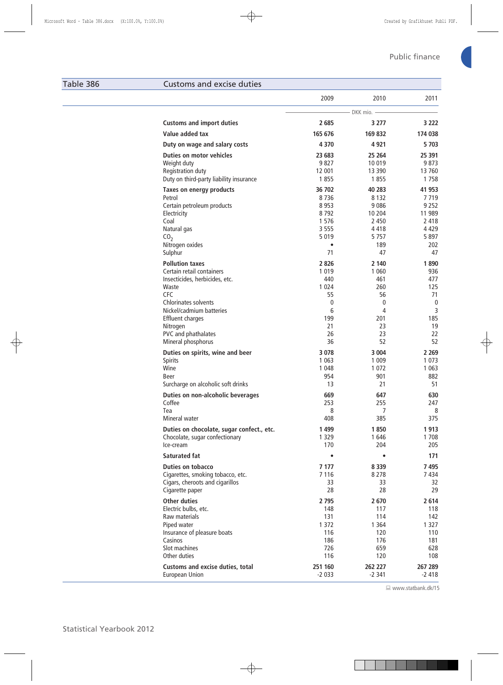#### Table 386 Customs and excise duties

|                                                           | 2009               | 2010               | 2011               |
|-----------------------------------------------------------|--------------------|--------------------|--------------------|
|                                                           |                    | DKK mio. -         |                    |
| <b>Customs and import duties</b>                          | 2 6 8 5            | 3 2 7 7            | 3 222              |
| Value added tax                                           | 165 676            | 169 832            | 174 038            |
| Duty on wage and salary costs                             | 4 3 7 0            | 4921               | 5703               |
| <b>Duties on motor vehicles</b>                           | 23 683             | 25 264             | 25 391             |
| Weight duty                                               | 9827               | 10 019             | 9873               |
| Registration duty                                         | 12 001             | 13 3 9 0           | 13760              |
| Duty on third-party liability insurance                   | 1855               | 1855               | 1758               |
| Taxes on energy products                                  | 36 702             | 40 283             | 41 953             |
| Petrol                                                    | 8736               | 8 1 3 2            | 7719               |
| Certain petroleum products                                | 8 9 5 3<br>8792    | 9086<br>10 204     | 9 2 5 2<br>11 989  |
| Electricity<br>Coal                                       | 1576               | 2 4 5 0            | 2 4 1 8            |
| Natural gas                                               | 3 5 5 5            | 4418               | 4 4 2 9            |
| CO <sub>2</sub>                                           | 5 0 1 9            | 5757               | 5897               |
| Nitrogen oxides                                           | $\bullet$          | 189                | 202                |
| Sulphur                                                   | 71                 | 47                 | 47                 |
| <b>Pollution taxes</b>                                    | 2826               | 2 1 4 0            | 1890               |
| Certain retail containers                                 | 1 0 1 9            | 1 0 6 0            | 936                |
| Insecticides, herbicides, etc.                            | 440                | 461                | 477                |
| Waste                                                     | 1 0 2 4            | 260                | 125                |
| CFC                                                       | 55                 | 56                 | 71                 |
| <b>Chlorinates solvents</b>                               | 0                  | $\mathbf{0}$       | $\boldsymbol{0}$   |
| Nickel/cadmium batteries                                  | 6<br>199           | 4<br>201           | 3<br>185           |
| <b>Effluent charges</b><br>Nitrogen                       | 21                 | 23                 | 19                 |
| PVC and phathalates                                       | 26                 | 23                 | 22                 |
| Mineral phosphorus                                        | 36                 | 52                 | 52                 |
| Duties on spirits, wine and beer                          | 3 0 7 8            | 3 0 0 4            | 2 2 6 9            |
| Spirits                                                   | 1 0 6 3            | 1 0 0 9            | 1 0 7 3            |
| Wine                                                      | 1 0 4 8            | 1 0 7 2            | 1 0 6 3            |
| Beer                                                      | 954                | 901                | 882                |
| Surcharge on alcoholic soft drinks                        | 13                 | 21                 | 51                 |
| Duties on non-alcoholic beverages                         | 669                | 647                | 630                |
| Coffee                                                    | 253                | 255                | 247                |
| Tea                                                       | 8                  | 7                  | 8                  |
| Mineral water                                             | 408                | 385                | 375                |
| Duties on chocolate, sugar confect., etc.                 | 1499               | 1850               | 1913               |
| Chocolate, sugar confectionary                            | 1 3 2 9            | 1646               | 1708               |
| Ice-cream                                                 | 170                | 204                | 205                |
| <b>Saturated fat</b>                                      | $\bullet$          |                    | 171                |
| <b>Duties on tobacco</b>                                  | 7 177              | 8 3 3 9            | 7495               |
| Cigarettes, smoking tobacco, etc.                         | 7116               | 8 2 7 8            | 7434               |
| Cigars, cheroots and cigarillos                           | 33                 | 33                 | 32                 |
| Cigarette paper                                           | 28                 | 28                 | 29                 |
| <b>Other duties</b>                                       | 2 7 9 5            | 2670               | 2614               |
| Electric bulbs, etc.                                      | 148                | 117                | 118                |
| Raw materials                                             | 131                | 114                | 142                |
| Piped water                                               | 1 3 7 2            | 1 3 6 4            | 1 3 2 7            |
| Insurance of pleasure boats                               | 116                | 120                | 110                |
| Casinos<br>Slot machines                                  | 186<br>726         | 176<br>659         | 181<br>628         |
| Other duties                                              | 116                | 120                | 108                |
|                                                           |                    |                    |                    |
| Customs and excise duties, total<br><b>European Union</b> | 251 160<br>$-2033$ | 262 227<br>$-2341$ | 267 289<br>$-2418$ |
|                                                           |                    |                    |                    |

www.statbank.dk/15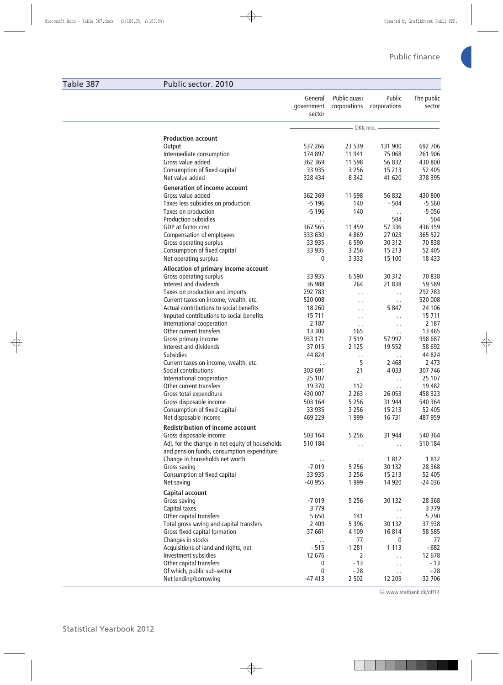## Table 387 Public sector. 2010

|                                                           | General<br>government<br>sector | Public quasi<br>corporations | Public<br>corporations | The public<br>sector |
|-----------------------------------------------------------|---------------------------------|------------------------------|------------------------|----------------------|
|                                                           |                                 | – DKK mio. -                 |                        |                      |
| <b>Production account</b>                                 |                                 |                              |                        |                      |
| Output                                                    | 537 266                         | 23 539                       | 131 900                | 692 706              |
| Intermediate consumption                                  | 174 897                         | 11 941                       | 75 068                 | 261 906              |
| Gross value added                                         | 362 369                         | 11 598                       | 56 832                 | 430 800              |
| Consumption of fixed capital                              | 33 935                          | 3 2 5 6                      | 15 213                 | 52 405               |
| Net value added                                           | 328 434                         | 8 3 4 2                      | 41 620                 | 378 395              |
|                                                           |                                 |                              |                        |                      |
| <b>Generation of income account</b>                       | 362 369                         |                              |                        |                      |
| Gross value added                                         | $-5196$                         | 11 598<br>140                | 56 832<br>$-504$       | 430 800<br>$-5560$   |
| Taxes less subsidies on production<br>Taxes on production | $-5196$                         | 140                          |                        | $-5056$              |
| Production subsidies                                      |                                 |                              | $\sim$ $\sim$<br>504   | 504                  |
| GDP at factor cost                                        | $\epsilon$ .<br>367 565         | $\epsilon$ .<br>11 459       | 57 336                 | 436 359              |
| Compensation of employees                                 | 333 630                         | 4869                         | 27 023                 | 365 522              |
|                                                           | 33 935                          | 6 5 9 0                      | 30 312                 | 70838                |
| Gross operating surplus<br>Consumption of fixed capital   | 33 935                          | 3 2 5 6                      | 15 213                 | 52 405               |
| Net operating surplus                                     | 0                               | 3 3 3 3                      | 15 100                 | 18 4 33              |
|                                                           |                                 |                              |                        |                      |
| Allocation of primary income account                      |                                 |                              |                        |                      |
| Gross operating surplus                                   | 33 935                          | 6 5 9 0                      | 30 312                 | 70838                |
| Interest and dividends                                    | 36 988                          | 764                          | 21 838                 | 59 589               |
| Taxes on production and imports                           | 292 783                         | .,                           | $\epsilon$ .           | 292 783              |
| Current taxes on income, wealth, etc.                     | 520 008                         | .,                           | $\epsilon$ .           | 520 008              |
| Actual contributions to social benefits                   | 18 2 60                         | .,                           | 5847                   | 24 10 6              |
| Imputed contributions to social benefits                  | 15 711                          | $\sim$                       | $\ddot{\phantom{0}}$   | 15 711               |
| International cooperation                                 | 2 1 8 7                         | $\epsilon$ .                 | $\epsilon$ .           | 2 1 8 7              |
| Other current transfers                                   | 13 300                          | 165                          | $\epsilon$ .           | 13 4 65              |
| Gross primary income                                      | 933 171                         | 7519                         | 57 997                 | 998 687              |
| Interest and dividends                                    | 37 015                          | 2 1 2 5                      | 19552                  | 58 692               |
| Subsidies                                                 | 44 824                          | $\sim$ .                     | $\epsilon$ .           | 44 824               |
| Current taxes on income, wealth, etc.                     | $\sim$ $\sim$                   | 5                            | 2 4 6 8                | 2 4 7 3              |
| Social contributions                                      | 303 691                         | 21                           | 4 0 3 3                | 307 746              |
| International cooperation                                 | 25 107                          | $\epsilon$ .                 | $\epsilon$ .           | 25 107               |
| Other current transfers                                   | 19 370                          | 112                          | $\epsilon$ .           | 19 4 82              |
| Gross total expenditure                                   | 430 007                         | 2 2 6 3                      | 26 053                 | 458 323              |
| Gross disposable income                                   | 503 164                         | 5 2 5 6                      | 31 944                 | 540 364              |
| Consumption of fixed capital                              | 33 935                          | 3 2 5 6                      | 15 213                 | 52 405               |
| Net disposable income                                     | 469 229                         | 1 9 9 9                      | 16 731                 | 487 959              |
| <b>Redistribution of income account</b>                   |                                 |                              |                        |                      |
| Gross disposable income                                   | 503 164                         | 5 2 5 6                      | 31 944                 | 540 364              |
| Adj. for the change in net equity of households           | 510 184                         | г.                           | $\epsilon$ .           | 510 184              |
| and pension funds, consumption expenditure                |                                 |                              |                        |                      |
| Change in households net worth                            | $\epsilon$ .                    | $\epsilon$ .                 | 1812                   | 1812                 |
| Gross saving                                              | $-7019$                         | 5 2 5 6                      | 30 132                 | 28 3 68              |
| Consumption of fixed capital                              | 33 935                          | 3 2 5 6                      | 15 213                 | 52 405               |
| Net saving                                                | $-40955$                        | 1 9 9 9                      | 14 9 20                | $-24036$             |
| Capital account                                           |                                 |                              |                        |                      |
| Gross saving                                              | $-7019$                         | 5 2 5 6                      | 30 132                 | 28 3 68              |
| Capital taxes                                             | 3779                            | $\epsilon$ .                 | $\epsilon$ .           | 3779                 |
| Other capital transfers                                   | 5 6 5 0                         | 141                          | $\epsilon$ .           | 5790                 |
| Total gross saving and capital transfers                  | 2 4 0 9                         | 5 3 9 6                      | 30 132                 | 37 938               |
| Gross fixed capital formation                             | 37 661                          | 4 1 0 9                      | 16814                  | 58 585               |
| Changes in stocks                                         | И,                              | 77                           | 0                      | 77                   |
| Acquisitions of land and rights, net                      | $-515$                          | $-1281$                      | 1 1 1 3                | $-682$               |
| Investment subsidies                                      | 12 676                          | 2                            | $\ddot{\phantom{1}}$ . | 12 678               |
| Other capital transfers                                   | 0                               | $-13$                        | $\epsilon$ .           | $-13$                |
| Of which, public sub-sector                               | 0                               | $-28$                        | $\epsilon$ .           | $-28$                |
| Net lending/borrowing                                     | $-47413$                        | 2 5 0 2                      | 12 205                 | $-32706$             |

www.statbank.dk/off14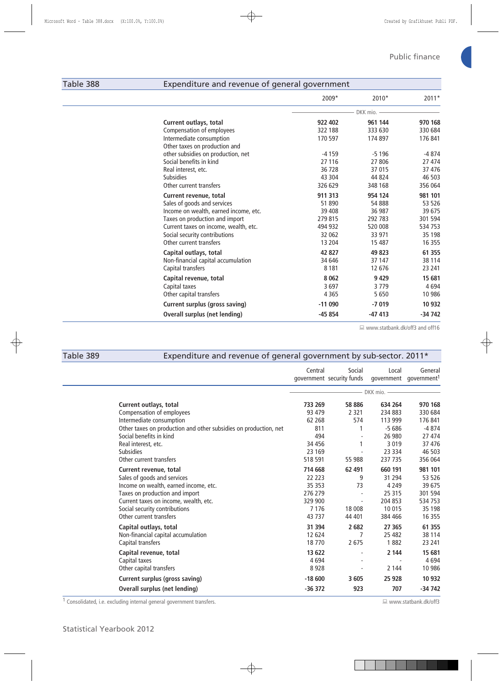### Table 388 Expenditure and revenue of general government

|                                       | 2009*    | 2010*    | $2011*$  |
|---------------------------------------|----------|----------|----------|
|                                       |          | DKK mio. |          |
| Current outlays, total                | 922 402  | 961 144  | 970 168  |
| Compensation of employees             | 322 188  | 333 630  | 330 684  |
| Intermediate consumption              | 170 597  | 174 897  | 176 841  |
| Other taxes on production and         |          |          |          |
| other subsidies on production, net    | $-4159$  | $-5196$  | -4874    |
| Social benefits in kind               | 27 116   | 27 806   | 27 474   |
| Real interest, etc.                   | 36 728   | 37 015   | 37 476   |
| <b>Subsidies</b>                      | 43 304   | 44 824   | 46 503   |
| Other current transfers               | 326 629  | 348 168  | 356 064  |
| Current revenue, total                | 911 313  | 954 124  | 981 101  |
| Sales of goods and services           | 51 890   | 54 888   | 53 526   |
| Income on wealth, earned income, etc. | 39 408   | 36 987   | 39 675   |
| Taxes on production and import        | 279 815  | 292 783  | 301 594  |
| Current taxes on income, wealth, etc. | 494 932  | 520 008  | 534 753  |
| Social security contributions         | 32 062   | 33 971   | 35 198   |
| Other current transfers               | 13 204   | 15 487   | 16 355   |
| Capital outlays, total                | 42 827   | 49 823   | 61 355   |
| Non-financial capital accumulation    | 34 646   | 37 147   | 38 114   |
| Capital transfers                     | 8 1 8 1  | 12 676   | 23 241   |
| Capital revenue, total                | 8 0 62   | 9429     | 15 681   |
| Capital taxes                         | 3697     | 3779     | 4694     |
| Other capital transfers               | 4 3 6 5  | 5650     | 10 986   |
| <b>Current surplus (gross saving)</b> | $-11090$ | $-7019$  | 10 9 32  |
| <b>Overall surplus (net lending)</b>  | $-45854$ | $-47413$ | $-34742$ |
|                                       |          |          |          |

■ www.statbank.dk/off3 and off16

| Table 389 | Expenditure and revenue of general government by sub-sector. 2011*                                                                                                                                                                    |                                                                          |                                       |                                                                        |                                                                         |
|-----------|---------------------------------------------------------------------------------------------------------------------------------------------------------------------------------------------------------------------------------------|--------------------------------------------------------------------------|---------------------------------------|------------------------------------------------------------------------|-------------------------------------------------------------------------|
|           |                                                                                                                                                                                                                                       | Central                                                                  | Social<br>government security funds   | Local                                                                  | General<br>government government <sup>1</sup>                           |
|           |                                                                                                                                                                                                                                       |                                                                          |                                       | DKK mio.                                                               |                                                                         |
|           | Current outlays, total<br>Compensation of employees<br>Intermediate consumption<br>Other taxes on production and other subsidies on production, net<br>Social benefits in kind<br>Real interest, etc.                                 | 733 269<br>93 479<br>62 2 68<br>811<br>494<br>34 45 6                    | 58 886<br>2 3 2 1<br>574              | 634 264<br>234 883<br>113 999<br>$-5686$<br>26 980<br>3 0 1 9          | 970 168<br>330 684<br>176 841<br>$-4874$<br>27 474<br>37 476            |
|           | <b>Subsidies</b><br>Other current transfers                                                                                                                                                                                           | 23 169<br>518 591                                                        | 55 988                                | 23 3 34<br>237 735                                                     | 46 503<br>356 064                                                       |
|           | Current revenue, total<br>Sales of goods and services<br>Income on wealth, earned income, etc.<br>Taxes on production and import<br>Current taxes on income, wealth, etc.<br>Social security contributions<br>Other current transfers | 714 668<br>22 223<br>35 35 3<br>276 279<br>329 900<br>7 1 7 6<br>43 7 37 | 62 491<br>9<br>73<br>18 008<br>44 401 | 660 191<br>31 294<br>4 2 4 9<br>25 315<br>204 853<br>10 015<br>384 466 | 981 101<br>53 526<br>39 675<br>301 594<br>534753<br>35 1 98<br>16 3 5 5 |
|           | Capital outlays, total<br>Non-financial capital accumulation<br>Capital transfers                                                                                                                                                     | 31 394<br>12 624<br>18770                                                | 2682<br>7<br>2675                     | 27 365<br>25 4 82<br>1882                                              | 61 355<br>38 114<br>23 241                                              |
|           | Capital revenue, total<br>Capital taxes<br>Other capital transfers                                                                                                                                                                    | 13 622<br>4694<br>8928                                                   |                                       | 2 144<br>2 1 4 4                                                       | 15 681<br>4694<br>10 986                                                |
|           | <b>Current surplus (gross saving)</b><br>Overall surplus (net lending)                                                                                                                                                                | $-18600$<br>$-36372$                                                     | 3 6 0 5<br>923                        | 25 9 28<br>707                                                         | 10 932<br>$-34742$                                                      |

1 Consolidated, i.e. excluding internal general government transfers. 
<br>
a www.statbank.dk/off3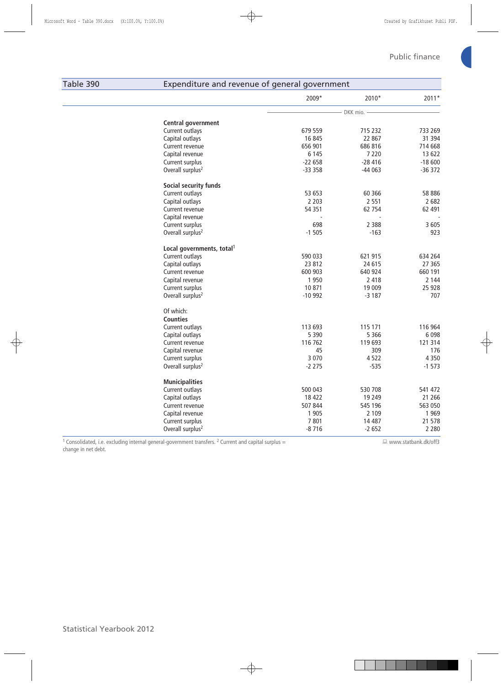## Table 390 Expenditure and revenue of general government

|                                       | 2009*     | 2010*      | $2011*$  |
|---------------------------------------|-----------|------------|----------|
|                                       |           | DKK mio. - |          |
| Central government                    |           |            |          |
| Current outlays                       | 679 559   | 715 232    | 733 269  |
| Capital outlays                       | 16 845    | 22 867     | 31 394   |
| Current revenue                       | 656 901   | 686 816    | 714 668  |
| Capital revenue                       | 6 1 4 5   | 7 2 2 0    | 13 622   |
| Current surplus                       | $-22658$  | $-28416$   | $-18600$ |
| Overall surplus <sup>2</sup>          | $-333358$ | $-44063$   | $-36372$ |
| Social security funds                 |           |            |          |
| Current outlays                       | 53 653    | 60 366     | 58 886   |
| Capital outlays                       | 2 2 0 3   | 2 5 5 1    | 2682     |
| Current revenue                       | 54 351    | 62 754     | 62 491   |
| Capital revenue                       |           |            |          |
| Current surplus                       | 698       | 2 3 8 8    | 3 6 0 5  |
| Overall surplus <sup>2</sup>          | $-1505$   | $-163$     | 923      |
| Local governments, total <sup>1</sup> |           |            |          |
| Current outlays                       | 590 033   | 621 915    | 634 264  |
| Capital outlays                       | 23 812    | 24 615     | 27 3 65  |
| Current revenue                       | 600 903   | 640 924    | 660 191  |
| Capital revenue                       | 1 9 5 0   | 2 4 1 8    | 2 1 4 4  |
| Current surplus                       | 10 871    | 19 009     | 25 9 28  |
| Overall surplus <sup>2</sup>          | $-10992$  | $-3187$    | 707      |
| Of which:                             |           |            |          |
| <b>Counties</b>                       |           |            |          |
| Current outlays                       | 113 693   | 115 171    | 116 964  |
| Capital outlays                       | 5 3 9 0   | 5 3 6 6    | 6 0 9 8  |
| Current revenue                       | 116 762   | 119 693    | 121 314  |
| Capital revenue                       | 45        | 309        | 176      |
| Current surplus                       | 3 0 7 0   | 4522       | 4 3 5 0  |
| Overall surplus <sup>2</sup>          | $-2275$   | $-535$     | $-1573$  |
| <b>Municipalities</b>                 |           |            |          |
| Current outlays                       | 500 043   | 530 708    | 541 472  |
| Capital outlays                       | 18 4 22   | 19 2 49    | 21 26 6  |
| Current revenue                       | 507 844   | 545 196    | 563 050  |
| Capital revenue                       | 1 9 0 5   | 2 1 0 9    | 1 9 6 9  |
| Current surplus                       | 7801      | 14 487     | 21 578   |
| Overall surplus <sup>2</sup>          | $-8716$   | $-2652$    | 2 2 8 0  |

<sup>1</sup> Consolidated, i.e. excluding internal general-government transfers. <sup>2</sup> Current and capital surplus = change in net debt.

Statistical Yearbook 2012

■ www.statbank.dk/off3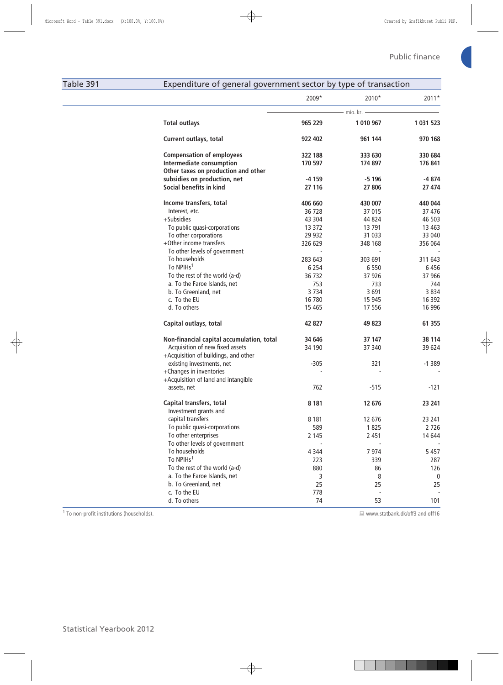## Table 391 Expenditure of general government sector by type of transaction

| 2011*             | 2010*             | 2009*             |                                                                     |
|-------------------|-------------------|-------------------|---------------------------------------------------------------------|
|                   | – mio. kr. —      |                   |                                                                     |
| 1 031 523         | 1 010 967         | 965 229           | <b>Total outlays</b>                                                |
| 970 168           | 961 144           | 922 402           | <b>Current outlays, total</b>                                       |
| 330 684           | 333 630           | 322 188           | <b>Compensation of employees</b>                                    |
| 176 841           | 174 897           | 170 597           | Intermediate consumption                                            |
|                   |                   |                   | Other taxes on production and other<br>subsidies on production, net |
| $-4874$<br>27 474 | $-5196$<br>27 806 | $-4159$<br>27 116 | Social benefits in kind                                             |
|                   |                   |                   |                                                                     |
| 440 044           | 430 007           | 406 660           | Income transfers, total                                             |
| 37476             | 37 015            | 36 728            | Interest, etc.                                                      |
| 46 503            | 44 824            | 43 304            | +Subsidies                                                          |
| 13 4 63           | 13 791            | 13 372            | To public quasi-corporations                                        |
| 33 040            | 31 033            | 29 9 32           | To other corporations                                               |
| 356 064           | 348 168           | 326 629           | +Other income transfers                                             |
|                   |                   |                   | To other levels of government                                       |
| 311 643           | 303 691           | 283 643           | To households                                                       |
| 6456              | 6 5 5 0           | 6 2 5 4           | To NPIHs <sup>1</sup>                                               |
| 37 966            | 37 926            | 36 732            | To the rest of the world (a-d)                                      |
| 744               | 733               | 753               | a. To the Faroe Islands, net                                        |
| 3834<br>16 3 9 2  | 3691<br>15 945    | 3734<br>16 780    | b. To Greenland, net<br>c. To the EU                                |
| 16 996            | 17 556            | 15 4 65           | d. To others                                                        |
| 61 355            | 49 823            | 42 827            | Capital outlays, total                                              |
| 38 114            | 37 147            | 34 646            | Non-financial capital accumulation, total                           |
| 39624             | 37 340            | 34 190            | Acquisition of new fixed assets                                     |
|                   |                   |                   | +Acquisition of buildings, and other                                |
| $-1389$           | 321               | $-305$            | existing investments, net                                           |
|                   |                   |                   | +Changes in inventories                                             |
|                   |                   |                   | +Acquisition of land and intangible                                 |
| $-121$            | $-515$            | 762               | assets, net                                                         |
| 23 241            | 12 676            | 8 1 8 1           | Capital transfers, total                                            |
|                   |                   |                   | Investment grants and                                               |
| 23 241            | 12 676            | 8 1 8 1           | capital transfers                                                   |
| 2726              | 1825              | 589               | To public quasi-corporations                                        |
| 14 644            | 2 4 5 1           | 2 1 4 5           | To other enterprises                                                |
|                   |                   |                   | To other levels of government                                       |
| 5 4 5 7<br>287    | 7974<br>339       | 4 3 4 4<br>223    | To households<br>To NPIHs <sup>1</sup>                              |
| 126               | 86                | 880               | To the rest of the world (a-d)                                      |
| 0                 | 8                 | 3                 | a. To the Faroe Islands, net                                        |
| 25                | 25                | 25                | b. To Greenland, net                                                |
|                   |                   | 778               | c. To the EU                                                        |
| 101               | 53                | 74                | d. To others                                                        |

1 To non-profit institutions (households). www.statbank.dk/off3 and off16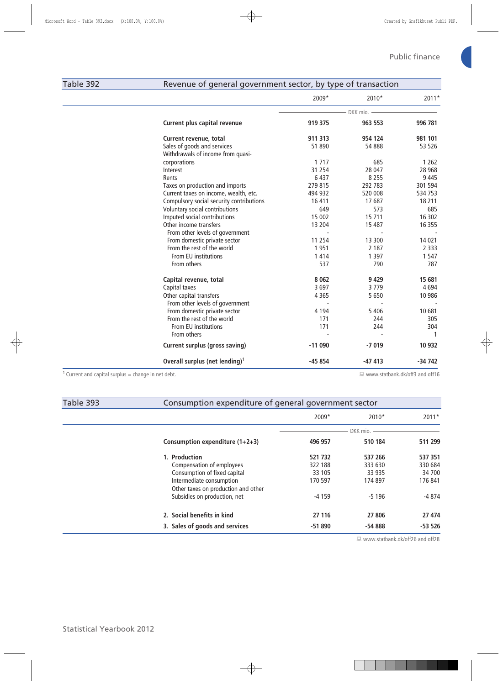## Table 392 Revenue of general government sector, by type of transaction

|                                                                | $2009*$  | 2010*    | 2011*                            |
|----------------------------------------------------------------|----------|----------|----------------------------------|
|                                                                |          | DKK mio. |                                  |
| Current plus capital revenue                                   | 919 375  | 963 553  | 996 781                          |
| Current revenue, total                                         | 911 313  | 954 124  | 981 101                          |
| Sales of goods and services                                    | 51 890   | 54 888   | 53 526                           |
| Withdrawals of income from quasi-                              |          |          |                                  |
| corporations                                                   | 1 7 1 7  | 685      | 1 2 6 2                          |
| Interest                                                       | 31 2 54  | 28 047   | 28 9 68                          |
| Rents                                                          | 6 4 3 7  | 8 2 5 5  | 9 4 4 5                          |
| Taxes on production and imports                                | 279 815  | 292 783  | 301 594                          |
| Current taxes on income, wealth, etc.                          | 494 932  | 520 008  | 534 753                          |
| Compulsory social security contributions                       | 16 411   | 17687    | 18 211                           |
| Voluntary social contributions                                 | 649      | 573      | 685                              |
| Imputed social contributions                                   | 15 002   | 15 711   | 16 302                           |
| Other income transfers                                         | 13 204   | 15 487   | 16 3 5 5                         |
| From other levels of government                                |          |          |                                  |
| From domestic private sector                                   | 11 2 5 4 | 13 300   | 14 0 21                          |
| From the rest of the world                                     | 1951     | 2 1 8 7  | 2 3 3 3                          |
| From EU institutions                                           | 1 4 1 4  | 1 3 9 7  | 1 5 4 7                          |
| From others                                                    | 537      | 790      | 787                              |
| Capital revenue, total                                         | 8 0 6 2  | 9 4 2 9  | 15 681                           |
| Capital taxes                                                  | 3697     | 3779     | 4694                             |
| Other capital transfers                                        | 4 3 6 5  | 5 6 5 0  | 10 986                           |
| From other levels of government                                |          |          |                                  |
| From domestic private sector                                   | 4 1 9 4  | 5 4 0 6  | 10 681                           |
| From the rest of the world                                     | 171      | 244      | 305                              |
| From EU institutions                                           | 171      | 244      | 304                              |
| From others                                                    |          |          | -1                               |
| <b>Current surplus (gross saving)</b>                          | $-11090$ | $-7019$  | 10 932                           |
| Overall surplus (net lending) <sup>1</sup>                     | $-45854$ | $-47413$ | $-34742$                         |
| <sup>1</sup> Current and capital surplus = change in net debt. |          |          | ■ www.statbank.dk/off3 and off16 |

| Table 393 | Consumption expenditure of general government sector            |          |                |          |  |  |  |  |
|-----------|-----------------------------------------------------------------|----------|----------------|----------|--|--|--|--|
|           |                                                                 | $2009*$  | $2010*$        | $2011*$  |  |  |  |  |
|           |                                                                 |          | $DKK$ mio. $-$ |          |  |  |  |  |
|           | Consumption expenditure $(1+2+3)$                               | 496 957  | 510 184        | 511 299  |  |  |  |  |
|           | 1. Production                                                   | 521 732  | 537 266        | 537 351  |  |  |  |  |
|           | Compensation of employees                                       | 322 188  | 333 630        | 330 684  |  |  |  |  |
|           | Consumption of fixed capital                                    | 33 105   | 33 935         | 34 700   |  |  |  |  |
|           | Intermediate consumption<br>Other taxes on production and other | 170 597  | 174 897        | 176 841  |  |  |  |  |
|           | Subsidies on production, net                                    | $-4159$  | $-5196$        | $-4874$  |  |  |  |  |
|           | 2. Social benefits in kind                                      | 27 116   | 27 806         | 27 474   |  |  |  |  |
|           | 3. Sales of goods and services                                  | $-51890$ | $-54888$       | $-53526$ |  |  |  |  |

■ www.statbank.dk/off26 and off28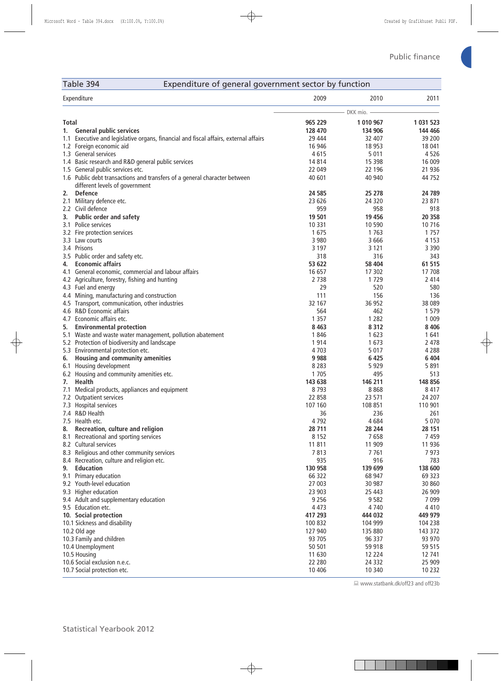## Table 394 Expenditure of general government sector by function

|       | Expenditure                                                                                                 | 2009    | 2010         | 2011      |
|-------|-------------------------------------------------------------------------------------------------------------|---------|--------------|-----------|
|       |                                                                                                             |         | - DKK mio. - |           |
| Total |                                                                                                             | 965 229 | 1 010 967    | 1 031 523 |
|       | 1. General public services                                                                                  | 128 470 | 134 906      | 144 466   |
|       | 1.1 Executive and legislative organs, financial and fiscal affairs, external affairs                        | 29 444  | 32 407       | 39 200    |
|       | 1.2 Foreign economic aid                                                                                    | 16 946  | 18 9 53      | 18 041    |
|       | 1.3 General services                                                                                        | 4615    | 5 0 1 1      | 4526      |
|       | 1.4 Basic research and R&D general public services                                                          | 14814   | 15 3 98      | 16 009    |
|       | 1.5 General public services etc.                                                                            | 22 049  | 22 196       | 21 936    |
|       | 1.6 Public debt transactions and transfers of a general character between<br>different levels of government | 40 601  | 40 940       | 44 7 52   |
| 2.    | <b>Defence</b>                                                                                              | 24 5 85 | 25 278       | 24 789    |
|       | 2.1 Military defence etc.                                                                                   | 23 626  | 24 3 20      | 23 871    |
|       | 2.2 Civil defence                                                                                           | 959     | 958          | 918       |
| 3.    | <b>Public order and safety</b>                                                                              | 19 501  | 19 45 6      | 20 358    |
|       | 3.1 Police services                                                                                         | 10 3 31 | 10 590       | 10 716    |
|       | 3.2 Fire protection services                                                                                | 1675    | 1763         | 1 7 5 7   |
|       | 3.3 Law courts                                                                                              | 3 9 8 0 | 3 6 6 6      | 4 1 5 3   |
|       | 3.4 Prisons                                                                                                 | 3 1 9 7 | 3 1 2 1      | 3 3 9 0   |
|       | 3.5 Public order and safety etc.                                                                            | 318     | 316          | 343       |
| 4.    | <b>Economic affairs</b>                                                                                     | 53 622  | 58 404       | 61 515    |
|       | 4.1 General economic, commercial and labour affairs                                                         | 16 657  | 17 302       | 17 708    |
|       | 4.2 Agriculture, forestry, fishing and hunting                                                              | 2 7 3 8 | 1729         | 2 4 1 4   |
|       | 4.3 Fuel and energy                                                                                         | 29      | 520          | 580       |
|       | 4.4 Mining, manufacturing and construction                                                                  | 111     | 156          | 136       |
|       | 4.5 Transport, communication, other industries                                                              | 32 167  | 36 952       | 38 089    |
|       | 4.6 R&D Economic affairs                                                                                    | 564     | 462          | 1 5 7 9   |
|       | 4.7 Economic affairs etc.                                                                                   | 1 3 5 7 | 1 2 8 2      | 1 0 0 9   |
| 5.    | <b>Environmental protection</b>                                                                             | 8 4 6 3 | 8 3 1 2      | 8 4 0 6   |
|       | 5.1 Waste and waste water management, pollution abatement                                                   | 1846    | 1 623        | 1641      |
|       | 5.2 Protection of biodiversity and landscape                                                                | 1914    | 1673         | 2 4 7 8   |
|       | 5.3 Environmental protection etc.                                                                           | 4 7 0 3 | 5017         | 4 2 8 8   |
| 6.    | Housing and community amenities                                                                             | 9988    | 6 4 2 5      | 6 4 0 4   |
|       | 6.1 Housing development                                                                                     | 8 2 8 3 | 5929         | 5 8 9 1   |
|       | 6.2 Housing and community amenities etc.                                                                    | 1 7 0 5 | 495          | 513       |
|       | 7. Health                                                                                                   | 143 638 | 146 211      | 148 856   |
|       | 7.1 Medical products, appliances and equipment                                                              | 8793    | 8868         | 8417      |
|       | 7.2 Outpatient services                                                                                     | 22 858  | 23 571       | 24 207    |
|       | 7.3 Hospital services                                                                                       | 107 160 | 108 851      | 110 901   |
|       | 7.4 R&D Health                                                                                              | 36      | 236          | 261       |
|       | 7.5 Health etc.                                                                                             | 4792    | 4684         | 5 0 7 0   |
| 8.    | Recreation, culture and religion                                                                            | 28 711  | 28 244       | 28 151    |
|       | 8.1 Recreational and sporting services                                                                      | 8 1 5 2 | 7658         | 7459      |
|       | 8.2 Cultural services                                                                                       | 11 811  | 11 909       | 11 936    |
|       | 8.3 Religious and other community services                                                                  | 7813    | 7761         | 7973      |
|       | 8.4 Recreation, culture and religion etc.                                                                   | 935     | 916          | 783       |
| 9.    | <b>Education</b>                                                                                            | 130 958 | 139 699      | 138 600   |
|       | 9.1 Primary education                                                                                       | 66 322  | 68 947       | 69 323    |
|       | 9.2 Youth-level education                                                                                   | 27 003  | 30 987       | 30 860    |
|       | 9.3 Higher education                                                                                        | 23 903  | 25 4 43      | 26 909    |
|       | 9.4 Adult and supplementary education                                                                       | 9 2 5 6 | 9582         | 7 0 9 9   |
|       | 9.5 Education etc.                                                                                          | 4 4 7 3 | 4740         | 4 4 1 0   |
|       | 10. Social protection                                                                                       | 417 293 | 444 032      | 449 979   |
|       | 10.1 Sickness and disability                                                                                | 100 832 | 104 999      | 104 238   |
|       | 10.2 Old age                                                                                                | 127 940 | 135 880      | 143 372   |
|       | 10.3 Family and children                                                                                    | 93 705  | 96 337       | 93 970    |
|       | 10.4 Unemployment                                                                                           | 50 501  | 59 918       | 59 515    |
|       | 10.5 Housing                                                                                                | 11 630  | 12 2 2 4     | 12 741    |
|       | 10.6 Social exclusion n.e.c.                                                                                | 22 280  | 24 3 32      | 25 909    |
|       | 10.7 Social protection etc.                                                                                 | 10 40 6 | 10 340       | 10 2 32   |

www.statbank.dk/off23 and off23b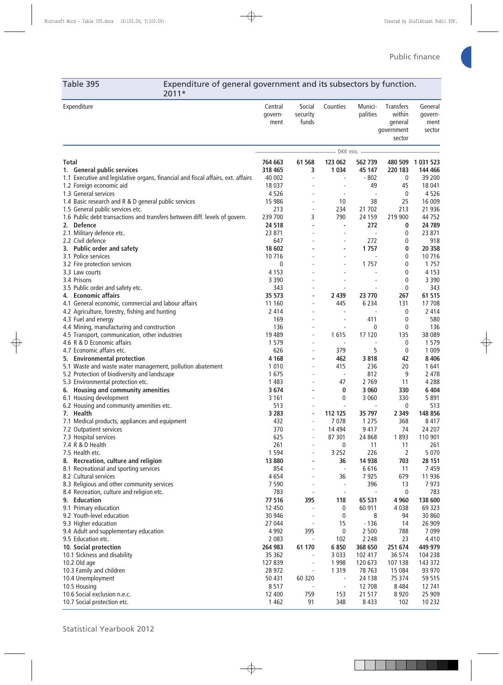Table 395 Expenditure of general government and its subsectors by function. 2011\*

| Expenditure                                                                                           | Central<br>qovern-<br>ment | Social<br>security<br>funds    | Counties                 | Munici-<br>palities      | <b>Transfers</b><br>within<br>general<br>government<br>sector | General<br>govern-<br>ment<br>sector |
|-------------------------------------------------------------------------------------------------------|----------------------------|--------------------------------|--------------------------|--------------------------|---------------------------------------------------------------|--------------------------------------|
|                                                                                                       |                            |                                | DKK mio. -               |                          |                                                               |                                      |
| Total                                                                                                 | 764 663                    | 61 568                         | 123 062                  | 562 739                  |                                                               | 480 509 1 031 523                    |
| 1. General public services                                                                            | 318 465                    | 3                              | 1 0 3 4                  | 45 147                   | 220 183                                                       | 144 466                              |
| 1.1 Executive and legislative organs, financial and fiscal affairs, ext. affairs                      | 40 002                     | $\overline{\phantom{a}}$       | $\overline{\phantom{a}}$ | $-802$                   | 0                                                             | 39 200                               |
| 1.2 Foreign economic aid                                                                              | 18 0 37                    |                                |                          | 49                       | 45                                                            | 18 041                               |
| 1.3 General services                                                                                  | 4526                       |                                |                          | $\overline{\phantom{a}}$ | 0                                                             | 4526                                 |
| 1.4 Basic research and R & D general public services<br>1.5 General public services etc.              | 15 986<br>213              | $\overline{\phantom{a}}$       | 10<br>234                | 38<br>21 702             | 25<br>213                                                     | 16 009<br>21 936                     |
| 1.6 Public debt transactions and transfers between diff. levels of govern.                            | 239 700                    | 3                              | 790                      | 24 159                   | 219 900                                                       | 44 752                               |
| 2. Defence                                                                                            | 24 5 18                    | $\overline{\phantom{a}}$       |                          | 272                      | 0                                                             | 24 789                               |
| 2.1 Military defence etc.                                                                             | 23 871                     | $\blacksquare$                 |                          | L,                       | 0                                                             | 23 871                               |
| 2.2 Civil defence                                                                                     | 647                        |                                | $\overline{\phantom{a}}$ | 272                      | 0                                                             | 918                                  |
| 3. Public order and safety                                                                            | 18 602                     |                                | $\blacksquare$           | 1757                     | 0                                                             | 20 358                               |
| 3.1 Police services                                                                                   | 10716                      |                                |                          |                          | 0                                                             | 10716                                |
| 3.2 Fire protection services                                                                          | 0                          |                                |                          | 1 7 5 7                  | 0                                                             | 1 7 5 7                              |
| 3.3 Law courts                                                                                        | 4 1 5 3                    |                                |                          |                          | 0                                                             | 4 1 5 3                              |
| 3.4 Prisons                                                                                           | 3 3 9 0                    |                                |                          |                          | 0                                                             | 3 3 9 0                              |
| 3.5 Public order and safety etc.                                                                      | 343                        | ÷,                             |                          |                          | 0                                                             | 343                                  |
| 4. Economic affairs                                                                                   | 35 573                     | ٠                              | 2 4 3 9                  | 23 770                   | 267                                                           | 61 515                               |
| 4.1 General economic, commercial and labour affairs<br>4.2 Agriculture, forestry, fishing and hunting | 11 160<br>2 4 1 4          | $\overline{\phantom{a}}$<br>÷, | 445                      | 6 2 3 4                  | 131<br>0                                                      | 17 708<br>2 4 1 4                    |
| 4.3 Fuel and energy                                                                                   | 169                        | $\overline{\phantom{a}}$       | $\overline{\phantom{a}}$ | 411                      | 0                                                             | 580                                  |
| 4.4 Mining, manufacturing and construction                                                            | 136                        |                                |                          | 0                        | 0                                                             | 136                                  |
| 4.5 Transport, communication, other industries                                                        | 19 4 89                    | $\overline{\phantom{a}}$       | 1615                     | 17 120                   | 135                                                           | 38 089                               |
| 4.6 R & D Economic affairs                                                                            | 1579                       | ٠                              |                          |                          | 0                                                             | 1 5 7 9                              |
| 4.7 Economic affairs etc.                                                                             | 626                        | ÷,                             | 379                      | 5                        | 0                                                             | 1 0 0 9                              |
| 5. Environmental protection                                                                           | 4 1 6 8                    | ٠                              | 462                      | 3818                     | 42                                                            | 8 4 0 6                              |
| 5.1 Waste and waste water management, pollution abatement                                             | 1 0 1 0                    |                                | 415                      | 236                      | 20                                                            | 1641                                 |
| 5.2 Protection of biodiversity and landscape                                                          | 1675                       | $\overline{\phantom{a}}$       | $\overline{\phantom{a}}$ | 812                      | 9                                                             | 2 4 7 8                              |
| 5.3 Environmental protection etc.                                                                     | 1483                       | ÷,                             | 47                       | 2 7 6 9                  | 11                                                            | 4 2 8 8                              |
| 6. Housing and community amenities                                                                    | 3674                       | $\overline{\phantom{a}}$       | 0                        | 3 0 6 0                  | 330                                                           | 6 4 0 4                              |
| 6.1 Housing development                                                                               | 3 1 6 1                    |                                | 0                        | 3 0 6 0                  | 330                                                           | 5 8 9 1                              |
| 6.2 Housing and community amenities etc.<br>7. Health                                                 | 513<br>3 2 8 3             |                                | 112 125                  | 35 797                   | 0<br>2 3 4 9                                                  | 513<br>148 856                       |
| 7.1 Medical products, appliances and equipment                                                        | 432                        | ÷                              | 7078                     | 1 2 7 5                  | 368                                                           | 8 4 1 7                              |
| 7.2 Outpatient services                                                                               | 370                        |                                | 14 4 94                  | 9417                     | 74                                                            | 24 207                               |
| 7.3 Hospital services                                                                                 | 625                        |                                | 87 301                   | 24 868                   | 1893                                                          | 110 901                              |
| 7.4 R & D Health                                                                                      | 261                        |                                | 0                        | 11                       | 11                                                            | 261                                  |
| 7.5 Health etc.                                                                                       | 1 5 9 4                    | ÷                              | 3 2 5 2                  | 226                      | 2                                                             | 5 0 7 0                              |
| 8. Recreation, culture and religion                                                                   | 13 880                     | ٠                              | 36                       | 14 938                   | 703                                                           | 28 151                               |
| 8.1 Recreational and sporting services                                                                | 854                        |                                | $\overline{\phantom{a}}$ | 6616                     | 11                                                            | 7459                                 |
| 8.2 Cultural services                                                                                 | 4654                       | $\overline{\phantom{a}}$       | 36                       | 7925                     | 679                                                           | 11 936                               |
| 8.3 Religious and other community services                                                            | 7590                       | $\overline{\phantom{a}}$       | $\overline{\phantom{a}}$ | 396                      | 13                                                            | 7973                                 |
| 8.4 Recreation, culture and religion etc.                                                             | 783                        | $\overline{\phantom{a}}$       | $\overline{\phantom{a}}$ |                          | 0                                                             | 783                                  |
| 9. Education                                                                                          | 77 516                     | 395                            | 118                      | 65 531                   | 4 9 6 0                                                       | 138 600                              |
| 9.1 Primary education                                                                                 | 12 450                     |                                | $\boldsymbol{0}$         | 60 911                   | 4 0 38<br>94                                                  | 69 323                               |
| 9.2 Youth-level education<br>9.3 Higher education                                                     | 30 946<br>27 044           | Ĭ.<br>$\overline{\phantom{a}}$ | 0<br>15                  | 8<br>$-136$              | 14                                                            | 30 860<br>26 909                     |
| 9.4 Adult and supplementary education                                                                 | 4 9 9 2                    | 395                            | 0                        | 2 500                    | 788                                                           | 7 0 9 9                              |
| 9.5 Education etc.                                                                                    | 2 0 8 3                    |                                | 102                      | 2 2 4 8                  | 23                                                            | 4 4 1 0                              |
| 10. Social protection                                                                                 | 264 983                    | 61 170                         | 6850                     | 368 650                  | 251 674                                                       | 449 979                              |
| 10.1 Sickness and disability                                                                          | 35 362                     | $\blacksquare$                 | 3 0 3 3                  | 102 417                  | 36 574                                                        | 104 238                              |
| 10.2 Old age                                                                                          | 127839                     | $\overline{\phantom{a}}$       | 1 9 9 8                  | 120 673                  | 107 138                                                       | 143 372                              |
| 10.3 Family and children                                                                              | 28 972                     | $\overline{\phantom{a}}$       | 1 3 1 9                  | 78 763                   | 15 0 84                                                       | 93 970                               |
| 10.4 Unemployment                                                                                     | 50 431                     | 60 320                         |                          | 24 138                   | 75 374                                                        | 59 515                               |
| 10.5 Housing                                                                                          | 8517                       |                                | $\overline{\phantom{a}}$ | 12 708                   | 8 4 8 4                                                       | 12 741                               |
| 10.6 Social exclusion n.e.c.                                                                          | 12 400                     | 759                            | 153                      | 21 517                   | 8920                                                          | 25 909                               |
| 10.7 Social protection etc.                                                                           | 1 4 6 2                    | 91                             | 348                      | 8 4 3 3                  | 102                                                           | 10 2 32                              |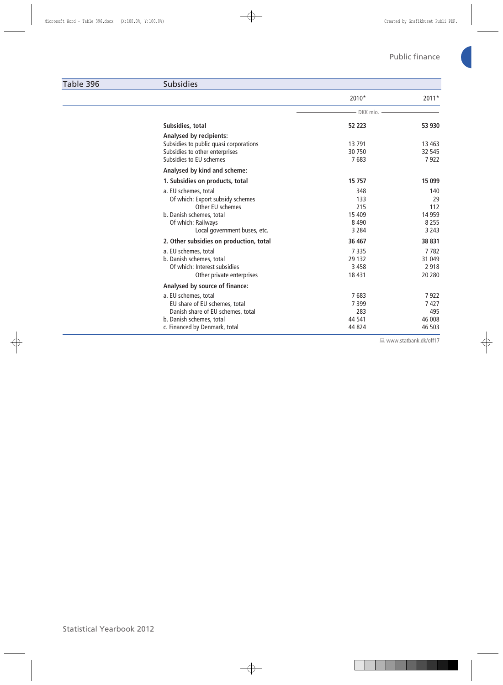#### Table 396 Subsidies

|                                                                                                                                                                | $2010*$                                           | $2011*$                                           |
|----------------------------------------------------------------------------------------------------------------------------------------------------------------|---------------------------------------------------|---------------------------------------------------|
|                                                                                                                                                                | - DKK mio.                                        |                                                   |
| Subsidies, total                                                                                                                                               | 52 223                                            | 53 930                                            |
| <b>Analysed by recipients:</b><br>Subsidies to public quasi corporations<br>Subsidies to other enterprises<br>Subsidies to EU schemes                          | 13791<br>30 750<br>7683                           | 13 4 63<br>32 545<br>7922                         |
| Analysed by kind and scheme:                                                                                                                                   |                                                   |                                                   |
| 1. Subsidies on products, total                                                                                                                                | 15 757                                            | 15 099                                            |
| a. EU schemes, total<br>Of which: Export subsidy schemes<br>Other EU schemes<br>b. Danish schemes, total<br>Of which: Railways<br>Local government buses, etc. | 348<br>133<br>215<br>15 409<br>8 4 9 0<br>3 2 8 4 | 140<br>29<br>112<br>14 9 59<br>8 2 5 5<br>3 2 4 3 |
| 2. Other subsidies on production, total                                                                                                                        | 36 467                                            | 38 831                                            |
| a. EU schemes, total<br>b. Danish schemes, total<br>Of which: Interest subsidies<br>Other private enterprises                                                  | 7335<br>29 132<br>3 4 5 8<br>18 4 31              | 7782<br>31 049<br>2 9 1 8<br>20 280               |
| Analysed by source of finance:                                                                                                                                 |                                                   |                                                   |
| a. EU schemes, total<br>EU share of EU schemes, total<br>Danish share of EU schemes, total<br>b. Danish schemes, total<br>c. Financed by Denmark, total        | 7683<br>7 3 9 9<br>283<br>44 541<br>44 824        | 7922<br>7427<br>495<br>46 008<br>46 503           |

www.statbank.dk/off17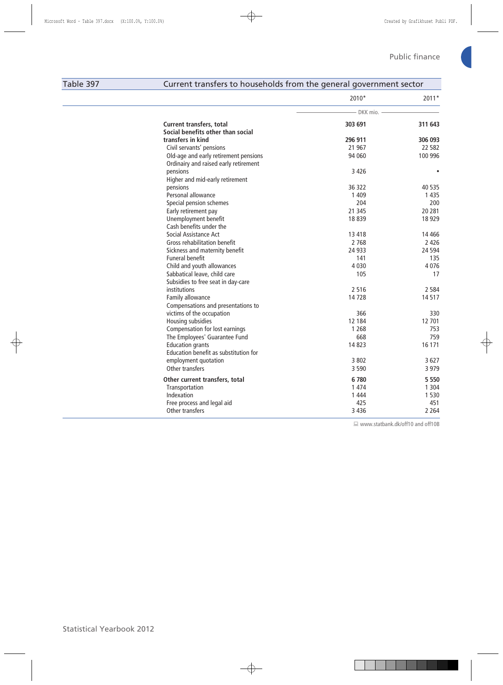## Table 397 Current transfers to households from the general government sector

|                                       | 2010*        | 2011*     |  |  |
|---------------------------------------|--------------|-----------|--|--|
|                                       | – DKK mio. - |           |  |  |
| <b>Current transfers, total</b>       | 303 691      | 311 643   |  |  |
| Social benefits other than social     |              |           |  |  |
| transfers in kind                     | 296 911      | 306 093   |  |  |
| Civil servants' pensions              | 21 967       | 22 582    |  |  |
| Old-age and early retirement pensions | 94 060       | 100 996   |  |  |
| Ordinairy and raised early retirement |              |           |  |  |
| pensions                              | 3426         | $\bullet$ |  |  |
| Higher and mid-early retirement       |              |           |  |  |
| pensions                              | 36 322       | 40 535    |  |  |
| Personal allowance                    | 1 4 0 9      | 1435      |  |  |
| Special pension schemes               | 204          | 200       |  |  |
| Early retirement pay                  | 21 345       | 20 281    |  |  |
| Unemployment benefit                  | 18839        | 18 9 29   |  |  |
| Cash benefits under the               |              |           |  |  |
| Social Assistance Act                 | 13 418       | 14 4 66   |  |  |
| Gross rehabilitation benefit          | 2 7 6 8      | 2 4 2 6   |  |  |
| Sickness and maternity benefit        | 24 9 33      | 24 5 94   |  |  |
| <b>Funeral benefit</b>                | 141          | 135       |  |  |
| Child and youth allowances            | 4 0 3 0      | 4076      |  |  |
| Sabbatical leave, child care          | 105          | 17        |  |  |
| Subsidies to free seat in day-care    |              |           |  |  |
| institutions                          | 2516         | 2 5 8 4   |  |  |
| Family allowance                      | 14728        | 14517     |  |  |
| Compensations and presentations to    |              |           |  |  |
| victims of the occupation             | 366          | 330       |  |  |
| Housing subsidies                     | 12 184       | 12 701    |  |  |
| Compensation for lost earnings        | 1 2 6 8      | 753       |  |  |
| The Employees' Guarantee Fund         | 668          | 759       |  |  |
| <b>Education grants</b>               | 14823        | 16 171    |  |  |
| Education benefit as substitution for |              |           |  |  |
| employment quotation                  | 3 8 0 2      | 3 6 2 7   |  |  |
| Other transfers                       | 3 5 9 0      | 3 9 7 9   |  |  |
| Other current transfers, total        | 6780         | 5 5 5 0   |  |  |
| Transportation                        | 1 4 7 4      | 1 3 0 4   |  |  |
| Indexation                            | 1 4 4 4      | 1 5 3 0   |  |  |
| Free process and legal aid            | 425          | 451       |  |  |
| Other transfers                       | 3 4 3 6      | 2 2 6 4   |  |  |

■ www.statbank.dk/off10 and off10B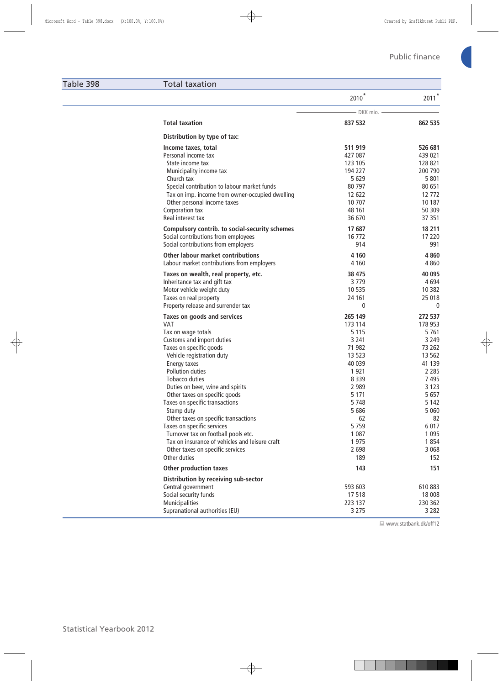#### Table 398 Total taxation

|                                                                                                                                                                                                                                                                                                                                                                                                                                                                                                                                                    | $2010^{*}$                                                                                                                                                                          | $2011*$                                                                                                                                                                                   |
|----------------------------------------------------------------------------------------------------------------------------------------------------------------------------------------------------------------------------------------------------------------------------------------------------------------------------------------------------------------------------------------------------------------------------------------------------------------------------------------------------------------------------------------------------|-------------------------------------------------------------------------------------------------------------------------------------------------------------------------------------|-------------------------------------------------------------------------------------------------------------------------------------------------------------------------------------------|
|                                                                                                                                                                                                                                                                                                                                                                                                                                                                                                                                                    | DKK mio.                                                                                                                                                                            |                                                                                                                                                                                           |
| <b>Total taxation</b>                                                                                                                                                                                                                                                                                                                                                                                                                                                                                                                              | 837 532                                                                                                                                                                             | 862 535                                                                                                                                                                                   |
| Distribution by type of tax:                                                                                                                                                                                                                                                                                                                                                                                                                                                                                                                       |                                                                                                                                                                                     |                                                                                                                                                                                           |
| Income taxes, total<br>Personal income tax<br>State income tax<br>Municipality income tax<br>Church tax<br>Special contribution to labour market funds<br>Tax on imp. income from owner-occupied dwelling<br>Other personal income taxes<br>Corporation tax<br>Real interest tax<br>Compulsory contrib. to social-security schemes<br>Social contributions from employees                                                                                                                                                                          | 511 919<br>427 087<br>123 105<br>194 227<br>5 6 2 9<br>80 797<br>12 622<br>10 707<br>48 161<br>36 670<br>17 687<br>16 772                                                           | 526 681<br>439 021<br>128 821<br>200 790<br>5801<br>80 651<br>12 772<br>10 187<br>50 309<br>37 351<br>18 211<br>17 220                                                                    |
| Social contributions from employers                                                                                                                                                                                                                                                                                                                                                                                                                                                                                                                | 914                                                                                                                                                                                 | 991                                                                                                                                                                                       |
| <b>Other labour market contributions</b><br>Labour market contributions from employers                                                                                                                                                                                                                                                                                                                                                                                                                                                             | 4 160<br>4 1 6 0                                                                                                                                                                    | 4860<br>4860                                                                                                                                                                              |
| Taxes on wealth, real property, etc.<br>Inheritance tax and gift tax<br>Motor vehicle weight duty<br>Taxes on real property<br>Property release and surrender tax                                                                                                                                                                                                                                                                                                                                                                                  | 38 475<br>3779<br>10 535<br>24 161<br>$\mathbf{0}$                                                                                                                                  | 40 095<br>4694<br>10 3 82<br>25 018<br>0                                                                                                                                                  |
| Taxes on goods and services<br><b>VAT</b><br>Tax on wage totals<br>Customs and import duties<br>Taxes on specific goods<br>Vehicle registration duty<br>Energy taxes<br>Pollution duties<br>Tobacco duties<br>Duties on beer, wine and spirits<br>Other taxes on specific goods<br>Taxes on specific transactions<br>Stamp duty<br>Other taxes on specific transactions<br>Taxes on specific services<br>Turnover tax on football pools etc.<br>Tax on insurance of vehicles and leisure craft<br>Other taxes on specific services<br>Other duties | 265 149<br>173 114<br>5 1 1 5<br>3 2 4 1<br>71 982<br>13 5 23<br>40 039<br>1921<br>8 3 3 9<br>2 9 8 9<br>5 1 7 1<br>5748<br>5686<br>62<br>5 7 5 9<br>1 0 8 7<br>1975<br>2698<br>189 | 272 537<br>178 953<br>5761<br>3 2 4 9<br>73 262<br>13 5 62<br>41 139<br>2 2 8 5<br>7 4 9 5<br>3 1 2 3<br>5657<br>5 1 4 2<br>5 0 6 0<br>82<br>6 0 1 7<br>1 0 9 5<br>1854<br>3 0 6 8<br>152 |
| <b>Other production taxes</b>                                                                                                                                                                                                                                                                                                                                                                                                                                                                                                                      | 143                                                                                                                                                                                 | 151                                                                                                                                                                                       |
| Distribution by receiving sub-sector<br>Central government<br>Social security funds<br>Municipalities<br>Supranational authorities (EU)                                                                                                                                                                                                                                                                                                                                                                                                            | 593 603<br>17518<br>223 137<br>3 2 7 5                                                                                                                                              | 610883<br>18 008<br>230 362<br>3 2 8 2                                                                                                                                                    |

www.statbank.dk/off12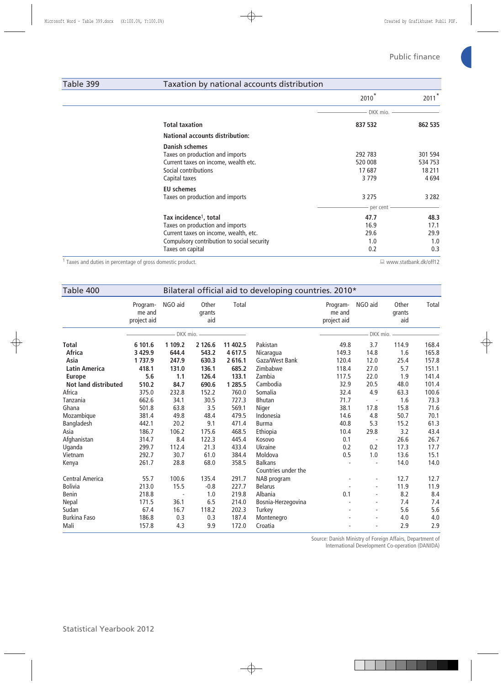## Table 399 Taxation by national accounts distribution

|                                                                                                                                                                                  | 2010                                   | 2011                                    |
|----------------------------------------------------------------------------------------------------------------------------------------------------------------------------------|----------------------------------------|-----------------------------------------|
|                                                                                                                                                                                  | DKK mio.                               |                                         |
| <b>Total taxation</b>                                                                                                                                                            | 837 532                                | 862 535                                 |
| <b>National accounts distribution:</b>                                                                                                                                           |                                        |                                         |
| <b>Danish schemes</b><br>Taxes on production and imports<br>Current taxes on income, wealth etc.<br>Social contributions<br>Capital taxes                                        | 292 783<br>520 008<br>17687<br>3 7 7 9 | 301 594<br>534 753<br>18 211<br>4 6 9 4 |
| <b>EU</b> schemes<br>Taxes on production and imports                                                                                                                             | 3 2 7 5<br>per cent -                  | 3 2 8 2                                 |
| Tax incidence <sup>1</sup> , total<br>Taxes on production and imports<br>Current taxes on income, wealth, etc.<br>Compulsory contribution to social security<br>Taxes on capital | 47.7<br>16.9<br>29.6<br>1.0<br>0.2     | 48.3<br>17.1<br>29.9<br>1.0<br>0.3      |

1 Taxes and duties in percentage of gross domestic product. **with a set of the control of the control of the control** of the control of the control of the control of the control of the control of the control of the contro

| Bilateral official aid to developing countries. 2010*<br>Table 400 |                                   |                  |                        |                    |                                       |                                   |                          |                        |                |
|--------------------------------------------------------------------|-----------------------------------|------------------|------------------------|--------------------|---------------------------------------|-----------------------------------|--------------------------|------------------------|----------------|
|                                                                    | Program-<br>me and<br>project aid | NGO aid          | Other<br>grants<br>aid | Total              |                                       | Program-<br>me and<br>project aid | NGO aid                  | Other<br>grants<br>aid | Total          |
|                                                                    |                                   | DKK mio.         |                        |                    |                                       |                                   | DKK mio.                 |                        |                |
| Total<br><b>Africa</b>                                             | 6 101.6<br>3 4 29.9               | 1 109.2<br>644.4 | 2 126.6<br>543.2       | 11 402.5<br>4617.5 | Pakistan<br>Nicaragua                 | 49.8<br>149.3                     | 3.7<br>14.8              | 114.9<br>1.6           | 168.4<br>165.8 |
| Asia                                                               | 1737.9                            | 247.9            | 630.3                  | 2616.1             | Gaza/West Bank                        | 120.4                             | 12.0                     | 25.4                   | 157.8          |
| <b>Latin America</b>                                               | 418.1                             | 131.0            | 136.1                  | 685.2              | Zimbabwe                              | 118.4                             | 27.0                     | 5.7                    | 151.1          |
| <b>Europe</b>                                                      | 5.6                               | 1.1              | 126.4                  | 133.1              | Zambia                                | 117.5                             | 22.0                     | 1.9                    | 141.4          |
| <b>Not land distributed</b>                                        | 510.2                             | 84.7             | 690.6                  | 1 285.5            | Cambodia                              | 32.9                              | 20.5                     | 48.0                   | 101.4          |
| Africa                                                             | 375.0                             | 232.8            | 152.2                  | 760.0              | Somalia                               | 32.4                              | 4.9                      | 63.3                   | 100.6          |
| Tanzania                                                           | 662.6                             | 34.1             | 30.5                   | 727.3              | <b>Bhutan</b>                         | 71.7                              |                          | 1.6                    | 73.3           |
| Ghana                                                              | 501.8                             | 63.8             | 3.5                    | 569.1              | Niger                                 | 38.1                              | 17.8                     | 15.8                   | 71.6           |
| Mozambique                                                         | 381.4                             | 49.8             | 48.4                   | 479.5              | Indonesia                             | 14.6                              | 4.8                      | 50.7                   | 70.1           |
| Bangladesh                                                         | 442.1                             | 20.2             | 9.1                    | 471.4              | <b>Burma</b>                          | 40.8                              | 5.3                      | 15.2                   | 61.3           |
| Asia                                                               | 186.7                             | 106.2            | 175.6                  | 468.5              | Ethiopia                              | 10.4                              | 29.8                     | 3.2                    | 43.4           |
| Afghanistan                                                        | 314.7                             | 8.4              | 122.3                  | 445.4              | Kosovo                                | 0.1                               |                          | 26.6                   | 26.7           |
| Uganda                                                             | 299.7                             | 112.4            | 21.3                   | 433.4              | Ukraine                               | 0.2                               | 0.2                      | 17.3                   | 17.7           |
| Vietnam                                                            | 292.7                             | 30.7             | 61.0                   | 384.4              | Moldova                               | 0.5                               | 1.0                      | 13.6                   | 15.1           |
| Kenya                                                              | 261.7                             | 28.8             | 68.0                   | 358.5              | <b>Balkans</b><br>Countries under the |                                   | $\overline{\phantom{a}}$ | 14.0                   | 14.0           |
| <b>Central America</b>                                             | 55.7                              | 100.6            | 135.4                  | 291.7              | NAB program                           |                                   | $\overline{\phantom{0}}$ | 12.7                   | 12.7           |
| <b>Bolivia</b>                                                     | 213.0                             | 15.5             | $-0.8$                 | 227.7              | <b>Belarus</b>                        |                                   |                          | 11.9                   | 11.9           |
| <b>Benin</b>                                                       | 218.8                             |                  | 1.0                    | 219.8              | Albania                               | 0.1                               | ä,                       | 8.2                    | 8.4            |
| Nepal                                                              | 171.5                             | 36.1             | 6.5                    | 214.0              | Bosnia-Herzegovina                    |                                   | $\overline{\phantom{0}}$ | 7.4                    | 7.4            |
| Sudan                                                              | 67.4                              | 16.7             | 118.2                  | 202.3              | Turkey                                |                                   | $\blacksquare$           | 5.6                    | 5.6            |
| <b>Burkina Faso</b>                                                | 186.8                             | 0.3              | 0.3                    | 187.4              | Montenegro                            |                                   |                          | 4.0                    | 4.0            |
| Mali                                                               | 157.8                             | 4.3              | 9.9                    | 172.0              | Croatia                               |                                   |                          | 2.9                    | 2.9            |

Source: Danish Ministry of Foreign Affairs, Department of

International Development Co-operation (DANIDA)